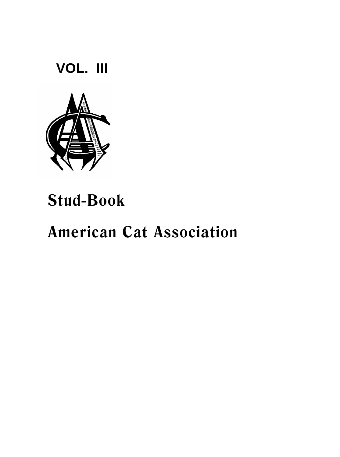**VOL. III**



# **Stud-Book**

# **American Cat Association**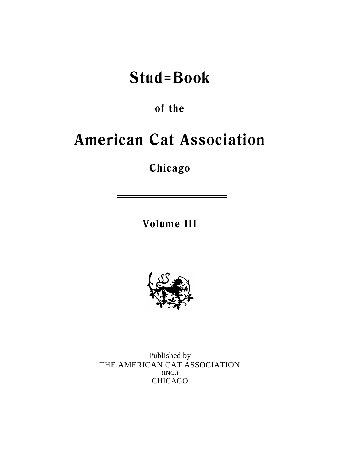# **Stud=Book**

**of the**

# **American Cat Association**

**Chicago**

**Volume III**

**=======================**



Published by THE AMERICAN CAT ASSOCIATION (INC.) CHICAGO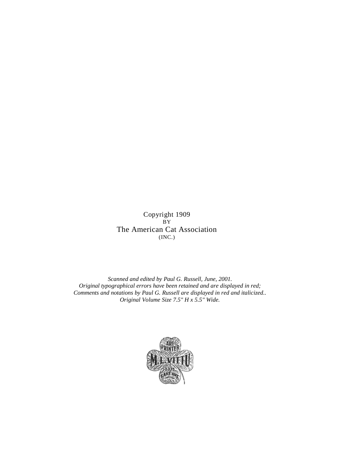Copyright 1909  $\check{B}Y$ The American Cat Association (INC.)

*Scanned and edited by Paul G. Russell, June, 2001. Original typographical errors have been retained and are displayed in red; Comments and notations by Paul G. Russell are displayed in red and italicized.. Original Volume Size 7.5" H x 5.5" Wide.*

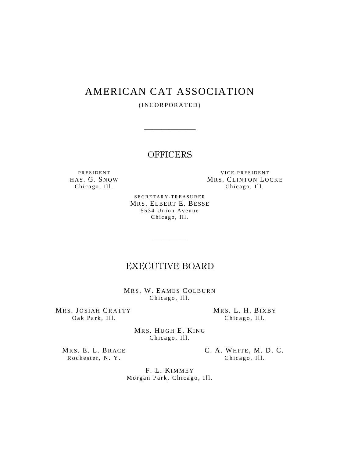# AMERICAN CAT ASSOCIATION

(INCORPORATED)

——————

**OFFICERS** 

PRESIDENT VICE-PRESIDENT HAS. G. SNOW MRS. CLINTON LOCKE<br>
Chicago, III. Chicago, III. Chicago, Ill.

> SECRETARY-TREASURER MRS. ELBERT E. BESSE 5534 Union Avenue Chicago, Ill.

# EXECUTIVE BOARD

————

MRS. W. EAMES COLBURN Chicago, Ill.

MRS. JOSIAH CRATTY MRS. L. H. BIXBY Oak Park, Ill. Chicago, Ill.

MRS. HUGH E. KING Chicago, Ill.

Rochester, N. Y. Chicago, Ill.

MRS. E. L. BRACE C. A. WHITE, M. D. C.

F. L. KIMMEY Morgan Park, Chicago, Ill.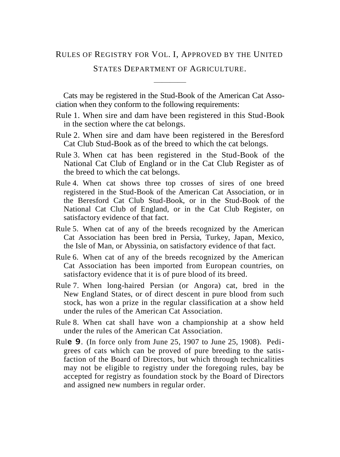# RULES OF REGISTRY FOR VOL. I, APPROVED BY THE UNITED

STATES DEPARTMENT OF AGRICULTURE. ————

Cats may be registered in the Stud-Book of the American Cat Association when they conform to the following requirements:

- Rule 1. When sire and dam have been registered in this Stud-Book in the section where the cat belongs.
- Rule 2. When sire and dam have been registered in the Beresford Cat Club Stud-Book as of the breed to which the cat belongs.
- Rule 3. When cat has been registered in the Stud-Book of the National Cat Club of England or in the Cat Club Register as of the breed to which the cat belongs.
- Rule 4. When cat shows three top crosses of sires of one breed registered in the Stud-Book of the American Cat Association, or in the Beresford Cat Club Stud-Book, or in the Stud-Book of the National Cat Club of England, or in the Cat Club Register, on satisfactory evidence of that fact.
- Rule 5. When cat of any of the breeds recognized by the American Cat Association has been bred in Persia, Turkey, Japan, Mexico, the Isle of Man, or Abyssinia, on satisfactory evidence of that fact.
- Rule 6. When cat of any of the breeds recognized by the American Cat Association has been imported from European countries, on satisfactory evidence that it is of pure blood of its breed.
- Rule 7. When long-haired Persian (or Angora) cat, bred in the New England States, or of direct descent in pure blood from such stock, has won a prize in the regular classification at a show held under the rules of the American Cat Association.
- Rule 8. When cat shall have won a championship at a show held under the rules of the American Cat Association.
- Rul**e 9**. (In force only from June 25, 1907 to June 25, 1908). Pedigrees of cats which can be proved of pure breeding to the satisfaction of the Board of Directors, but which through technicalities may not be eligible to registry under the foregoing rules, bay be accepted for registry as foundation stock by the Board of Directors and assigned new numbers in regular order.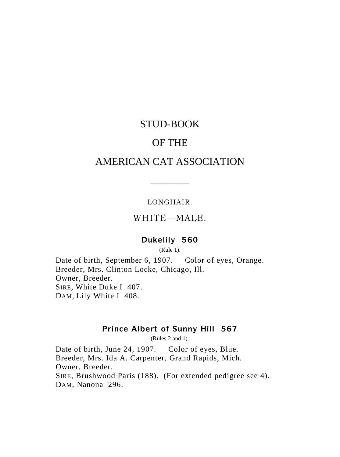# STUD-BOOK

# OF THE

# AMERICAN CAT ASSOCIATION

#### LONGHAIR.

——–——

# WHITE—MALE.

# **Dukelily 560**

(Rule 1).

Date of birth, September 6, 1907. Color of eyes, Orange. Breeder, Mrs. Clinton Locke, Chicago, Ill. Owner, Breeder. SIRE, White Duke I 407. DAM, Lily White I 408.

# **Prince Albert of Sunny Hill 567**

(Rules 2 and 1).

Date of birth, June 24, 1907. Color of eyes, Blue. Breeder, Mrs. Ida A. Carpenter, Grand Rapids, Mich. Owner, Breeder. SIRE, Brushwood Paris (188). (For extended pedigree see 4). DAM, Nanona 296.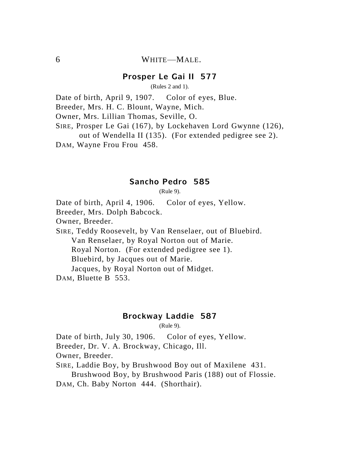# 6 WHITE—MALE.

# **Prosper Le Gai II 577**

(Rules 2 and 1).

Date of birth, April 9, 1907. Color of eyes, Blue.

Breeder, Mrs. H. C. Blount, Wayne, Mich.

Owner, Mrs. Lillian Thomas, Seville, O.

SIRE, Prosper Le Gai (167), by Lockehaven Lord Gwynne (126), out of Wendella II (135). (For extended pedigree see 2). DAM, Wayne Frou Frou 458.

#### **Sancho Pedro 585**

(Rule 9).

Date of birth, April 4, 1906. Color of eyes, Yellow.

Breeder, Mrs. Dolph Babcock.

Owner, Breeder.

SIRE, Teddy Roosevelt, by Van Renselaer, out of Bluebird. Van Renselaer, by Royal Norton out of Marie. Royal Norton. (For extended pedigree see 1). Bluebird, by Jacques out of Marie. Jacques, by Royal Norton out of Midget.

DAM, Bluette B 553.

### **Brockway Laddie 587**

(Rule 9).

Date of birth, July 30, 1906. Color of eyes, Yellow. Breeder, Dr. V. A. Brockway, Chicago, Ill.

Owner, Breeder.

SIRE, Laddie Boy, by Brushwood Boy out of Maxilene 431.

Brushwood Boy, by Brushwood Paris (188) out of Flossie.

DAM, Ch. Baby Norton 444. (Shorthair).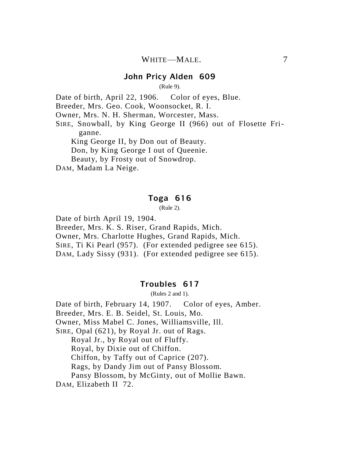#### **John Pricy Alden 609**

(Rule 9).

Date of birth, April 22, 1906. Color of eyes, Blue.

Breeder, Mrs. Geo. Cook, Woonsocket, R. I.

Owner, Mrs. N. H. Sherman, Worcester, Mass.

SIRE, Snowball, by King George II (966) out of Flosette Friganne.

King George II, by Don out of Beauty. Don, by King George I out of Queenie. Beauty, by Frosty out of Snowdrop.

DAM, Madam La Neige.

#### **Toga 616**

(Rule 2).

Date of birth April 19, 1904.

Breeder, Mrs. K. S. Riser, Grand Rapids, Mich. Owner, Mrs. Charlotte Hughes, Grand Rapids, Mich. SIRE, Ti Ki Pearl (957). (For extended pedigree see 615).

DAM, Lady Sissy (931). (For extended pedigree see 615).

### **Troubles 617**

(Rules 2 and 1).

Date of birth, February 14, 1907. Color of eyes, Amber. Breeder, Mrs. E. B. Seidel, St. Louis, Mo. Owner, Miss Mabel C. Jones, Williamsville, Ill. SIRE, Opal (621), by Royal Jr. out of Rags. Royal Jr., by Royal out of Fluffy. Royal, by Dixie out of Chiffon. Chiffon, by Taffy out of Caprice (207). Rags, by Dandy Jim out of Pansy Blossom. Pansy Blossom, by McGinty, out of Mollie Bawn. DAM, Elizabeth II 72.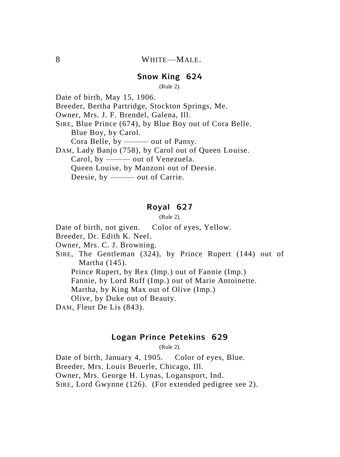# **Snow King 624**

(Rule 2).

Date of birth, May 15, 1906.

Breeder, Bertha Partridge, Stockton Springs, Me.

Owner, Mrs. J. F. Brendel, Galena, Ill.

SIRE, Blue Prince (674), by Blue Boy out of Cora Belle. Blue Boy, by Carol.

Cora Belle, by ——— out of Pansy.

DAM, Lady Banjo (758), by Carol out of Queen Louise. Carol, by ---- out of Venezuela. Queen Louise, by Manzoni out of Deesie. Deesie, by ——— out of Carrie.

# **Royal 627**

(Rule 2).

Date of birth, not given. Color of eyes, Yellow.

Breeder, Dr. Edith K. Neel.

Owner, Mrs. C. J. Browning.

SIRE, The Gentleman (324), by Prince Rupert (144) out of Martha (145).

Prince Rupert, by Rex (Imp.) out of Fannie (Imp.)

Fannie, by Lord Ruff (Imp.) out of Marie Antoinette.

Martha, by King Max out of Olive (Imp.)

Olive, by Duke out of Beauty.

DAM, Fleur De Lis (843).

#### **Logan Prince Petekins 629**

(Rule 2).

Date of birth, January 4, 1905. Color of eyes, Blue. Breeder, Mrs. Louis Beuerle, Chicago, Ill. Owner, Mrs. George H. Lynas, Logansport, Ind.

SIRE, Lord Gwynne (126). (For extended pedigree see 2).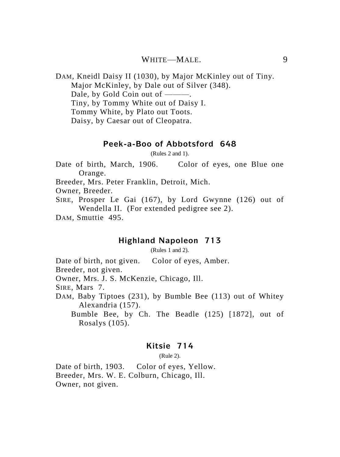WHITE—MALE. 9

DAM, Kneidl Daisy II (1030), by Major McKinley out of Tiny. Major McKinley, by Dale out of Silver (348). Dale, by Gold Coin out of ———. Tiny, by Tommy White out of Daisy I. Tommy White, by Plato out Toots. Daisy, by Caesar out of Cleopatra.

#### **Peek-a-Boo of Abbotsford 648**

(Rules 2 and 1).

Date of birth, March, 1906. Color of eyes, one Blue one Orange.

Breeder, Mrs. Peter Franklin, Detroit, Mich.

Owner, Breeder.

SIRE, Prosper Le Gai (167), by Lord Gwynne (126) out of Wendella II. (For extended pedigree see 2).

DAM, Smuttie 495.

#### **Highland Napoleon 713**

(Rules 1 and 2).

Date of birth, not given. Color of eyes, Amber.

Breeder, not given.

Owner, Mrs. J. S. McKenzie, Chicago, Ill.

SIRE, Mars 7.

DAM, Baby Tiptoes (231), by Bumble Bee (113) out of Whitey Alexandria (157).

Bumble Bee, by Ch. The Beadle (125) [1872], out of Rosalys (105).

# **Kitsie 714**

(Rule 2).

Date of birth, 1903. Color of eyes, Yellow. Breeder, Mrs. W. E. Colburn, Chicago, Ill. Owner, not given.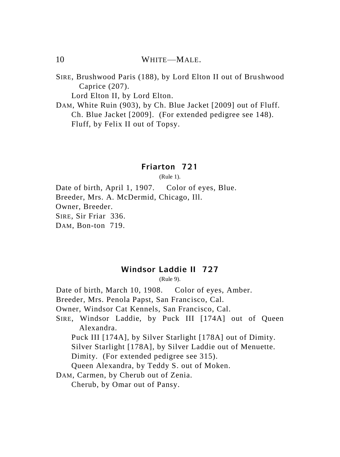10 WHITE—MALE.

SIRE, Brushwood Paris (188), by Lord Elton II out of Brushwood Caprice (207).

Lord Elton II, by Lord Elton.

DAM, White Ruin (903), by Ch. Blue Jacket [2009] out of Fluff. Ch. Blue Jacket [2009]. (For extended pedigree see 148). Fluff, by Felix II out of Topsy.

# **Friarton 721**

(Rule 1).

Date of birth, April 1, 1907. Color of eyes, Blue. Breeder, Mrs. A. McDermid, Chicago, Ill. Owner, Breeder. SIRE, Sir Friar 336. DAM, Bon-ton 719.

# **Windsor Laddie II 727**

(Rule 9).

Date of birth, March 10, 1908. Color of eyes, Amber.

Breeder, Mrs. Penola Papst, San Francisco, Cal.

Owner, Windsor Cat Kennels, San Francisco, Cal.

SIRE, Windsor Laddie, by Puck III [174A] out of Queen Alexandra.

Puck III [174A], by Silver Starlight [178A] out of Dimity.

Silver Starlight [178A], by Silver Laddie out of Menuette.

Dimity. (For extended pedigree see 315).

Queen Alexandra, by Teddy S. out of Moken.

DAM, Carmen, by Cherub out of Zenia.

Cherub, by Omar out of Pansy.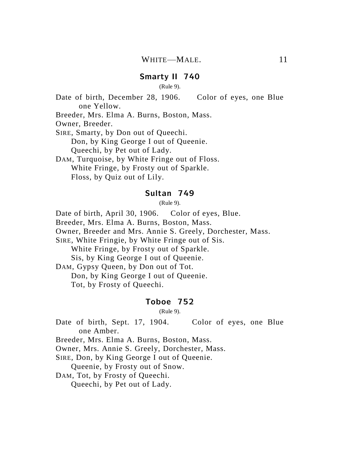#### **Smarty II 740**

(Rule 9).

Date of birth, December 28, 1906. Color of eyes, one Blue one Yellow.

Breeder, Mrs. Elma A. Burns, Boston, Mass.

Owner, Breeder.

SIRE, Smarty, by Don out of Queechi.

Don, by King George I out of Queenie.

Queechi, by Pet out of Lady.

DAM, Turquoise, by White Fringe out of Floss. White Fringe, by Frosty out of Sparkle. Floss, by Quiz out of Lily.

#### **Sultan 749**

(Rule 9).

Date of birth, April 30, 1906. Color of eyes, Blue.

Breeder, Mrs. Elma A. Burns, Boston, Mass.

Owner, Breeder and Mrs. Annie S. Greely, Dorchester, Mass.

SIRE, White Fringie, by White Fringe out of Sis.

White Fringe, by Frosty out of Sparkle.

Sis, by King George I out of Queenie.

DAM, Gypsy Queen, by Don out of Tot.

Don, by King George I out of Queenie.

Tot, by Frosty of Queechi.

#### **Toboe 752**

(Rule 9).

Date of birth, Sept. 17, 1904. Color of eyes, one Blue one Amber.

Breeder, Mrs. Elma A. Burns, Boston, Mass.

Owner, Mrs. Annie S. Greely, Dorchester, Mass.

SIRE, Don, by King George I out of Queenie.

Queenie, by Frosty out of Snow.

DAM, Tot, by Frosty of Queechi.

Queechi, by Pet out of Lady.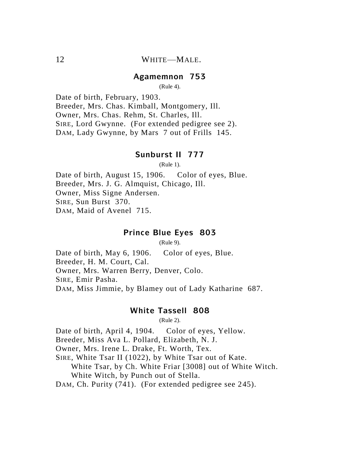#### **Agamemnon 753**

(Rule 4).

Date of birth, February, 1903. Breeder, Mrs. Chas. Kimball, Montgomery, Ill. Owner, Mrs. Chas. Rehm, St. Charles, Ill. SIRE, Lord Gwynne. (For extended pedigree see 2). DAM, Lady Gwynne, by Mars 7 out of Frills 145.

### **Sunburst II 777**

(Rule 1).

Date of birth, August 15, 1906. Color of eyes, Blue. Breeder, Mrs. J. G. Almquist, Chicago, Ill. Owner, Miss Signe Andersen. SIRE, Sun Burst 370. DAM, Maid of Avenel 715.

# **Prince Blue Eyes 803**

(Rule 9).

Date of birth, May 6, 1906. Color of eyes, Blue. Breeder, H. M. Court, Cal. Owner, Mrs. Warren Berry, Denver, Colo. SIRE, Emir Pasha. DAM, Miss Jimmie, by Blamey out of Lady Katharine 687.

#### **White Tassell 808**

(Rule 2).

Date of birth, April 4, 1904. Color of eyes, Yellow.

Breeder, Miss Ava L. Pollard, Elizabeth, N. J.

Owner, Mrs. Irene L. Drake, Ft. Worth, Tex.

SIRE, White Tsar II (1022), by White Tsar out of Kate.

White Tsar, by Ch. White Friar [3008] out of White Witch. White Witch, by Punch out of Stella.

DAM, Ch. Purity (741). (For extended pedigree see 245).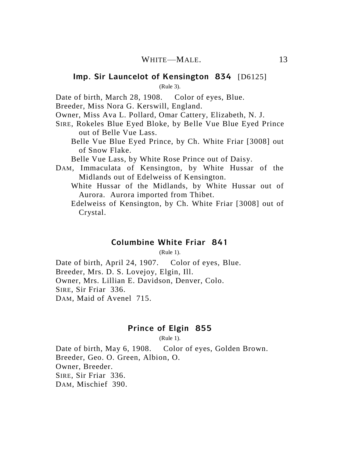#### **Imp. Sir Launcelot of Kensington 834** [D6125]

(Rule 3).

Date of birth, March 28, 1908. Color of eyes, Blue.

Breeder, Miss Nora G. Kerswill, England.

Owner, Miss Ava L. Pollard, Omar Cattery, Elizabeth, N. J.

- SIRE, Rokeles Blue Eyed Bloke, by Belle Vue Blue Eyed Prince out of Belle Vue Lass.
	- Belle Vue Blue Eyed Prince, by Ch. White Friar [3008] out of Snow Flake.

Belle Vue Lass, by White Rose Prince out of Daisy.

- DAM, Immaculata of Kensington, by White Hussar of the Midlands out of Edelweiss of Kensington.
	- White Hussar of the Midlands, by White Hussar out of Aurora. Aurora imported from Thibet.
	- Edelweiss of Kensington, by Ch. White Friar [3008] out of Crystal.

#### **Columbine White Friar 841**

(Rule 1).

Date of birth, April 24, 1907. Color of eyes, Blue. Breeder, Mrs. D. S. Lovejoy, Elgin, Ill. Owner, Mrs. Lillian E. Davidson, Denver, Colo. SIRE, Sir Friar 336. DAM, Maid of Avenel 715.

# **Prince of Elgin 855**

(Rule 1).

Date of birth, May 6, 1908. Color of eyes, Golden Brown. Breeder, Geo. O. Green, Albion, O. Owner, Breeder. SIRE, Sir Friar 336. DAM, Mischief 390.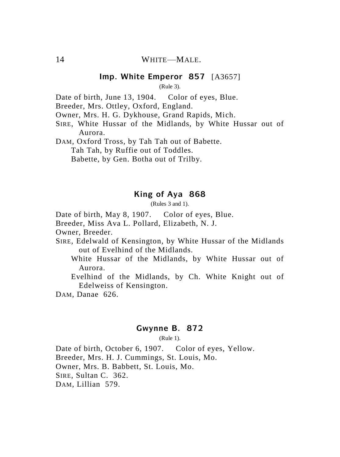# **Imp. White Emperor 857** [A3657]

(Rule 3).

Date of birth, June 13, 1904. Color of eyes, Blue.

Breeder, Mrs. Ottley, Oxford, England.

Owner, Mrs. H. G. Dykhouse, Grand Rapids, Mich.

SIRE, White Hussar of the Midlands, by White Hussar out of Aurora.

DAM, Oxford Tross, by Tah Tah out of Babette. Tah Tah, by Ruffie out of Toddles. Babette, by Gen. Botha out of Trilby.

#### **King of Aya 868**

(Rules 3 and 1).

Date of birth, May 8, 1907. Color of eyes, Blue.

Breeder, Miss Ava L. Pollard, Elizabeth, N. J.

Owner, Breeder.

SIRE, Edelwald of Kensington, by White Hussar of the Midlands out of Evelhind of the Midlands.

White Hussar of the Midlands, by White Hussar out of Aurora.

Evelhind of the Midlands, by Ch. White Knight out of Edelweiss of Kensington.

DAM, Danae 626.

#### **Gwynne B. 872**

(Rule 1).

Date of birth, October 6, 1907. Color of eyes, Yellow. Breeder, Mrs. H. J. Cummings, St. Louis, Mo. Owner, Mrs. B. Babbett, St. Louis, Mo. SIRE, Sultan C. 362. DAM, Lillian 579.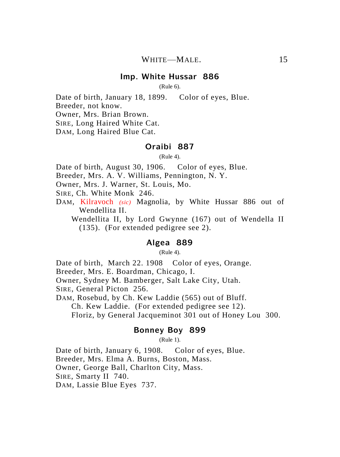#### **Imp. White Hussar 886**

(Rule 6).

Date of birth, January 18, 1899. Color of eyes, Blue. Breeder, not know.

Owner, Mrs. Brian Brown.

SIRE, Long Haired White Cat.

DAM, Long Haired Blue Cat.

# **Oraibi 887**

(Rule 4).

Date of birth, August 30, 1906. Color of eyes, Blue.

Breeder, Mrs. A. V. Williams, Pennington, N. Y.

Owner, Mrs. J. Warner, St. Louis, Mo.

SIRE, Ch. White Monk 246.

DAM, Kilravoch *(sic)* Magnolia, by White Hussar 886 out of Wendellita II.

Wendellita II, by Lord Gwynne (167) out of Wendella II (135). (For extended pedigree see 2).

#### **Algea 889**

(Rule 4).

Date of birth, March 22. 1908 Color of eyes, Orange.

Breeder, Mrs. E. Boardman, Chicago, I.

Owner, Sydney M. Bamberger, Salt Lake City, Utah.

SIRE, General Picton 256.

DAM, Rosebud, by Ch. Kew Laddie (565) out of Bluff.

Ch. Kew Laddie. (For extended pedigree see 12).

Floriz, by General Jacqueminot 301 out of Honey Lou 300.

#### **Bonney Boy 899**

(Rule 1).

Date of birth, January 6, 1908. Color of eyes, Blue. Breeder, Mrs. Elma A. Burns, Boston, Mass. Owner, George Ball, Charlton City, Mass. SIRE, Smarty II 740. DAM, Lassie Blue Eyes 737.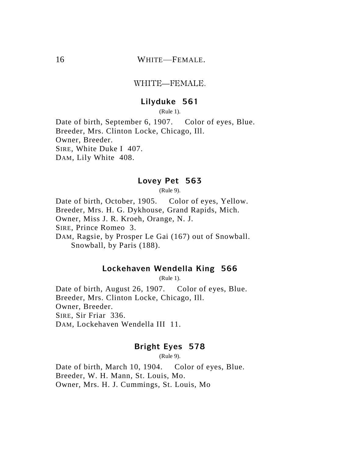# 16 WHITE—FEMALE.

#### WHITE—FEMALE.

# **Lilyduke 561**

(Rule 1).

Date of birth, September 6, 1907. Color of eyes, Blue. Breeder, Mrs. Clinton Locke, Chicago, Ill. Owner, Breeder. SIRE, White Duke I 407. DAM, Lily White 408.

#### **Lovey Pet 563**

(Rule 9).

Date of birth, October, 1905. Color of eyes, Yellow. Breeder, Mrs. H. G. Dykhouse, Grand Rapids, Mich. Owner, Miss J. R. Kroeh, Orange, N. J. SIRE, Prince Romeo 3. DAM, Ragsie, by Prosper Le Gai (167) out of Snowball. Snowball, by Paris (188).

# **Lockehaven Wendella King 566**

(Rule 1).

Date of birth, August 26, 1907. Color of eyes, Blue. Breeder, Mrs. Clinton Locke, Chicago, Ill. Owner, Breeder. SIRE, Sir Friar 336. DAM, Lockehaven Wendella III 11.

# **Bright Eyes 578**

(Rule 9).

Date of birth, March 10, 1904. Color of eyes, Blue. Breeder, W. H. Mann, St. Louis, Mo. Owner, Mrs. H. J. Cummings, St. Louis, Mo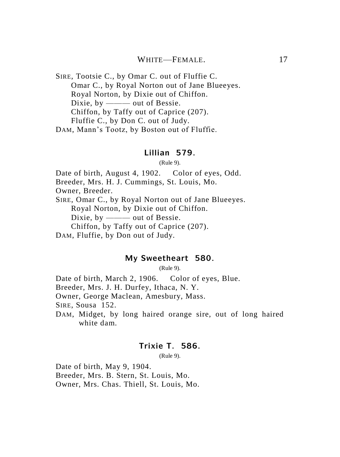### WHITE—FEMALE 17

SIRE, Tootsie C., by Omar C. out of Fluffie C. Omar C., by Royal Norton out of Jane Blueeyes. Royal Norton, by Dixie out of Chiffon. Dixie, by ——— out of Bessie. Chiffon, by Taffy out of Caprice (207). Fluffie C., by Don C. out of Judy. DAM, Mann's Tootz, by Boston out of Fluffie.

#### **Lillian 579.**

(Rule 9).

Date of birth, August 4, 1902. Color of eyes, Odd.

Breeder, Mrs. H. J. Cummings, St. Louis, Mo.

Owner, Breeder.

SIRE, Omar C., by Royal Norton out of Jane Blueeyes. Royal Norton, by Dixie out of Chiffon. Dixie, by ——— out of Bessie. Chiffon, by Taffy out of Caprice (207).

DAM, Fluffie, by Don out of Judy.

# **My Sweetheart 580.**

(Rule 9).

Date of birth, March 2, 1906. Color of eyes, Blue. Breeder, Mrs. J. H. Durfey, Ithaca, N. Y. Owner, George Maclean, Amesbury, Mass. SIRE, Sousa 152. DAM, Midget, by long haired orange sire, out of long haired

white dam.

# **Trixie T. 586.**

(Rule 9).

Date of birth, May 9, 1904. Breeder, Mrs. B. Stern, St. Louis, Mo. Owner, Mrs. Chas. Thiell, St. Louis, Mo.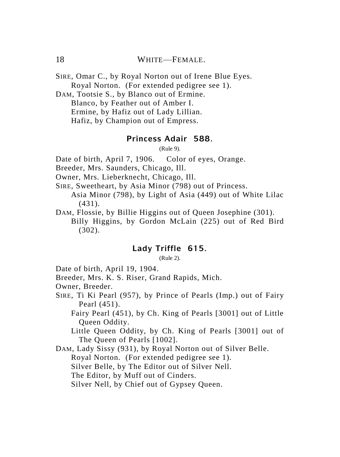# 18 WHITE—FEMALE

SIRE, Omar C., by Royal Norton out of Irene Blue Eyes. Royal Norton. (For extended pedigree see 1).

DAM, Tootsie S., by Blanco out of Ermine. Blanco, by Feather out of Amber I. Ermine, by Hafiz out of Lady Lillian. Hafiz, by Champion out of Empress.

# **Princess Adair 588.**

(Rule 9).

Date of birth, April 7, 1906. Color of eyes, Orange.

Breeder, Mrs. Saunders, Chicago, Ill.

Owner, Mrs. Lieberknecht, Chicago, Ill.

SIRE, Sweetheart, by Asia Minor (798) out of Princess.

Asia Minor (798), by Light of Asia (449) out of White Lilac (431).

DAM, Flossie, by Billie Higgins out of Queen Josephine (301). Billy Higgins, by Gordon McLain (225) out of Red Bird (302).

# **Lady Triffle 615.**

(Rule 2).

Date of birth, April 19, 1904.

Breeder, Mrs. K. S. Riser, Grand Rapids, Mich.

Owner, Breeder.

SIRE, Ti Ki Pearl (957), by Prince of Pearls (Imp.) out of Fairy Pearl (451).

Fairy Pearl (451), by Ch. King of Pearls [3001] out of Little Queen Oddity.

Little Queen Oddity, by Ch. King of Pearls [3001] out of The Queen of Pearls [1002].

DAM, Lady Sissy (931), by Royal Norton out of Silver Belle.

Royal Norton. (For extended pedigree see 1).

Silver Belle, by The Editor out of Silver Nell.

The Editor, by Muff out of Cinders.

Silver Nell, by Chief out of Gypsey Queen.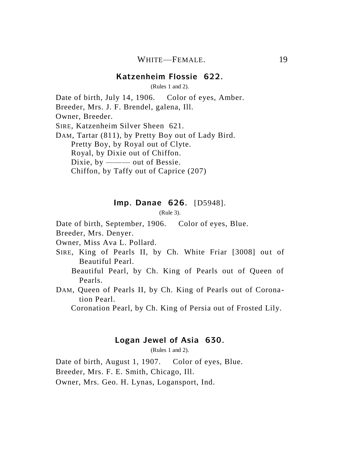#### **Katzenheim Flossie 622.**

(Rules 1 and 2).

Date of birth, July 14, 1906. Color of eyes, Amber. Breeder, Mrs. J. F. Brendel, galena, Ill. Owner, Breeder. SIRE, Katzenheim Silver Sheen 621.

DAM, Tartar (811), by Pretty Boy out of Lady Bird. Pretty Boy, by Royal out of Clyte. Royal, by Dixie out of Chiffon. Dixie, by ——— out of Bessie. Chiffon, by Taffy out of Caprice (207)

#### **Imp. Danae 626.** [D5948].

(Rule 3).

Date of birth, September, 1906. Color of eyes, Blue.

Breeder, Mrs. Denyer.

Owner, Miss Ava L. Pollard.

- SIRE, King of Pearls II, by Ch. White Friar [3008] out of Beautiful Pearl.
	- Beautiful Pearl, by Ch. King of Pearls out of Queen of Pearls.
- DAM, Queen of Pearls II, by Ch. King of Pearls out of Coronation Pearl.

Coronation Pearl, by Ch. King of Persia out of Frosted Lily.

#### **Logan Jewel of Asia 630.**

(Rules 1 and 2).

Date of birth, August 1, 1907. Color of eyes, Blue.

Breeder, Mrs. F. E. Smith, Chicago, Ill.

Owner, Mrs. Geo. H. Lynas, Logansport, Ind.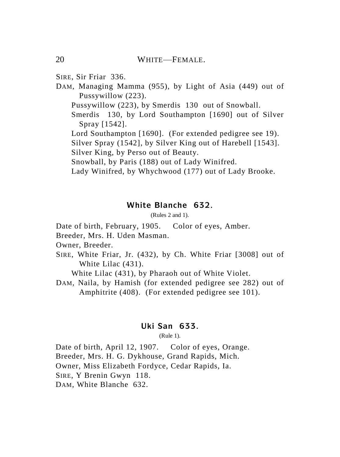SIRE, Sir Friar 336.

DAM, Managing Mamma (955), by Light of Asia (449) out of Pussywillow (223).

Pussywillow (223), by Smerdis 130 out of Snowball.

Smerdis 130, by Lord Southampton [1690] out of Silver Spray [1542].

Lord Southampton [1690]. (For extended pedigree see 19).

Silver Spray (1542], by Silver King out of Harebell [1543]. Silver King, by Perso out of Beauty.

Snowball, by Paris (188) out of Lady Winifred.

Lady Winifred, by Whychwood (177) out of Lady Brooke.

# **White Blanche 632.**

(Rules 2 and 1).

Date of birth, February, 1905. Color of eyes, Amber.

Breeder, Mrs. H. Uden Masman.

Owner, Breeder.

SIRE, White Friar, Jr. (432), by Ch. White Friar [3008] out of White Lilac (431).

White Lilac (431), by Pharaoh out of White Violet.

DAM, Naila, by Hamish (for extended pedigree see 282) out of Amphitrite (408). (For extended pedigree see 101).

#### **Uki San 633.**

(Rule 1).

Date of birth, April 12, 1907. Color of eyes, Orange. Breeder, Mrs. H. G. Dykhouse, Grand Rapids, Mich. Owner, Miss Elizabeth Fordyce, Cedar Rapids, Ia. SIRE, Y Brenin Gwyn 118. DAM, White Blanche 632.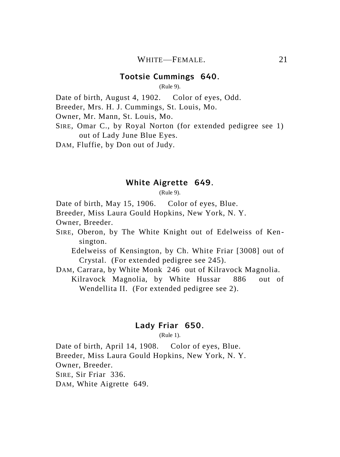#### **Tootsie Cummings 640.**

(Rule 9).

Date of birth, August 4, 1902. Color of eyes, Odd.

Breeder, Mrs. H. J. Cummings, St. Louis, Mo.

Owner, Mr. Mann, St. Louis, Mo.

SIRE, Omar C., by Royal Norton (for extended pedigree see 1) out of Lady June Blue Eyes.

DAM, Fluffie, by Don out of Judy.

## **White Aigrette 649.**

(Rule 9).

Date of birth, May 15, 1906. Color of eyes, Blue.

Breeder, Miss Laura Gould Hopkins, New York, N. Y.

Owner, Breeder.

SIRE, Oberon, by The White Knight out of Edelweiss of Kensington.

Edelweiss of Kensington, by Ch. White Friar [3008] out of Crystal. (For extended pedigree see 245).

DAM, Carrara, by White Monk 246 out of Kilravock Magnolia. Kilravock Magnolia, by White Hussar 886 out of Wendellita II. (For extended pedigree see 2).

# **Lady Friar 650.**

(Rule 1).

Date of birth, April 14, 1908. Color of eyes, Blue. Breeder, Miss Laura Gould Hopkins, New York, N. Y. Owner, Breeder. SIRE, Sir Friar 336. DAM, White Aigrette 649.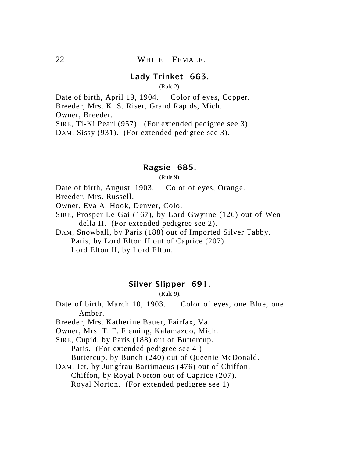# **Lady Trinket 663.**

(Rule 2).

Date of birth, April 19, 1904. Color of eyes, Copper. Breeder, Mrs. K. S. Riser, Grand Rapids, Mich. Owner, Breeder. SIRE, Ti-Ki Pearl (957). (For extended pedigree see 3).

DAM, Sissy (931). (For extended pedigree see 3).

# **Ragsie 685.**

(Rule 9).

Date of birth, August, 1903. Color of eyes, Orange.

Breeder, Mrs. Russell.

Owner, Eva A. Hook, Denver, Colo.

SIRE, Prosper Le Gai (167), by Lord Gwynne (126) out of Wendella II. (For extended pedigree see 2).

DAM, Snowball, by Paris (188) out of Imported Silver Tabby. Paris, by Lord Elton II out of Caprice (207). Lord Elton II, by Lord Elton.

### **Silver Slipper 691.**

(Rule 9).

Date of birth, March 10, 1903. Color of eyes, one Blue, one Amber.

Breeder, Mrs. Katherine Bauer, Fairfax, Va.

Owner, Mrs. T. F. Fleming, Kalamazoo, Mich.

SIRE, Cupid, by Paris (188) out of Buttercup. Paris. (For extended pedigree see 4 ) Buttercup, by Bunch (240) out of Queenie McDonald.

DAM, Jet, by Jungfrau Bartimaeus (476) out of Chiffon.

Chiffon, by Royal Norton out of Caprice (207).

Royal Norton. (For extended pedigree see 1)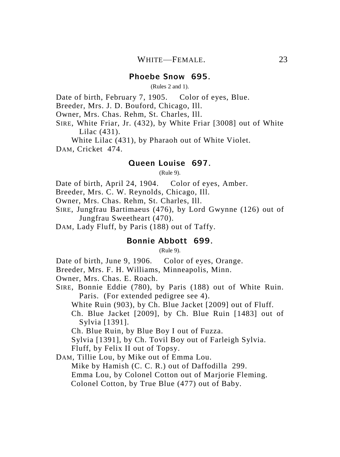# **Phoebe Snow 695.**

(Rules 2 and 1).

Date of birth, February 7, 1905. Color of eyes, Blue.

Breeder, Mrs. J. D. Bouford, Chicago, Ill.

Owner, Mrs. Chas. Rehm, St. Charles, Ill.

SIRE, White Friar, Jr. (432), by White Friar [3008] out of White Lilac (431).

White Lilac (431), by Pharaoh out of White Violet. DAM, Cricket 474.

# **Queen Louise 697.**

(Rule 9).

Date of birth, April 24, 1904. Color of eyes, Amber.

Breeder, Mrs. C. W. Reynolds, Chicago, Ill.

Owner, Mrs. Chas. Rehm, St. Charles, Ill.

- SIRE, Jungfrau Bartimaeus (476), by Lord Gwynne (126) out of Jungfrau Sweetheart (470).
- DAM, Lady Fluff, by Paris (188) out of Taffy.

# **Bonnie Abbott 699.**

 $(Rul (9))$ 

Date of birth, June 9, 1906. Color of eyes, Orange.

Breeder, Mrs. F. H. Williams, Minneapolis, Minn.

Owner, Mrs. Chas. E. Roach.

SIRE, Bonnie Eddie (780), by Paris (188) out of White Ruin. Paris. (For extended pedigree see 4).

White Ruin (903), by Ch. Blue Jacket [2009] out of Fluff.

Ch. Blue Jacket [2009], by Ch. Blue Ruin [1483] out of Sylvia [1391].

Ch. Blue Ruin, by Blue Boy I out of Fuzza.

Sylvia [1391], by Ch. Tovil Boy out of Farleigh Sylvia.

Fluff, by Felix II out of Topsy.

DAM, Tillie Lou, by Mike out of Emma Lou. Mike by Hamish (C. C. R.) out of Daffodilla 299. Emma Lou, by Colonel Cotton out of Marjorie Fleming. Colonel Cotton, by True Blue (477) out of Baby.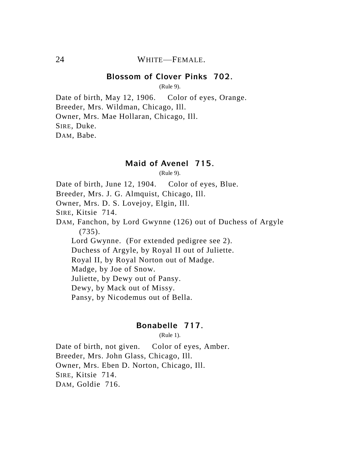#### **Blossom of Clover Pinks 702.**

(Rule 9).

Date of birth, May 12, 1906. Color of eyes, Orange. Breeder, Mrs. Wildman, Chicago, Ill. Owner, Mrs. Mae Hollaran, Chicago, Ill. SIRE, Duke. DAM, Babe.

#### **Maid of Avenel 715.**

(Rule 9).

Date of birth, June 12, 1904. Color of eyes, Blue.

Breeder, Mrs. J. G. Almquist, Chicago, Ill.

Owner, Mrs. D. S. Lovejoy, Elgin, Ill.

SIRE, Kitsie 714.

DAM, Fanchon, by Lord Gwynne (126) out of Duchess of Argyle (735).

Lord Gwynne. (For extended pedigree see 2).

Duchess of Argyle, by Royal II out of Juliette.

Royal II, by Royal Norton out of Madge.

Madge, by Joe of Snow.

Juliette, by Dewy out of Pansy.

Dewy, by Mack out of Missy.

Pansy, by Nicodemus out of Bella.

#### **Bonabelle 717.**

(Rule 1).

Date of birth, not given. Color of eyes, Amber. Breeder, Mrs. John Glass, Chicago, Ill. Owner, Mrs. Eben D. Norton, Chicago, Ill. SIRE, Kitsie 714. DAM, Goldie 716.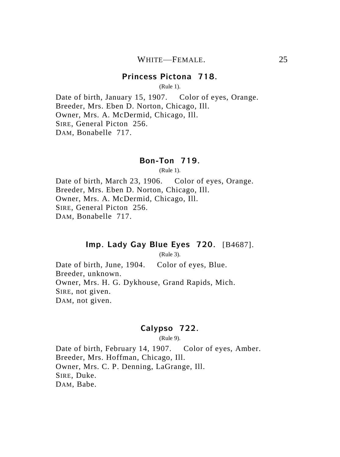### **Princess Pictona 718.**

(Rule 1).

Date of birth, January 15, 1907. Color of eyes, Orange. Breeder, Mrs. Eben D. Norton, Chicago, Ill. Owner, Mrs. A. McDermid, Chicago, Ill. SIRE, General Picton 256. DAM, Bonabelle 717.

### **Bon-Ton 719.**

(Rule 1).

Date of birth, March 23, 1906. Color of eyes, Orange. Breeder, Mrs. Eben D. Norton, Chicago, Ill. Owner, Mrs. A. McDermid, Chicago, Ill. SIRE, General Picton 256. DAM, Bonabelle 717.

# **Imp. Lady Gay Blue Eyes 720.** [B4687].

(Rule 3).

Date of birth, June, 1904. Color of eyes, Blue. Breeder, unknown. Owner, Mrs. H. G. Dykhouse, Grand Rapids, Mich. SIRE, not given. DAM, not given.

# **Calypso 722.**

(Rule 9).

Date of birth, February 14, 1907. Color of eyes, Amber. Breeder, Mrs. Hoffman, Chicago, Ill. Owner, Mrs. C. P. Denning, LaGrange, Ill. SIRE, Duke. DAM, Babe.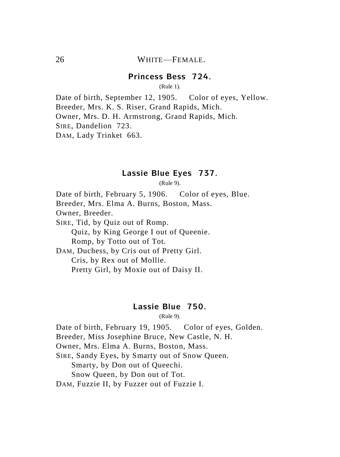# **Princess Bess 724.**

(Rule 1).

Date of birth, September 12, 1905. Color of eyes, Yellow. Breeder, Mrs. K. S. Riser, Grand Rapids, Mich. Owner, Mrs. D. H. Armstrong, Grand Rapids, Mich. SIRE, Dandelion 723. DAM, Lady Trinket 663.

#### **Lassie Blue Eyes 737.**

(Rule 9).

Date of birth, February 5, 1906. Color of eyes, Blue. Breeder, Mrs. Elma A. Burns, Boston, Mass. Owner, Breeder. SIRE, Tid, by Quiz out of Romp. Quiz, by King George I out of Queenie. Romp, by Totto out of Tot. DAM, Duchess, by Cris out of Pretty Girl. Cris, by Rex out of Mollie.

Pretty Girl, by Moxie out of Daisy II.

#### **Lassie Blue 750.**

(Rule 9).

Date of birth, February 19, 1905. Color of eyes, Golden.

Breeder, Miss Josephine Bruce, New Castle, N. H.

Owner, Mrs. Elma A. Burns, Boston, Mass.

SIRE, Sandy Eyes, by Smarty out of Snow Queen.

Smarty, by Don out of Queechi.

Snow Queen, by Don out of Tot.

DAM, Fuzzie II, by Fuzzer out of Fuzzie I.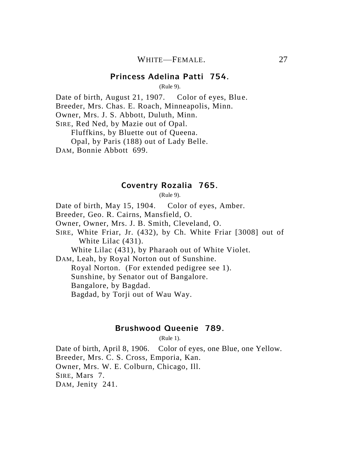#### **Princess Adelina Patti 754.**

(Rule 9).

Date of birth, August 21, 1907. Color of eyes. Blue.

Breeder, Mrs. Chas. E. Roach, Minneapolis, Minn.

Owner, Mrs. J. S. Abbott, Duluth, Minn.

SIRE, Red Ned, by Mazie out of Opal.

Fluffkins, by Bluette out of Queena.

Opal, by Paris (188) out of Lady Belle.

DAM, Bonnie Abbott 699.

#### **Coventry Rozalia 765.**

(Rule 9).

Date of birth, May 15, 1904. Color of eyes, Amber.

Breeder, Geo. R. Cairns, Mansfield, O.

Owner, Owner, Mrs. J. B. Smith, Cleveland, O.

SIRE, White Friar, Jr. (432), by Ch. White Friar [3008] out of White Lilac (431).

White Lilac (431), by Pharaoh out of White Violet.

DAM, Leah, by Royal Norton out of Sunshine.

Royal Norton. (For extended pedigree see 1).

Sunshine, by Senator out of Bangalore.

Bangalore, by Bagdad.

Bagdad, by Torji out of Wau Way.

#### **Brushwood Queenie 789.**

(Rule 1).

Date of birth, April 8, 1906. Color of eyes, one Blue, one Yellow. Breeder, Mrs. C. S. Cross, Emporia, Kan. Owner, Mrs. W. E. Colburn, Chicago, Ill. SIRE, Mars 7. DAM, Jenity 241.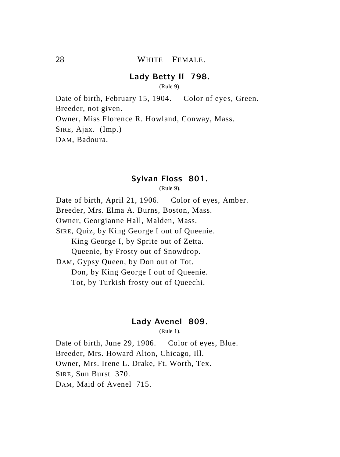# **Lady Betty II 798.**

(Rule 9).

Date of birth, February 15, 1904. Color of eyes, Green. Breeder, not given. Owner, Miss Florence R. Howland, Conway, Mass. SIRE, Ajax. (Imp.) DAM, Badoura.

### **Sylvan Floss 801.**

(Rule 9).

Date of birth, April 21, 1906. Color of eyes, Amber. Breeder, Mrs. Elma A. Burns, Boston, Mass. Owner, Georgianne Hall, Malden, Mass. SIRE, Quiz, by King George I out of Queenie. King George I, by Sprite out of Zetta. Queenie, by Frosty out of Snowdrop. DAM, Gypsy Queen, by Don out of Tot. Don, by King George I out of Queenie. Tot, by Turkish frosty out of Queechi.

# **Lady Avenel 809.**

(Rule 1).

Date of birth, June 29, 1906. Color of eyes, Blue. Breeder, Mrs. Howard Alton, Chicago, Ill. Owner, Mrs. Irene L. Drake, Ft. Worth, Tex. SIRE, Sun Burst 370. DAM, Maid of Avenel 715.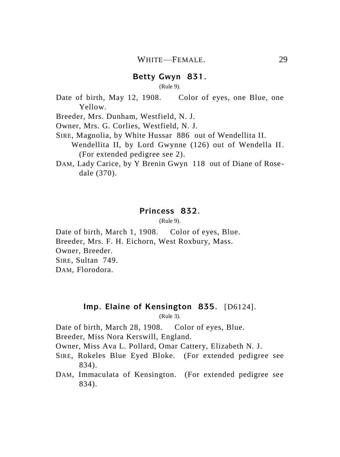#### **Betty Gwyn 831.**

(Rule 9).

Date of birth, May 12, 1908. Color of eyes, one Blue, one Yellow.

Breeder, Mrs. Dunham, Westfield, N. J.

Owner, Mrs. G. Corlies, Westfield, N. J.

SIRE, Magnolia, by White Hussar 886 out of Wendellita II.

Wendellita II, by Lord Gwynne (126) out of Wendella II. (For extended pedigree see 2).

DAM, Lady Carice, by Y Brenin Gwyn 118 out of Diane of Rosedale (370).

#### **Princess 832.**

(Rule 9).

Date of birth, March 1, 1908. Color of eyes, Blue. Breeder, Mrs. F. H. Eichorn, West Roxbury, Mass. Owner, Breeder. SIRE, Sultan 749. DAM, Florodora.

# **Imp. Elaine of Kensington 835.** [D6124].

(Rule 3).

Date of birth, March 28, 1908. Color of eyes, Blue.

Breeder, Miss Nora Kerswill, England.

Owner, Miss Ava L. Pollard, Omar Cattery, Elizabeth N. J.

- SIRE, Rokeles Blue Eyed Bloke. (For extended pedigree see 834).
- DAM, Immaculata of Kensington. (For extended pedigree see 834).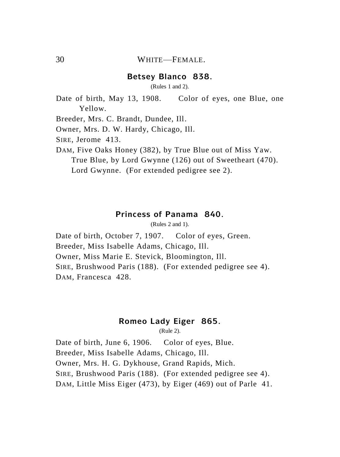#### **Betsey Blanco 838.**

(Rules 1 and 2).

Date of birth, May 13, 1908. Color of eyes, one Blue, one Yellow.

Breeder, Mrs. C. Brandt, Dundee, Ill.

Owner, Mrs. D. W. Hardy, Chicago, Ill.

SIRE, Jerome 413.

DAM, Five Oaks Honey (382), by True Blue out of Miss Yaw. True Blue, by Lord Gwynne (126) out of Sweetheart (470). Lord Gwynne. (For extended pedigree see 2).

## **Princess of Panama 840.**

(Rules 2 and 1).

Date of birth, October 7, 1907. Color of eyes, Green. Breeder, Miss Isabelle Adams, Chicago, Ill. Owner, Miss Marie E. Stevick, Bloomington, Ill. SIRE, Brushwood Paris (188). (For extended pedigree see 4). DAM, Francesca 428.

# **Romeo Lady Eiger 865.**

(Rule 2).

Date of birth, June 6, 1906. Color of eyes, Blue. Breeder, Miss Isabelle Adams, Chicago, Ill. Owner, Mrs. H. G. Dykhouse, Grand Rapids, Mich. SIRE, Brushwood Paris (188). (For extended pedigree see 4). DAM, Little Miss Eiger (473), by Eiger (469) out of Parle 41.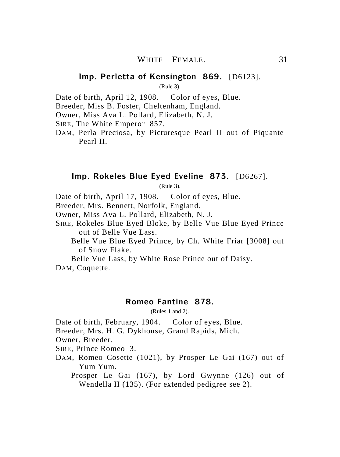#### **Imp. Perletta of Kensington 869.** [D6123].

(Rule 3).

Date of birth, April 12, 1908. Color of eyes, Blue.

Breeder, Miss B. Foster, Cheltenham, England.

Owner, Miss Ava L. Pollard, Elizabeth, N. J.

SIRE, The White Emperor 857.

DAM, Perla Preciosa, by Picturesque Pearl II out of Piquante Pearl II.

#### **Imp. Rokeles Blue Eyed Eveline 873.** [D6267].

(Rule 3).

Date of birth, April 17, 1908. Color of eyes, Blue.

Breeder, Mrs. Bennett, Norfolk, England.

Owner, Miss Ava L. Pollard, Elizabeth, N. J.

SIRE, Rokeles Blue Eyed Bloke, by Belle Vue Blue Eyed Prince out of Belle Vue Lass.

Belle Vue Blue Eyed Prince, by Ch. White Friar [3008] out of Snow Flake.

Belle Vue Lass, by White Rose Prince out of Daisy. DAM, Coquette.

#### **Romeo Fantine 878.**

(Rules 1 and 2).

Date of birth, February, 1904. Color of eyes, Blue.

Breeder, Mrs. H. G. Dykhouse, Grand Rapids, Mich.

Owner, Breeder.

SIRE, Prince Romeo 3.

DAM, Romeo Cosette (1021), by Prosper Le Gai (167) out of Yum Yum.

Prosper Le Gai (167), by Lord Gwynne (126) out of Wendella II (135). (For extended pedigree see 2).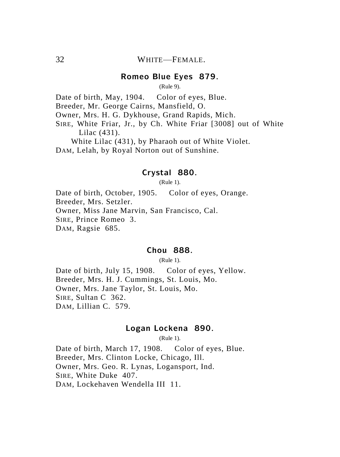# **Romeo Blue Eyes 879.**

(Rule 9).

Date of birth, May, 1904. Color of eyes, Blue.

Breeder, Mr. George Cairns, Mansfield, O.

Owner, Mrs. H. G. Dykhouse, Grand Rapids, Mich.

SIRE, White Friar, Jr., by Ch. White Friar [3008] out of White Lilac (431).

White Lilac (431), by Pharaoh out of White Violet.

DAM, Lelah, by Royal Norton out of Sunshine.

# **Crystal 880.**

(Rule 1).

Date of birth, October, 1905. Color of eyes, Orange. Breeder, Mrs. Setzler. Owner, Miss Jane Marvin, San Francisco, Cal. SIRE, Prince Romeo 3. DAM, Ragsie 685.

# **Chou 888.**

(Rule 1).

Date of birth, July 15, 1908. Color of eyes, Yellow. Breeder, Mrs. H. J. Cummings, St. Louis, Mo. Owner, Mrs. Jane Taylor, St. Louis, Mo. SIRE, Sultan C 362. DAM, Lillian C. 579.

# **Logan Lockena 890.**

(Rule 1).

Date of birth, March 17, 1908. Color of eyes, Blue. Breeder, Mrs. Clinton Locke, Chicago, Ill. Owner, Mrs. Geo. R. Lynas, Logansport, Ind. SIRE, White Duke 407. DAM, Lockehaven Wendella III 11.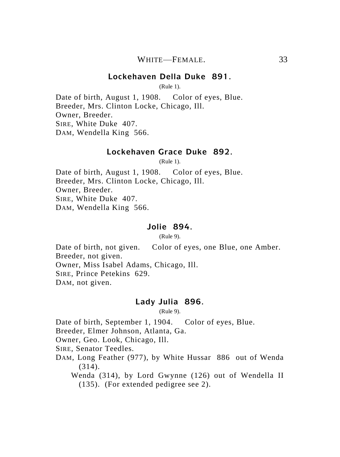### **Lockehaven Della Duke 891.**

(Rule 1).

Date of birth, August 1, 1908. Color of eyes, Blue. Breeder, Mrs. Clinton Locke, Chicago, Ill. Owner, Breeder. SIRE, White Duke 407. DAM, Wendella King 566.

#### **Lockehaven Grace Duke 892.**

(Rule 1).

Date of birth, August 1, 1908. Color of eyes, Blue. Breeder, Mrs. Clinton Locke, Chicago, Ill. Owner, Breeder. SIRE, White Duke 407. DAM, Wendella King 566.

### **Jolie 894.**

(Rule 9).

Date of birth, not given. Color of eyes, one Blue, one Amber. Breeder, not given. Owner, Miss Isabel Adams, Chicago, Ill. SIRE, Prince Petekins 629. DAM, not given.

### **Lady Julia 896.**

(Rule 9).

Date of birth, September 1, 1904. Color of eyes, Blue.

Breeder, Elmer Johnson, Atlanta, Ga.

Owner, Geo. Look, Chicago, Ill.

SIRE, Senator Teedles.

DAM, Long Feather (977), by White Hussar 886 out of Wenda (314).

Wenda (314), by Lord Gwynne (126) out of Wendella II (135). (For extended pedigree see 2).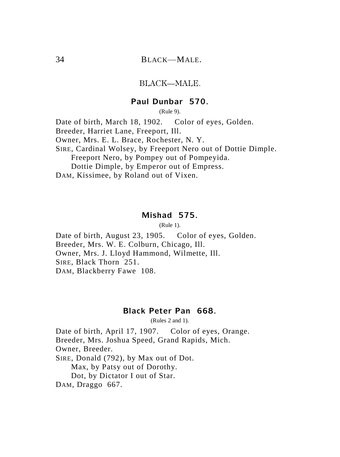### BLACK—MALE.

# **Paul Dunbar 570.**

(Rule 9).

Date of birth, March 18, 1902. Color of eyes, Golden. Breeder, Harriet Lane, Freeport, Ill. Owner, Mrs. E. L. Brace, Rochester, N. Y. SIRE, Cardinal Wolsey, by Freeport Nero out of Dottie Dimple. Freeport Nero, by Pompey out of Pompeyida. Dottie Dimple, by Emperor out of Empress. DAM, Kissimee, by Roland out of Vixen.

#### **Mishad 575.**

(Rule 1).

Date of birth, August 23, 1905. Color of eyes, Golden. Breeder, Mrs. W. E. Colburn, Chicago, Ill. Owner, Mrs. J. Lloyd Hammond, Wilmette, Ill. SIRE, Black Thorn 251. DAM, Blackberry Fawe 108.

### **Black Peter Pan 668.**

(Rules 2 and 1).

Date of birth, April 17, 1907. Color of eyes, Orange. Breeder, Mrs. Joshua Speed, Grand Rapids, Mich. Owner, Breeder. SIRE, Donald (792), by Max out of Dot. Max, by Patsy out of Dorothy. Dot, by Dictator I out of Star. DAM, Draggo 667.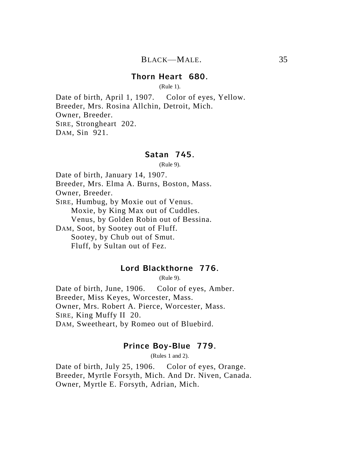### **Thorn Heart 680.**

(Rule 1).

Date of birth, April 1, 1907. Color of eyes, Yellow. Breeder, Mrs. Rosina Allchin, Detroit, Mich. Owner, Breeder. SIRE, Strongheart 202. DAM, Sin 921.

### **Satan 745.**

(Rule 9).

Date of birth, January 14, 1907.

Breeder, Mrs. Elma A. Burns, Boston, Mass.

Owner, Breeder.

SIRE, Humbug, by Moxie out of Venus. Moxie, by King Max out of Cuddles.

Venus, by Golden Robin out of Bessina.

DAM, Soot, by Sootey out of Fluff. Sootey, by Chub out of Smut.

Fluff, by Sultan out of Fez.

# **Lord Blackthorne 776.**

(Rule 9).

Date of birth, June, 1906. Color of eyes, Amber. Breeder, Miss Keyes, Worcester, Mass. Owner, Mrs. Robert A. Pierce, Worcester, Mass. SIRE, King Muffy II 20. DAM, Sweetheart, by Romeo out of Bluebird.

### **Prince Boy-Blue 779.**

(Rules 1 and 2).

Date of birth, July 25, 1906. Color of eyes, Orange. Breeder, Myrtle Forsyth, Mich. And Dr. Niven, Canada. Owner, Myrtle E. Forsyth, Adrian, Mich.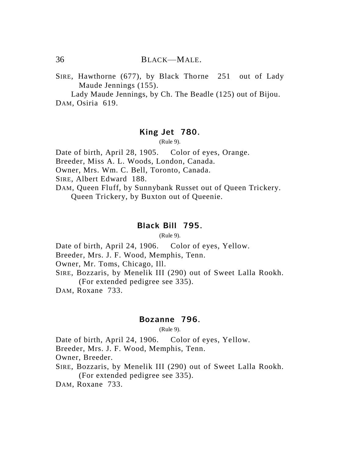SIRE, Hawthorne (677), by Black Thorne 251 out of Lady Maude Jennings (155).

Lady Maude Jennings, by Ch. The Beadle (125) out of Bijou. DAM, Osiria 619.

#### **King Jet 780.**

(Rule 9).

Date of birth, April 28, 1905. Color of eyes, Orange.

Breeder, Miss A. L. Woods, London, Canada.

Owner, Mrs. Wm. C. Bell, Toronto, Canada.

SIRE, Albert Edward 188.

DAM, Queen Fluff, by Sunnybank Russet out of Queen Trickery. Queen Trickery, by Buxton out of Queenie.

### **Black Bill 795.**

(Rule 9).

Date of birth, April 24, 1906. Color of eyes, Yellow.

Breeder, Mrs. J. F. Wood, Memphis, Tenn.

Owner, Mr. Toms, Chicago, Ill.

SIRE, Bozzaris, by Menelik III (290) out of Sweet Lalla Rookh.

(For extended pedigree see 335).

DAM, Roxane 733.

### **Bozanne 796.**

(Rule 9).

Date of birth, April 24, 1906. Color of eyes, Yellow.

Breeder, Mrs. J. F. Wood, Memphis, Tenn.

Owner, Breeder.

SIRE, Bozzaris, by Menelik III (290) out of Sweet Lalla Rookh. (For extended pedigree see 335).

DAM, Roxane 733.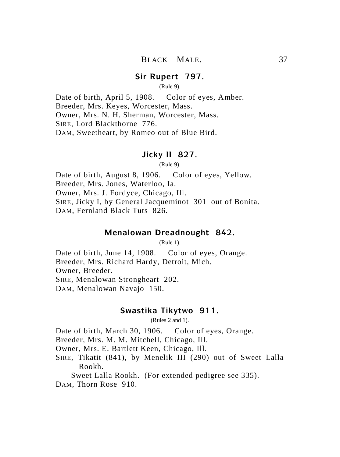#### **Sir Rupert 797.**

(Rule 9).

Date of birth, April 5, 1908. Color of eyes, Amber. Breeder, Mrs. Keyes, Worcester, Mass. Owner, Mrs. N. H. Sherman, Worcester, Mass. SIRE, Lord Blackthorne 776. DAM, Sweetheart, by Romeo out of Blue Bird.

# **Jicky II 827.**

(Rule 9).

Date of birth, August 8, 1906. Color of eyes, Yellow. Breeder, Mrs. Jones, Waterloo, Ia. Owner, Mrs. J. Fordyce, Chicago, Ill. SIRE, Jicky I, by General Jacqueminot 301 out of Bonita. DAM, Fernland Black Tuts 826.

# **Menalowan Dreadnought 842.**

(Rule 1).

Date of birth, June 14, 1908. Color of eyes, Orange. Breeder, Mrs. Richard Hardy, Detroit, Mich. Owner, Breeder. SIRE, Menalowan Strongheart 202. DAM, Menalowan Navajo 150.

#### **Swastika Tikytwo 911.**

(Rules 2 and 1).

Date of birth, March 30, 1906. Color of eyes, Orange.

Breeder, Mrs. M. M. Mitchell, Chicago, Ill.

Owner, Mrs. E. Bartlett Keen, Chicago, Ill.

SIRE, Tikatit (841), by Menelik III (290) out of Sweet Lalla Rookh.

Sweet Lalla Rookh. (For extended pedigree see 335).

DAM, Thorn Rose 910.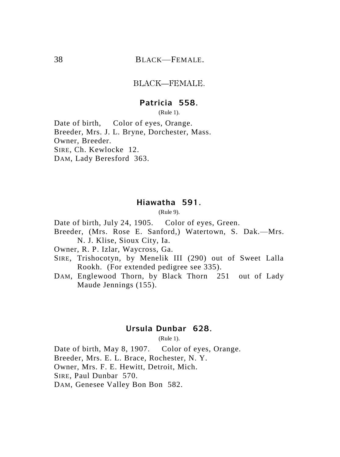# 38 BLACK—FEMALE.

#### BLACK—FEMALE.

### **Patricia 558.**

(Rule 1).

Date of birth. Color of eyes, Orange. Breeder, Mrs. J. L. Bryne, Dorchester, Mass. Owner, Breeder. SIRE, Ch. Kewlocke 12. DAM, Lady Beresford 363.

# **Hiawatha 591.**

(Rule 9).

Date of birth, July 24, 1905. Color of eyes, Green.

Breeder, (Mrs. Rose E. Sanford,) Watertown, S. Dak.—Mrs. N. J. Klise, Sioux City, Ia.

Owner, R. P. Izlar, Waycross, Ga.

- SIRE, Trishocotyn, by Menelik III (290) out of Sweet Lalla Rookh. (For extended pedigree see 335).
- DAM, Englewood Thorn, by Black Thorn 251 out of Lady Maude Jennings (155).

# **Ursula Dunbar 628.**

(Rule 1).

Date of birth, May 8, 1907. Color of eyes, Orange. Breeder, Mrs. E. L. Brace, Rochester, N. Y. Owner, Mrs. F. E. Hewitt, Detroit, Mich. SIRE, Paul Dunbar 570. DAM, Genesee Valley Bon Bon 582.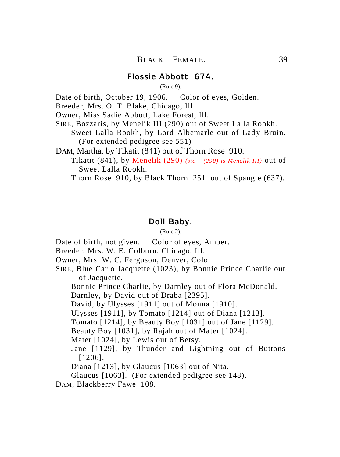# **Flossie Abbott 674.**

(Rule 9).

Date of birth, October 19, 1906. Color of eyes, Golden.

Breeder, Mrs. O. T. Blake, Chicago, Ill.

Owner, Miss Sadie Abbott, Lake Forest, Ill.

SIRE, Bozzaris, by Menelik III (290) out of Sweet Lalla Rookh.

Sweet Lalla Rookh, by Lord Albemarle out of Lady Bruin. (For extended pedigree see 551)

DAM, Martha, by Tikatit (841) out of Thorn Rose 910.

Tikatit (841), by Menelik (290) *(sic – (290) is Menelik III)* out of Sweet Lalla Rookh.

Thorn Rose 910, by Black Thorn 251 out of Spangle (637).

# **Doll Baby.**

(Rule 2).

Date of birth, not given. Color of eyes, Amber.

Breeder, Mrs. W. E. Colburn, Chicago, Ill.

Owner, Mrs. W. C. Ferguson, Denver, Colo.

SIRE, Blue Carlo Jacquette (1023), by Bonnie Prince Charlie out of Jacquette.

Bonnie Prince Charlie, by Darnley out of Flora McDonald.

Darnley, by David out of Draba [2395].

David, by Ulysses [1911] out of Monna [1910].

Ulysses [1911], by Tomato [1214] out of Diana [1213].

Tomato [1214], by Beauty Boy [1031] out of Jane [1129].

Beauty Boy [1031], by Rajah out of Mater [1024].

Mater [1024], by Lewis out of Betsy.

Jane [1129], by Thunder and Lightning out of Buttons [1206].

Diana [1213], by Glaucus [1063] out of Nita.

Glaucus [1063]. (For extended pedigree see 148).

DAM, Blackberry Fawe 108.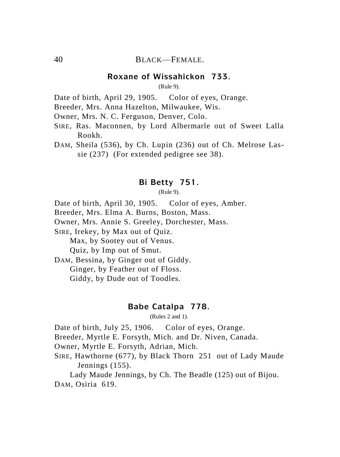# 40 BLACK—FEMALE.

### **Roxane of Wissahickon 733.**

(Rule 9).

Date of birth, April 29, 1905. Color of eyes, Orange.

Breeder, Mrs. Anna Hazelton, Milwaukee, Wis.

Owner, Mrs. N. C. Ferguson, Denver, Colo.

- SIRE, Ras. Maconnen, by Lord Albermarle out of Sweet Lalla Rookh.
- DAM, Sheila (536), by Ch. Lupin (236) out of Ch. Melrose Lassie (237) (For extended pedigree see 38).

### **Bi Betty 751.**

(Rule 9).

Date of birth, April 30, 1905. Color of eyes, Amber.

Breeder, Mrs. Elma A. Burns, Boston, Mass.

Owner, Mrs. Annie S. Greeley, Dorchester, Mass.

SIRE, Irekey, by Max out of Quiz.

Max, by Sootey out of Venus.

Quiz, by Imp out of Smut.

DAM, Bessina, by Ginger out of Giddy.

Ginger, by Feather out of Floss.

Giddy, by Dude out of Toodles.

#### **Babe Catalpa 778.**

(Rules 2 and 1).

Date of birth, July 25, 1906. Color of eyes, Orange.

Breeder, Myrtle E. Forsyth, Mich. and Dr. Niven, Canada.

Owner, Myrtle E. Forsyth, Adrian, Mich.

SIRE, Hawthorne (677), by Black Thorn 251 out of Lady Maude Jennings (155).

Lady Maude Jennings, by Ch. The Beadle (125) out of Bijou. DAM, Osiria 619.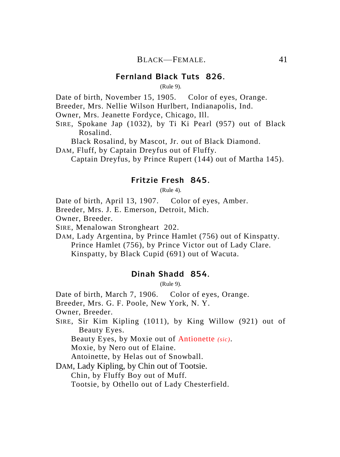### **Fernland Black Tuts 826.**

(Rule 9).

Date of birth, November 15, 1905. Color of eyes. Orange.

Breeder, Mrs. Nellie Wilson Hurlbert, Indianapolis, Ind.

Owner, Mrs. Jeanette Fordyce, Chicago, Ill.

SIRE, Spokane Jap (1032), by Ti Ki Pearl (957) out of Black Rosalind.

Black Rosalind, by Mascot, Jr. out of Black Diamond.

DAM, Fluff, by Captain Dreyfus out of Fluffy.

Captain Dreyfus, by Prince Rupert (144) out of Martha 145).

### **Fritzie Fresh 845.**

(Rule 4).

Date of birth, April 13, 1907. Color of eyes, Amber.

Breeder, Mrs. J. E. Emerson, Detroit, Mich.

Owner, Breeder.

SIRE, Menalowan Strongheart 202.

DAM, Lady Argentina, by Prince Hamlet (756) out of Kinspatty. Prince Hamlet (756), by Prince Victor out of Lady Clare.

Kinspatty, by Black Cupid (691) out of Wacuta.

# **Dinah Shadd 854.**

(Rule 9).

Date of birth, March 7, 1906. Color of eyes, Orange.

Breeder, Mrs. G. F. Poole, New York, N. Y.

Owner, Breeder.

SIRE, Sir Kim Kipling (1011), by King Willow (921) out of Beauty Eyes.

Beauty Eyes, by Moxie out of Antionette *(sic)*.

Moxie, by Nero out of Elaine.

Antoinette, by Helas out of Snowball.

DAM, Lady Kipling, by Chin out of Tootsie.

Chin, by Fluffy Boy out of Muff.

Tootsie, by Othello out of Lady Chesterfield.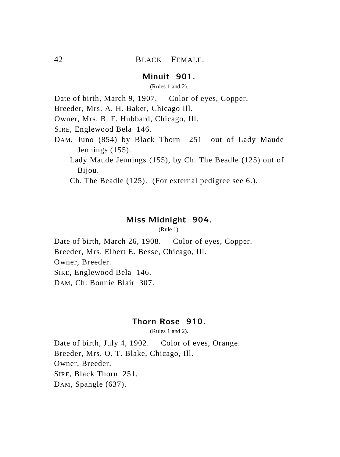### **Minuit 901.**

(Rules 1 and 2).

Date of birth, March 9, 1907. Color of eyes, Copper.

Breeder, Mrs. A. H. Baker, Chicago Ill.

Owner, Mrs. B. F. Hubbard, Chicago, Ill.

SIRE, Englewood Bela 146.

- DAM, Juno (854) by Black Thorn 251 out of Lady Maude Jennings (155).
	- Lady Maude Jennings (155), by Ch. The Beadle (125) out of Bijou.

Ch. The Beadle (125). (For external pedigree see 6.).

### **Miss Midnight 904.**

(Rule 1).

Date of birth, March 26, 1908. Color of eyes, Copper. Breeder, Mrs. Elbert E. Besse, Chicago, Ill. Owner, Breeder. SIRE, Englewood Bela 146. DAM, Ch. Bonnie Blair 307.

# **Thorn Rose 910.**

(Rules 1 and 2).

Date of birth, July 4, 1902. Color of eyes, Orange. Breeder, Mrs. O. T. Blake, Chicago, Ill. Owner, Breeder. SIRE, Black Thorn 251. DAM, Spangle (637).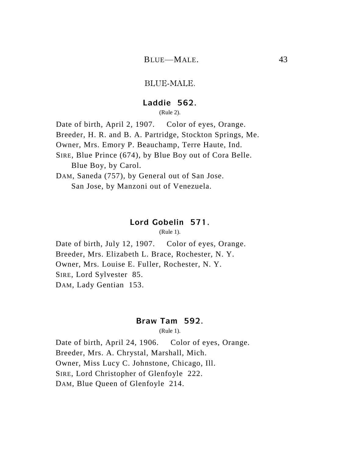### BLUE-MALE.

### **Laddie 562.**

(Rule 2).

Date of birth, April 2, 1907. Color of eyes, Orange. Breeder, H. R. and B. A. Partridge, Stockton Springs, Me. Owner, Mrs. Emory P. Beauchamp, Terre Haute, Ind. SIRE, Blue Prince (674), by Blue Boy out of Cora Belle. Blue Boy, by Carol. DAM, Saneda (757), by General out of San Jose. San Jose, by Manzoni out of Venezuela.

### **Lord Gobelin 571.**

(Rule 1).

Date of birth, July 12, 1907. Color of eyes, Orange. Breeder, Mrs. Elizabeth L. Brace, Rochester, N. Y. Owner, Mrs. Louise E. Fuller, Rochester, N. Y. SIRE, Lord Sylvester 85. DAM, Lady Gentian 153.

### **Braw Tam 592.**

(Rule 1).

Date of birth, April 24, 1906. Color of eyes, Orange. Breeder, Mrs. A. Chrystal, Marshall, Mich. Owner, Miss Lucy C. Johnstone, Chicago, Ill. SIRE, Lord Christopher of Glenfoyle 222. DAM, Blue Queen of Glenfoyle 214.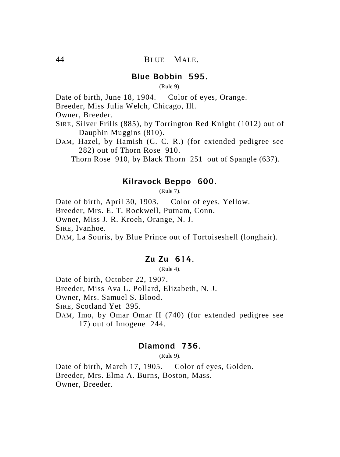### **Blue Bobbin 595.**

(Rule 9).

Date of birth, June 18, 1904. Color of eyes, Orange.

Breeder, Miss Julia Welch, Chicago, Ill.

Owner, Breeder.

- SIRE, Silver Frills (885), by Torrington Red Knight (1012) out of Dauphin Muggins (810).
- DAM, Hazel, by Hamish (C. C. R.) (for extended pedigree see 282) out of Thorn Rose 910.

Thorn Rose 910, by Black Thorn 251 out of Spangle (637).

# **Kilravock Beppo 600.**

(Rule 7).

Date of birth, April 30, 1903. Color of eyes, Yellow. Breeder, Mrs. E. T. Rockwell, Putnam, Conn. Owner, Miss J. R. Kroeh, Orange, N. J. SIRE, Ivanhoe. DAM, La Souris, by Blue Prince out of Tortoiseshell (longhair).

### **Zu Zu 614.**

(Rule 4).

Date of birth, October 22, 1907. Breeder, Miss Ava L. Pollard, Elizabeth, N. J. Owner, Mrs. Samuel S. Blood. SIRE, Scotland Yet 395. DAM, Imo, by Omar Omar II (740) (for extended pedigree see

17) out of Imogene 244.

### **Diamond 736.**

(Rule 9).

Date of birth, March 17, 1905. Color of eyes, Golden. Breeder, Mrs. Elma A. Burns, Boston, Mass. Owner, Breeder.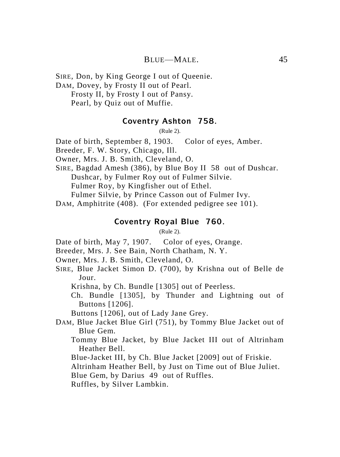# BLUE—MALE. 45

SIRE, Don, by King George I out of Queenie. DAM, Dovey, by Frosty II out of Pearl. Frosty II, by Frosty I out of Pansy. Pearl, by Quiz out of Muffie.

#### **Coventry Ashton 758.**

(Rule 2).

Date of birth, September 8, 1903. Color of eyes, Amber.

Breeder, F. W. Story, Chicago, Ill.

Owner, Mrs. J. B. Smith, Cleveland, O.

SIRE, Bagdad Amesh (386), by Blue Boy II 58 out of Dushcar. Dushcar, by Fulmer Roy out of Fulmer Silvie. Fulmer Roy, by Kingfisher out of Ethel.

Fulmer Silvie, by Prince Casson out of Fulmer Ivy.

DAM, Amphitrite (408). (For extended pedigree see 101).

# **Coventry Royal Blue 760.**

(Rule 2).

Date of birth, May 7, 1907. Color of eyes, Orange.

Breeder, Mrs. J. See Bain, North Chatham, N. Y.

- Owner, Mrs. J. B. Smith, Cleveland, O.
- SIRE, Blue Jacket Simon D. (700), by Krishna out of Belle de Jour.

Krishna, by Ch. Bundle [1305] out of Peerless.

Ch. Bundle [1305], by Thunder and Lightning out of Buttons [1206].

Buttons [1206], out of Lady Jane Grey.

- DAM, Blue Jacket Blue Girl (751), by Tommy Blue Jacket out of Blue Gem.
	- Tommy Blue Jacket, by Blue Jacket III out of Altrinham Heather Bell.
	- Blue-Jacket III, by Ch. Blue Jacket [2009] out of Friskie.

Altrinham Heather Bell, by Just on Time out of Blue Juliet.

Blue Gem, by Darius 49 out of Ruffles.

Ruffles, by Silver Lambkin.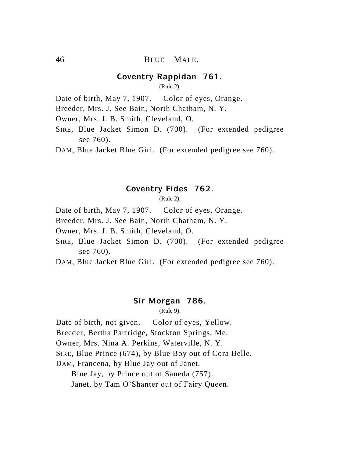### **Coventry Rappidan 761.**

(Rule 2).

Date of birth, May 7, 1907. Color of eyes, Orange.

Breeder, Mrs. J. See Bain, North Chatham, N. Y.

Owner, Mrs. J. B. Smith, Cleveland, O.

SIRE, Blue Jacket Simon D. (700). (For extended pedigree see 760).

DAM, Blue Jacket Blue Girl. (For extended pedigree see 760).

# **Coventry Fides 762.**

(Rule 2).

Date of birth, May 7, 1907. Color of eyes, Orange.

Breeder, Mrs. J. See Bain, North Chatham, N. Y.

Owner, Mrs. J. B. Smith, Cleveland, O.

SIRE, Blue Jacket Simon D. (700). (For extended pedigree see 760).

DAM, Blue Jacket Blue Girl. (For extended pedigree see 760).

### **Sir Morgan 786.**

(Rule 9).

Date of birth, not given. Color of eyes, Yellow.

Breeder, Bertha Partridge, Stockton Springs, Me.

Owner, Mrs. Nina A. Perkins, Waterville, N. Y.

SIRE, Blue Prince (674), by Blue Boy out of Cora Belle.

DAM, Francena, by Blue Jay out of Janet.

Blue Jay, by Prince out of Saneda (757).

Janet, by Tam O'Shanter out of Fairy Queen.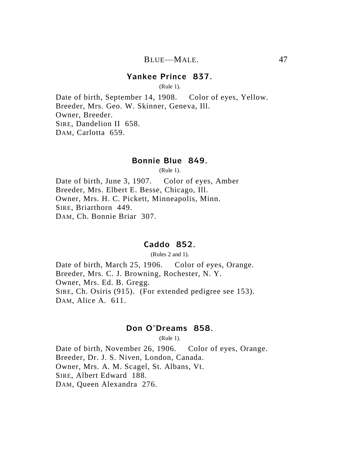### **Yankee Prince 837.**

(Rule 1).

Date of birth, September 14, 1908. Color of eyes, Yellow. Breeder, Mrs. Geo. W. Skinner, Geneva, Ill. Owner, Breeder. SIRE, Dandelion II 658. DAM, Carlotta 659.

### **Bonnie Blue 849.**

(Rule 1).

Date of birth, June 3, 1907. Color of eyes, Amber Breeder, Mrs. Elbert E. Besse, Chicago, Ill. Owner, Mrs. H. C. Pickett, Minneapolis, Minn. SIRE, Briarthorn 449. DAM, Ch. Bonnie Briar 307.

# **Caddo 852.**

(Rules 2 and 1).

Date of birth, March 25, 1906. Color of eyes, Orange. Breeder, Mrs. C. J. Browning, Rochester, N. Y. Owner, Mrs. Ed. B. Gregg. SIRE, Ch. Osiris (915). (For extended pedigree see 153). DAM, Alice A. 611.

### **Don O'Dreams 858.**

(Rule 1).

Date of birth, November 26, 1906. Color of eyes, Orange. Breeder, Dr. J. S. Niven, London, Canada. Owner, Mrs. A. M. Scagel, St. Albans, Vt. SIRE, Albert Edward 188. DAM, Queen Alexandra 276.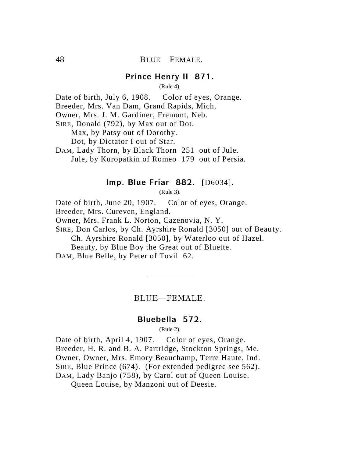### **Prince Henry II 871.**

(Rule 4).

Date of birth, July 6, 1908. Color of eyes, Orange.

Breeder, Mrs. Van Dam, Grand Rapids, Mich.

Owner, Mrs. J. M. Gardiner, Fremont, Neb.

SIRE, Donald (792), by Max out of Dot.

Max, by Patsy out of Dorothy.

Dot, by Dictator I out of Star.

DAM, Lady Thorn, by Black Thorn 251 out of Jule. Jule, by Kuropatkin of Romeo 179 out of Persia.

### **Imp. Blue Friar 882.** [D6034].

(Rule 3).

Date of birth, June 20, 1907. Color of eyes, Orange.

Breeder, Mrs. Cureven, England.

Owner, Mrs. Frank L. Norton, Cazenovia, N. Y.

SIRE, Don Carlos, by Ch. Ayrshire Ronald [3050] out of Beauty. Ch. Ayrshire Ronald [3050], by Waterloo out of Hazel.

Beauty, by Blue Boy the Great out of Bluette.

DAM, Blue Belle, by Peter of Tovil 62.

BLUE—FEMALE.

——————

### **Bluebella 572.**

(Rule 2).

Date of birth, April 4, 1907. Color of eyes, Orange. Breeder, H. R. and B. A. Partridge, Stockton Springs, Me. Owner, Owner, Mrs. Emory Beauchamp, Terre Haute, Ind. SIRE, Blue Prince (674). (For extended pedigree see 562). DAM, Lady Banjo (758), by Carol out of Queen Louise.

Queen Louise, by Manzoni out of Deesie.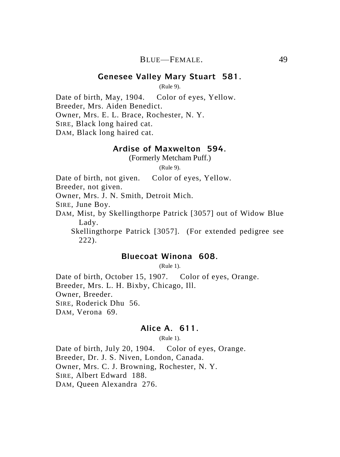### **Genesee Valley Mary Stuart 581.**

(Rule 9).

Date of birth, May, 1904. Color of eyes, Yellow. Breeder, Mrs. Aiden Benedict. Owner, Mrs. E. L. Brace, Rochester, N. Y. SIRE, Black long haired cat. DAM, Black long haired cat.

# **Ardise of Maxwelton 594.**

(Formerly Metcham Puff.)

(Rule 9).

Date of birth, not given. Color of eyes, Yellow.

Breeder, not given.

Owner, Mrs. J. N. Smith, Detroit Mich.

SIRE, June Boy.

DAM, Mist, by Skellingthorpe Patrick [3057] out of Widow Blue Lady.

Skellingthorpe Patrick [3057]. (For extended pedigree see 222).

### **Bluecoat Winona 608.**

(Rule 1).

Date of birth, October 15, 1907. Color of eyes, Orange. Breeder, Mrs. L. H. Bixby, Chicago, Ill. Owner, Breeder. SIRE, Roderick Dhu 56. DAM, Verona 69.

# **Alice A. 611.**

(Rule 1).

Date of birth, July 20, 1904. Color of eyes, Orange. Breeder, Dr. J. S. Niven, London, Canada. Owner, Mrs. C. J. Browning, Rochester, N. Y. SIRE, Albert Edward 188. DAM, Queen Alexandra 276.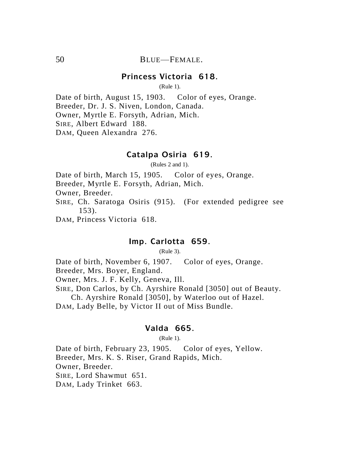# **Princess Victoria 618.**

(Rule 1).

Date of birth, August 15, 1903. Color of eyes, Orange. Breeder, Dr. J. S. Niven, London, Canada. Owner, Myrtle E. Forsyth, Adrian, Mich. SIRE, Albert Edward 188. DAM, Queen Alexandra 276.

#### **Catalpa Osiria 619.**

(Rules 2 and 1).

Date of birth, March 15, 1905. Color of eyes, Orange.

Breeder, Myrtle E. Forsyth, Adrian, Mich.

Owner, Breeder.

SIRE, Ch. Saratoga Osiris (915). (For extended pedigree see 153).

DAM, Princess Victoria 618.

# **Imp. Carlotta 659.**

(Rule 3).

Date of birth, November 6, 1907. Color of eyes, Orange.

Breeder, Mrs. Boyer, England.

Owner, Mrs. J. F. Kelly, Geneva, Ill.

SIRE, Don Carlos, by Ch. Ayrshire Ronald [3050] out of Beauty.

Ch. Ayrshire Ronald [3050], by Waterloo out of Hazel.

DAM, Lady Belle, by Victor II out of Miss Bundle.

# **Valda 665.**

(Rule 1).

Date of birth, February 23, 1905. Color of eyes, Yellow. Breeder, Mrs. K. S. Riser, Grand Rapids, Mich. Owner, Breeder. SIRE, Lord Shawmut 651. DAM, Lady Trinket 663.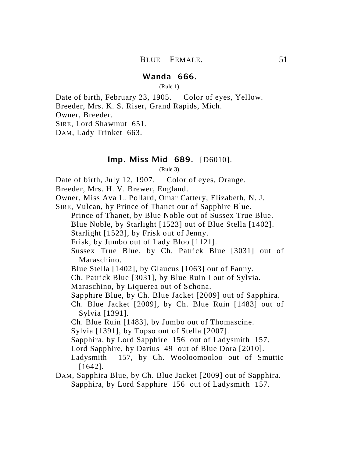# **Wanda 666.**

(Rule 1).

Date of birth, February 23, 1905. Color of eyes, Yellow. Breeder, Mrs. K. S. Riser, Grand Rapids, Mich.

Owner, Breeder.

SIRE, Lord Shawmut 651.

DAM, Lady Trinket 663.

# **Imp. Miss Mid 689.** [D6010].

(Rule 3).

Date of birth, July 12, 1907. Color of eyes, Orange.

Breeder, Mrs. H. V. Brewer, England.

Owner, Miss Ava L. Pollard, Omar Cattery, Elizabeth, N. J.

SIRE, Vulcan, by Prince of Thanet out of Sapphire Blue.

Prince of Thanet, by Blue Noble out of Sussex True Blue.

Blue Noble, by Starlight [1523] out of Blue Stella [1402].

Starlight [1523], by Frisk out of Jenny.

Frisk, by Jumbo out of Lady Bloo [1121].

Sussex True Blue, by Ch. Patrick Blue [3031] out of Maraschino.

Blue Stella [1402], by Glaucus [1063] out of Fanny.

Ch. Patrick Blue [3031], by Blue Ruin I out of Sylvia.

Maraschino, by Liquerea out of Schona.

Sapphire Blue, by Ch. Blue Jacket [2009] out of Sapphira.

Ch. Blue Jacket [2009], by Ch. Blue Ruin [1483] out of Sylvia [1391].

Ch. Blue Ruin [1483], by Jumbo out of Thomascine.

Sylvia [1391], by Topso out of Stella [2007].

Sapphira, by Lord Sapphire 156 out of Ladysmith 157.

Lord Sapphire, by Darius 49 out of Blue Dora [2010].

Ladysmith 157, by Ch. Wooloomooloo out of Smuttie [1642].

DAM, Sapphira Blue, by Ch. Blue Jacket [2009] out of Sapphira. Sapphira, by Lord Sapphire 156 out of Ladysmith 157.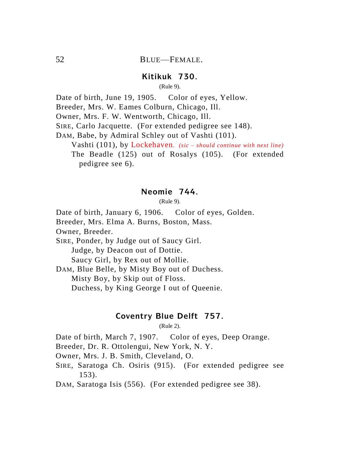### **Kitikuk 730.**

(Rule 9).

Date of birth, June 19, 1905. Color of eyes, Yellow.

Breeder, Mrs. W. Eames Colburn, Chicago, Ill.

Owner, Mrs. F. W. Wentworth, Chicago, Ill.

SIRE, Carlo Jacquette. (For extended pedigree see 148).

DAM, Babe, by Admiral Schley out of Vashti (101).

Vashti (101), by Lockehaven*. (sic – should continue with next line)* The Beadle (125) out of Rosalys (105). (For extended pedigree see 6).

### **Neomie 744.**

(Rule 9).

Date of birth, January 6, 1906. Color of eyes, Golden.

Breeder, Mrs. Elma A. Burns, Boston, Mass.

Owner, Breeder.

SIRE, Ponder, by Judge out of Saucy Girl. Judge, by Deacon out of Dottie. Saucy Girl, by Rex out of Mollie.

DAM, Blue Belle, by Misty Boy out of Duchess. Misty Boy, by Skip out of Floss. Duchess, by King George I out of Queenie.

### **Coventry Blue Delft 757.**

(Rule 2).

Date of birth, March 7, 1907. Color of eyes, Deep Orange.

Breeder, Dr. R. Ottolengui, New York, N. Y.

Owner, Mrs. J. B. Smith, Cleveland, O.

SIRE, Saratoga Ch. Osiris (915). (For extended pedigree see 153).

DAM, Saratoga Isis (556). (For extended pedigree see 38).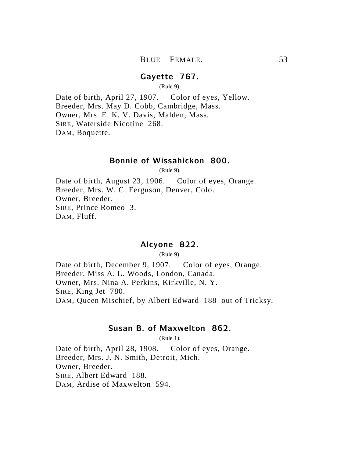### **Gayette 767.**

(Rule 9).

Date of birth, April 27, 1907. Color of eyes, Yellow. Breeder, Mrs. May D. Cobb, Cambridge, Mass. Owner, Mrs. E. K. V. Davis, Malden, Mass. SIRE, Waterside Nicotine 268. DAM, Boquette.

# **Bonnie of Wissahickon 800.**

(Rule 9).

Date of birth, August 23, 1906. Color of eyes, Orange. Breeder, Mrs. W. C. Ferguson, Denver, Colo. Owner, Breeder. SIRE, Prince Romeo 3. DAM, Fluff.

# **Alcyone 822.**

(Rule 9).

Date of birth, December 9, 1907. Color of eyes, Orange. Breeder, Miss A. L. Woods, London, Canada. Owner, Mrs. Nina A. Perkins, Kirkville, N. Y. SIRE, King Jet 780. DAM, Queen Mischief, by Albert Edward 188 out of Tricksy.

### **Susan B. of Maxwelton 862.**

(Rule 1).

Date of birth, April 28, 1908. Color of eyes, Orange. Breeder, Mrs. J. N. Smith, Detroit, Mich. Owner, Breeder. SIRE, Albert Edward 188. DAM, Ardise of Maxwelton 594.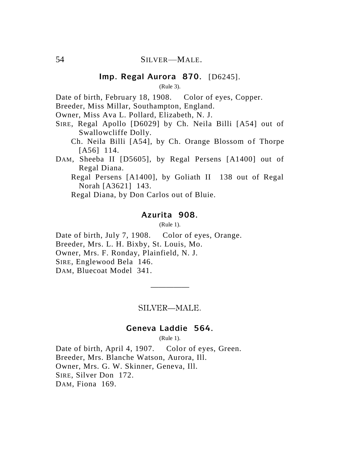# **Imp. Regal Aurora 870.** [D6245].

(Rule 3).

Date of birth, February 18, 1908. Color of eyes, Copper.

Breeder, Miss Millar, Southampton, England.

Owner, Miss Ava L. Pollard, Elizabeth, N. J.

- SIRE, Regal Apollo [D6029] by Ch. Neila Billi [A54] out of Swallowcliffe Dolly.
	- Ch. Neila Billi [A54], by Ch. Orange Blossom of Thorpe [A56] 114.
- DAM, Sheeba II [D5605], by Regal Persens [A1400] out of Regal Diana.
	- Regal Persens [A1400], by Goliath II 138 out of Regal Norah [A3621] 143.
	- Regal Diana, by Don Carlos out of Bluie.

#### **Azurita 908.**

(Rule 1).

Date of birth, July 7, 1908. Color of eyes, Orange.

Breeder, Mrs. L. H. Bixby, St. Louis, Mo.

Owner, Mrs. F. Ronday, Plainfield, N. J.

SIRE, Englewood Bela 146.

DAM, Bluecoat Model 341.

#### SILVER—MALE.

—————

### **Geneva Laddie 564.**

(Rule 1).

Date of birth, April 4, 1907. Color of eyes, Green. Breeder, Mrs. Blanche Watson, Aurora, Ill. Owner, Mrs. G. W. Skinner, Geneva, Ill. SIRE, Silver Don 172. DAM, Fiona 169.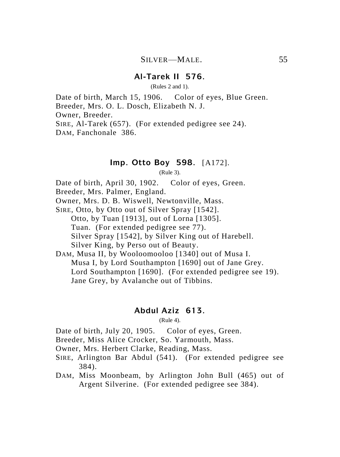### **Al-Tarek II 576.**

(Rules 2 and 1).

Date of birth, March 15, 1906. Color of eyes, Blue Green. Breeder, Mrs. O. L. Dosch, Elizabeth N. J. Owner, Breeder. SIRE, Al-Tarek (657). (For extended pedigree see 24). DAM, Fanchonale 386.

# **Imp. Otto Boy 598.** [A172].

(Rule 3).

Date of birth, April 30, 1902. Color of eyes, Green.

Breeder, Mrs. Palmer, England.

Owner, Mrs. D. B. Wiswell, Newtonville, Mass.

SIRE, Otto, by Otto out of Silver Spray [1542]. Otto, by Tuan [1913], out of Lorna [1305]. Tuan. (For extended pedigree see 77). Silver Spray [1542], by Silver King out of Harebell. Silver King, by Perso out of Beauty.

DAM, Musa II, by Wooloomooloo [1340] out of Musa I. Musa I, by Lord Southampton [1690] out of Jane Grey. Lord Southampton [1690]. (For extended pedigree see 19). Jane Grey, by Avalanche out of Tibbins.

### **Abdul Aziz 613.**

(Rule 4).

Date of birth, July 20, 1905. Color of eyes, Green.

- Breeder, Miss Alice Crocker, So. Yarmouth, Mass.
- Owner, Mrs. Herbert Clarke, Reading, Mass.
- SIRE, Arlington Bar Abdul (541). (For extended pedigree see 384).
- DAM, Miss Moonbeam, by Arlington John Bull (465) out of Argent Silverine. (For extended pedigree see 384).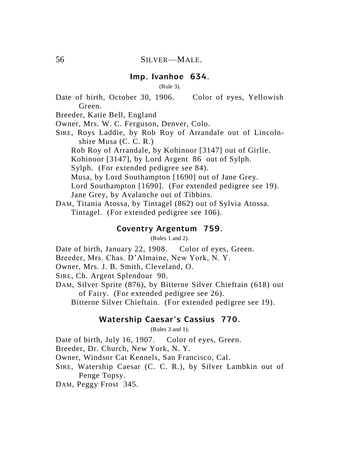# **Imp. Ivanhoe 634.**

(Rule 3).

Date of birth, October 30, 1906. Color of eyes, Yellowish Green.

Breeder, Katie Bell, England

Owner, Mrs. W. C. Ferguson, Denver, Colo.

SIRE, Roys Laddie, by Rob Roy of Arrandale out of Lincolnshire Musa (C. C. R.)

Rob Roy of Arrandale, by Kohinoor [3147] out of Girlie.

Kohinoor [3147], by Lord Argent 86 out of Sylph.

Sylph. (For extended pedigree see 84).

Musa, by Lord Southampton [1690] out of Jane Grey.

Lord Southampton [1690]. (For extended pedigree see 19).

Jane Grey, by Avalanche out of Tibbins.

DAM, Titania Atossa, by Tintagel (862) out of Sylvia Atossa. Tintagel. (For extended pedigree see 106).

### **Coventry Argentum 759.**

(Rules 1 and 2).

Date of birth, January 22, 1908. Color of eyes, Green.

Breeder, Mrs. Chas. D'Almaine, New York, N. Y.

Owner, Mrs. J. B. Smith, Cleveland, O.

SIRE, Ch. Argent Splendour 90.

DAM, Silver Sprite (876), by Bitterne Silver Chieftain (618) out of Fairy. (For extended pedigree see 26).

Bitterne Silver Chieftain. (For extended pedigree see 19).

# **Watership Caesar's Cassius 770.**

(Rules 3 and 1).

Date of birth, July 16, 1907. Color of eyes, Green.

Breeder, Dr. Church, New York, N. Y.

Owner, Windsor Cat Kennels, San Francisco, Cal.

SIRE, Watership Caesar (C. C. R.), by Silver Lambkin out of Penge Topsy.

DAM, Peggy Frost 345.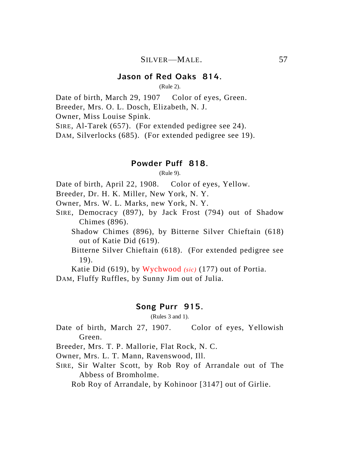### **Jason of Red Oaks 814.**

(Rule 2).

Date of birth, March 29, 1907 Color of eyes, Green.

Breeder, Mrs. O. L. Dosch, Elizabeth, N. J.

Owner, Miss Louise Spink.

SIRE, Al-Tarek (657). (For extended pedigree see 24).

DAM, Silverlocks (685). (For extended pedigree see 19).

#### **Powder Puff 818.**

(Rule 9).

Date of birth, April 22, 1908. Color of eyes, Yellow.

Breeder, Dr. H. K. Miller, New York, N. Y.

Owner, Mrs. W. L. Marks, new York, N. Y.

- SIRE, Democracy (897), by Jack Frost (794) out of Shadow Chimes (896).
	- Shadow Chimes (896), by Bitterne Silver Chieftain (618) out of Katie Did (619).
	- Bitterne Silver Chieftain (618). (For extended pedigree see 19).

Katie Did (619), by Wychwood *(sic)* (177) out of Portia.

DAM, Fluffy Ruffles, by Sunny Jim out of Julia.

#### **Song Purr 915.**

(Rules 3 and 1).

Date of birth, March 27, 1907. Color of eyes, Yellowish Green.

Breeder, Mrs. T. P. Mallorie, Flat Rock, N. C.

Owner, Mrs. L. T. Mann, Ravenswood, Ill.

SIRE, Sir Walter Scott, by Rob Roy of Arrandale out of The Abbess of Bromholme.

Rob Roy of Arrandale, by Kohinoor [3147] out of Girlie.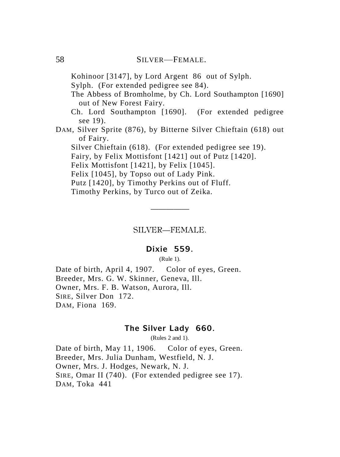Kohinoor [3147], by Lord Argent 86 out of Sylph.

Sylph. (For extended pedigree see 84).

The Abbess of Bromholme, by Ch. Lord Southampton [1690] out of New Forest Fairy.

Ch. Lord Southampton [1690]. (For extended pedigree see 19).

DAM, Silver Sprite (876), by Bitterne Silver Chieftain (618) out of Fairy.

Silver Chieftain (618). (For extended pedigree see 19).

Fairy, by Felix Mottisfont [1421] out of Putz [1420].

Felix Mottisfont [1421], by Felix [1045].

Felix [1045], by Topso out of Lady Pink.

Putz [1420], by Timothy Perkins out of Fluff.

Timothy Perkins, by Turco out of Zeika.

SILVER—FEMALE.

—————

# **Dixie 559.**

(Rule 1).

Date of birth, April 4, 1907. Color of eyes, Green. Breeder, Mrs. G. W. Skinner, Geneva, Ill. Owner, Mrs. F. B. Watson, Aurora, Ill. SIRE, Silver Don 172. DAM, Fiona 169.

### **The Silver Lady 660.**

(Rules 2 and 1).

Date of birth, May 11, 1906. Color of eyes, Green. Breeder, Mrs. Julia Dunham, Westfield, N. J. Owner, Mrs. J. Hodges, Newark, N. J. SIRE, Omar II (740). (For extended pedigree see 17). DAM, Toka 441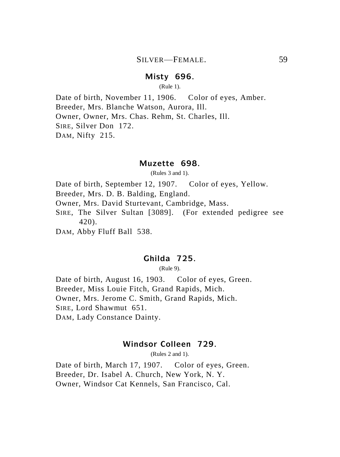# **Misty 696.**

(Rule 1).

Date of birth, November 11, 1906. Color of eyes, Amber. Breeder, Mrs. Blanche Watson, Aurora, Ill. Owner, Owner, Mrs. Chas. Rehm, St. Charles, Ill. SIRE, Silver Don 172. DAM, Nifty 215.

#### **Muzette 698.**

(Rules 3 and 1).

Date of birth, September 12, 1907. Color of eyes, Yellow.

Breeder, Mrs. D. B. Balding, England.

Owner, Mrs. David Sturtevant, Cambridge, Mass.

SIRE, The Silver Sultan [3089]. (For extended pedigree see 420).

DAM, Abby Fluff Ball 538.

# **Ghilda 725.**

(Rule 9).

Date of birth, August 16, 1903. Color of eyes, Green. Breeder, Miss Louie Fitch, Grand Rapids, Mich. Owner, Mrs. Jerome C. Smith, Grand Rapids, Mich. SIRE, Lord Shawmut 651. DAM, Lady Constance Dainty.

### **Windsor Colleen 729.**

(Rules 2 and 1).

Date of birth, March 17, 1907. Color of eyes, Green. Breeder, Dr. Isabel A. Church, New York, N. Y. Owner, Windsor Cat Kennels, San Francisco, Cal.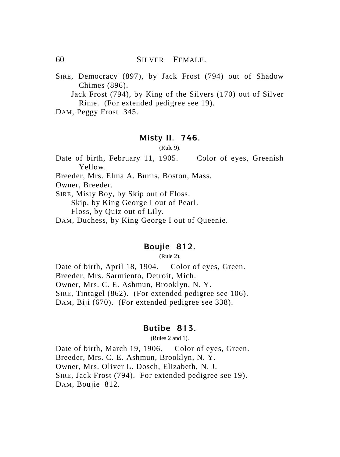60 SILVER—FEMALE.

SIRE, Democracy (897), by Jack Frost (794) out of Shadow Chimes (896).

Jack Frost (794), by King of the Silvers (170) out of Silver Rime. (For extended pedigree see 19).

DAM, Peggy Frost 345.

#### **Misty II. 746.**

(Rule 9).

Date of birth, February 11, 1905. Color of eyes, Greenish Yellow.

Breeder, Mrs. Elma A. Burns, Boston, Mass.

Owner, Breeder.

SIRE, Misty Boy, by Skip out of Floss.

Skip, by King George I out of Pearl.

Floss, by Quiz out of Lily.

DAM, Duchess, by King George I out of Queenie.

#### **Boujie 812.**

(Rule 2).

Date of birth, April 18, 1904. Color of eyes, Green. Breeder, Mrs. Sarmiento, Detroit, Mich. Owner, Mrs. C. E. Ashmun, Brooklyn, N. Y. SIRE, Tintagel (862). (For extended pedigree see 106). DAM, Biji (670). (For extended pedigree see 338).

# **Butibe 813.**

(Rules 2 and 1).

Date of birth, March 19, 1906. Color of eyes, Green. Breeder, Mrs. C. E. Ashmun, Brooklyn, N. Y. Owner, Mrs. Oliver L. Dosch, Elizabeth, N. J. SIRE, Jack Frost (794). For extended pedigree see 19). DAM, Boujie 812.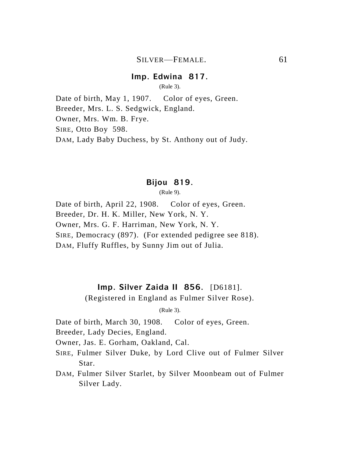### **Imp. Edwina 817.**

(Rule 3).

Date of birth, May 1, 1907. Color of eyes, Green. Breeder, Mrs. L. S. Sedgwick, England. Owner, Mrs. Wm. B. Frye. SIRE, Otto Boy 598. DAM, Lady Baby Duchess, by St. Anthony out of Judy.

# **Bijou 819.**

(Rule 9).

Date of birth, April 22, 1908. Color of eyes, Green. Breeder, Dr. H. K. Miller, New York, N. Y. Owner, Mrs. G. F. Harriman, New York, N. Y. SIRE, Democracy (897). (For extended pedigree see 818). DAM, Fluffy Ruffles, by Sunny Jim out of Julia.

### **Imp. Silver Zaida II 856.** [D6181].

(Registered in England as Fulmer Silver Rose).

(Rule 3).

Date of birth, March 30, 1908. Color of eyes, Green.

Breeder, Lady Decies, England.

Owner, Jas. E. Gorham, Oakland, Cal.

- SIRE, Fulmer Silver Duke, by Lord Clive out of Fulmer Silver Star.
- DAM, Fulmer Silver Starlet, by Silver Moonbeam out of Fulmer Silver Lady.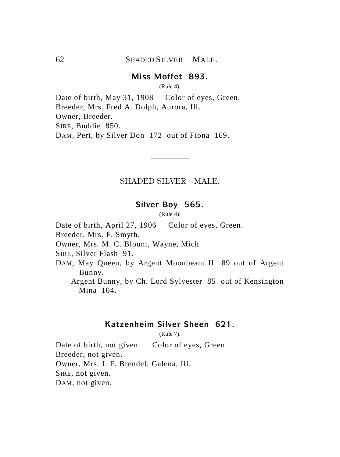# **Miss Moffet 893.**

(Rule 4).

Date of birth, May 31, 1908 Color of eyes, Green. Breeder, Mrs. Fred A. Dolph, Aurora, Ill. Owner, Breeder. SIRE, Buddie 850. DAM, Pert, by Silver Don 172 out of Fiona 169.

### SHADED SILVER—MALE.

—————

#### **Silver Boy 565.**

(Rule 4).

Date of birth, April 27, 1906 Color of eyes, Green.

Breeder, Mrs. F. Smyth.

Owner, Mrs. M. C. Blount, Wayne, Mich.

SIRE, Silver Flash 91.

DAM, May Queen, by Argent Moonbeam II 89 out of Argent Bunny.

Argent Bunny, by Ch. Lord Sylvester 85 out of Kensington Mina 104.

### **Katzenheim Silver Sheen 621.**

(Rule 7).

Date of birth, not given. Color of eyes, Green. Breeder, not given. Owner, Mrs. J. F. Brendel, Galena, Ill. SIRE, not given. DAM, not given.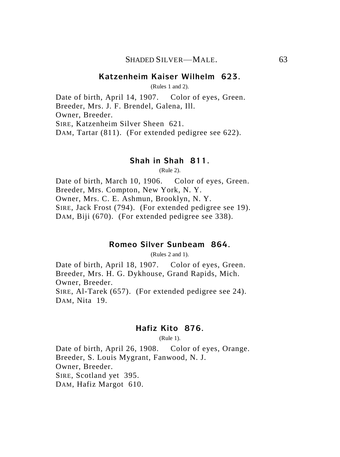### **Katzenheim Kaiser Wilhelm 623.**

(Rules 1 and 2).

Date of birth, April 14, 1907. Color of eyes, Green. Breeder, Mrs. J. F. Brendel, Galena, Ill. Owner, Breeder. SIRE, Katzenheim Silver Sheen 621. DAM, Tartar (811). (For extended pedigree see 622).

#### **Shah in Shah 811.**

(Rule 2).

Date of birth, March 10, 1906. Color of eyes, Green. Breeder, Mrs. Compton, New York, N. Y. Owner, Mrs. C. E. Ashmun, Brooklyn, N. Y. SIRE, Jack Frost (794). (For extended pedigree see 19). DAM, Biji (670). (For extended pedigree see 338).

#### **Romeo Silver Sunbeam 864.**

(Rules 2 and 1).

Date of birth, April 18, 1907. Color of eyes, Green. Breeder, Mrs. H. G. Dykhouse, Grand Rapids, Mich. Owner, Breeder. SIRE, Al-Tarek (657). (For extended pedigree see 24). DAM, Nita 19.

### **Hafiz Kito 876.**

(Rule 1).

Date of birth, April 26, 1908. Color of eyes, Orange. Breeder, S. Louis Mygrant, Fanwood, N. J. Owner, Breeder. SIRE, Scotland yet 395. DAM, Hafiz Margot 610.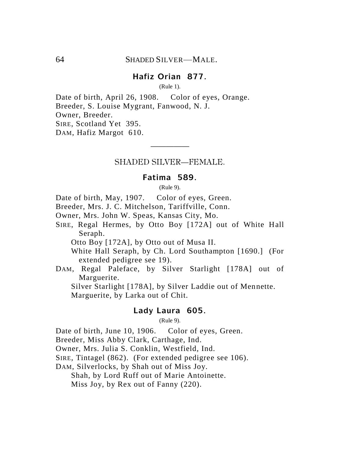# **Hafiz Orian 877.**

(Rule 1).

Date of birth, April 26, 1908. Color of eyes, Orange. Breeder, S. Louise Mygrant, Fanwood, N. J. Owner, Breeder. SIRE, Scotland Yet 395. DAM, Hafiz Margot 610.

# ————— SHADED SILVER—FEMALE.

#### **Fatima 589.**

(Rule 9).

Date of birth, May, 1907. Color of eyes, Green.

Breeder, Mrs. J. C. Mitchelson, Tariffville, Conn.

- Owner, Mrs. John W. Speas, Kansas City, Mo.
- SIRE, Regal Hermes, by Otto Boy [172A] out of White Hall Seraph.

Otto Boy [172A], by Otto out of Musa II.

White Hall Seraph, by Ch. Lord Southampton [1690.] (For extended pedigree see 19).

DAM, Regal Paleface, by Silver Starlight [178A] out of Marguerite.

Silver Starlight [178A], by Silver Laddie out of Mennette. Marguerite, by Larka out of Chit.

#### **Lady Laura 605.**

(Rule 9).

Date of birth, June 10, 1906. Color of eyes, Green.

Breeder, Miss Abby Clark, Carthage, Ind.

Owner, Mrs. Julia S. Conklin, Westfield, Ind.

SIRE, Tintagel (862). (For extended pedigree see 106).

DAM, Silverlocks, by Shah out of Miss Joy.

Shah, by Lord Ruff out of Marie Antoinette.

Miss Joy, by Rex out of Fanny (220).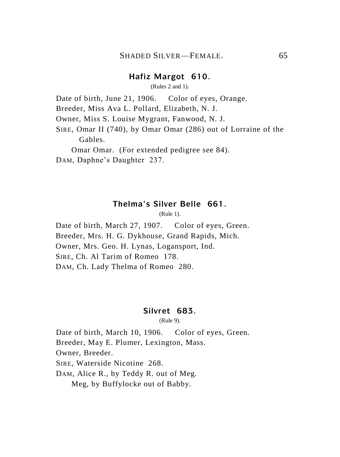# **Hafiz Margot 610.**

(Rules 2 and 1).

Date of birth, June 21, 1906. Color of eyes, Orange.

Breeder, Miss Ava L. Pollard, Elizabeth, N. J.

Owner, Miss S. Louise Mygrant, Fanwood, N. J.

SIRE, Omar II (740), by Omar Omar (286) out of Lorraine of the Gables.

Omar Omar. (For extended pedigree see 84).

DAM, Daphne's Daughter 237.

### **Thelma's Silver Belle 661.**

 $(Rule 1)$ .

Date of birth, March 27, 1907. Color of eyes, Green. Breeder, Mrs. H. G. Dykhouse, Grand Rapids, Mich. Owner, Mrs. Geo. H. Lynas, Logansport, Ind. SIRE, Ch. Al Tarim of Romeo 178. DAM, Ch. Lady Thelma of Romeo 280.

#### **Silvret 683.**

(Rule 9).

Date of birth, March 10, 1906. Color of eyes, Green. Breeder, May E. Plumer, Lexington, Mass. Owner, Breeder. SIRE, Waterside Nicotine 268. DAM, Alice R., by Teddy R. out of Meg. Meg, by Buffylocke out of Babby.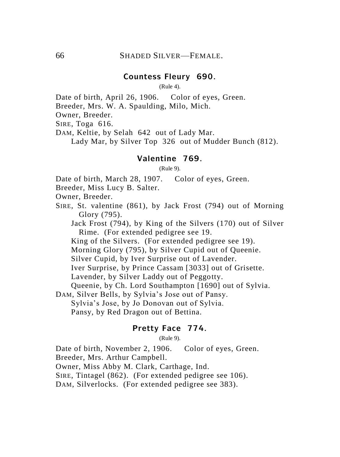# **Countess Fleury 690.**

(Rule 4).

Date of birth, April 26, 1906. Color of eyes, Green.

Breeder, Mrs. W. A. Spaulding, Milo, Mich.

Owner, Breeder.

SIRE, Toga 616.

DAM, Keltie, by Selah 642 out of Lady Mar.

Lady Mar, by Silver Top 326 out of Mudder Bunch (812).

#### **Valentine 769.**

(Rule 9).

Date of birth, March 28, 1907. Color of eyes, Green.

Breeder, Miss Lucy B. Salter.

Owner, Breeder.

SIRE, St. valentine (861), by Jack Frost (794) out of Morning Glory (795).

Jack Frost (794), by King of the Silvers (170) out of Silver Rime. (For extended pedigree see 19.

King of the Silvers. (For extended pedigree see 19).

Morning Glory (795), by Silver Cupid out of Queenie.

Silver Cupid, by Iver Surprise out of Lavender.

Iver Surprise, by Prince Cassam [3033] out of Grisette.

Lavender, by Silver Laddy out of Peggotty.

Queenie, by Ch. Lord Southampton [1690] out of Sylvia.

DAM, Silver Bells, by Sylvia's Jose out of Pansy.

Sylvia's Jose, by Jo Donovan out of Sylvia.

Pansy, by Red Dragon out of Bettina.

# **Pretty Face 774.**

(Rule 9).

Date of birth, November 2, 1906. Color of eyes, Green.

Breeder, Mrs. Arthur Campbell.

Owner, Miss Abby M. Clark, Carthage, Ind.

SIRE, Tintagel (862). (For extended pedigree see 106).

DAM, Silverlocks. (For extended pedigree see 383).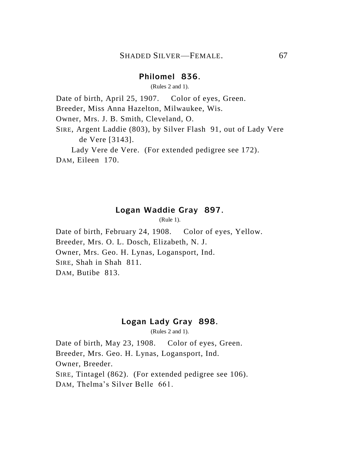### **Philomel 836.**

(Rules 2 and 1).

Date of birth, April 25, 1907. Color of eyes, Green.

Breeder, Miss Anna Hazelton, Milwaukee, Wis.

Owner, Mrs. J. B. Smith, Cleveland, O.

SIRE, Argent Laddie (803), by Silver Flash 91, out of Lady Vere de Vere [3143].

Lady Vere de Vere. (For extended pedigree see 172). DAM, Eileen 170.

### **Logan Waddie Gray 897.**

(Rule 1).

Date of birth, February 24, 1908. Color of eyes, Yellow. Breeder, Mrs. O. L. Dosch, Elizabeth, N. J. Owner, Mrs. Geo. H. Lynas, Logansport, Ind. SIRE, Shah in Shah 811. DAM, Butibe 813.

### **Logan Lady Gray 898.**

(Rules 2 and 1).

Date of birth, May 23, 1908. Color of eyes, Green. Breeder, Mrs. Geo. H. Lynas, Logansport, Ind. Owner, Breeder. SIRE, Tintagel (862). (For extended pedigree see 106). DAM, Thelma's Silver Belle 661.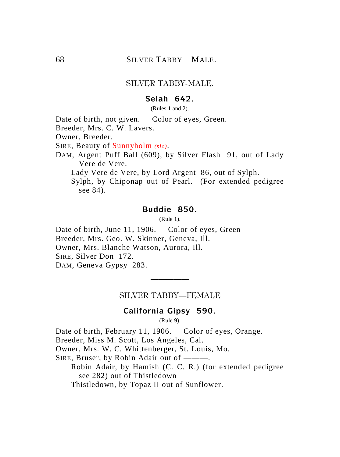### SILVER TABBY-MALE.

# **Selah 642.**

(Rules 1 and 2).

Date of birth, not given. Color of eyes, Green.

Breeder, Mrs. C. W. Lavers.

Owner, Breeder.

SIRE, Beauty of Sunnyholm *(sic)*.

DAM, Argent Puff Ball (609), by Silver Flash 91, out of Lady Vere de Vere.

Lady Vere de Vere, by Lord Argent 86, out of Sylph.

Sylph, by Chiponap out of Pearl. (For extended pedigree see 84).

### **Buddie 850.**

(Rule 1).

Date of birth, June 11, 1906. Color of eyes, Green Breeder, Mrs. Geo. W. Skinner, Geneva, Ill. Owner, Mrs. Blanche Watson, Aurora, Ill. SIRE, Silver Don 172. DAM, Geneva Gypsy 283.

> ————— SILVER TABBY—FEMALE

#### **California Gipsy 590.**

(Rule 9).

Date of birth, February 11, 1906. Color of eyes, Orange.

Breeder, Miss M. Scott, Los Angeles, Cal.

Owner, Mrs. W. C. Whittenberger, St. Louis, Mo.

SIRE, Bruser, by Robin Adair out of ———.

Robin Adair, by Hamish (C. C. R.) (for extended pedigree see 282) out of Thistledown

Thistledown, by Topaz II out of Sunflower.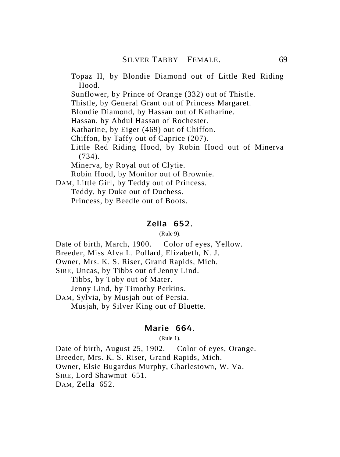Topaz II, by Blondie Diamond out of Little Red Riding Hood.

Sunflower, by Prince of Orange (332) out of Thistle.

Thistle, by General Grant out of Princess Margaret.

Blondie Diamond, by Hassan out of Katharine.

Hassan, by Abdul Hassan of Rochester.

Katharine, by Eiger (469) out of Chiffon.

Chiffon, by Taffy out of Caprice (207).

Little Red Riding Hood, by Robin Hood out of Minerva (734).

Minerva, by Royal out of Clytie.

Robin Hood, by Monitor out of Brownie.

DAM, Little Girl, by Teddy out of Princess.

Teddy, by Duke out of Duchess.

Princess, by Beedle out of Boots.

#### **Zella 652.**

(Rule 9).

Date of birth, March, 1900. Color of eyes, Yellow.

Breeder, Miss Alva L. Pollard, Elizabeth, N. J.

Owner, Mrs. K. S. Riser, Grand Rapids, Mich.

SIRE, Uncas, by Tibbs out of Jenny Lind.

Tibbs, by Toby out of Mater.

Jenny Lind, by Timothy Perkins.

DAM, Sylvia, by Musjah out of Persia.

Musjah, by Silver King out of Bluette.

## **Marie 664.**

(Rule 1).

Date of birth, August 25, 1902. Color of eyes, Orange. Breeder, Mrs. K. S. Riser, Grand Rapids, Mich. Owner, Elsie Bugardus Murphy, Charlestown, W. Va. SIRE, Lord Shawmut 651. DAM, Zella 652.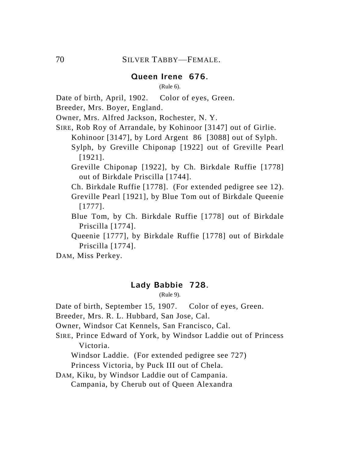## **Queen Irene 676.**

(Rule 6).

Date of birth, April, 1902. Color of eyes, Green.

Breeder, Mrs. Boyer, England.

Owner, Mrs. Alfred Jackson, Rochester, N. Y.

- SIRE, Rob Roy of Arrandale, by Kohinoor [3147] out of Girlie. Kohinoor [3147], by Lord Argent 86 [3088] out of Sylph. Sylph, by Greville Chiponap [1922] out of Greville Pearl [1921].
	- Greville Chiponap [1922], by Ch. Birkdale Ruffie [1778] out of Birkdale Priscilla [1744].
	- Ch. Birkdale Ruffie [1778]. (For extended pedigree see 12).
	- Greville Pearl [1921], by Blue Tom out of Birkdale Queenie [1777].
	- Blue Tom, by Ch. Birkdale Ruffie [1778] out of Birkdale Priscilla [1774].
	- Queenie [1777], by Birkdale Ruffie [1778] out of Birkdale Priscilla [1774].

DAM, Miss Perkey.

#### **Lady Babbie 728.**

(Rule 9).

Date of birth, September 15, 1907. Color of eyes, Green.

- Breeder, Mrs. R. L. Hubbard, San Jose, Cal.
- Owner, Windsor Cat Kennels, San Francisco, Cal.
- SIRE, Prince Edward of York, by Windsor Laddie out of Princess Victoria.

Windsor Laddie. (For extended pedigree see 727) Princess Victoria, by Puck III out of Chela.

DAM, Kiku, by Windsor Laddie out of Campania. Campania, by Cherub out of Queen Alexandra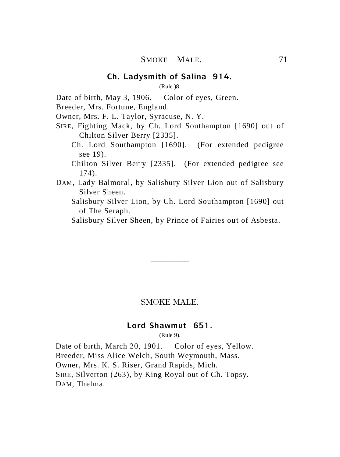(Rule )8.

Date of birth, May 3, 1906. Color of eyes, Green.

Breeder, Mrs. Fortune, England.

Owner, Mrs. F. L. Taylor, Syracuse, N. Y.

- SIRE, Fighting Mack, by Ch. Lord Southampton [1690] out of Chilton Silver Berry [2335].
	- Ch. Lord Southampton [1690]. (For extended pedigree see 19).

Chilton Silver Berry [2335]. (For extended pedigree see 174).

- DAM, Lady Balmoral, by Salisbury Silver Lion out of Salisbury Silver Sheen.
	- Salisbury Silver Lion, by Ch. Lord Southampton [1690] out of The Seraph.

Salisbury Silver Sheen, by Prince of Fairies out of Asbesta.

#### SMOKE MALE.

—————

#### **Lord Shawmut 651.**

(Rule 9).

Date of birth, March 20, 1901. Color of eyes, Yellow. Breeder, Miss Alice Welch, South Weymouth, Mass. Owner, Mrs. K. S. Riser, Grand Rapids, Mich. SIRE, Silverton (263), by King Royal out of Ch. Topsy. DAM, Thelma.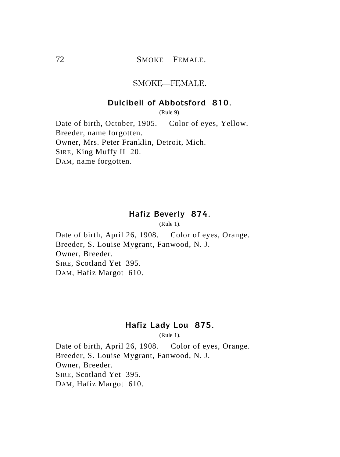## 72 SMOKE—FEMALE.

#### SMOKE—FEMALE.

#### **Dulcibell of Abbotsford 810.**

(Rule 9).

Date of birth, October, 1905. Color of eyes, Yellow. Breeder, name forgotten. Owner, Mrs. Peter Franklin, Detroit, Mich. SIRE, King Muffy II 20. DAM, name forgotten.

## **Hafiz Beverly 874.**

(Rule 1).

Date of birth, April 26, 1908. Color of eyes, Orange. Breeder, S. Louise Mygrant, Fanwood, N. J. Owner, Breeder. SIRE, Scotland Yet 395. DAM, Hafiz Margot 610.

# **Hafiz Lady Lou 875.**

(Rule 1).

Date of birth, April 26, 1908. Color of eyes, Orange. Breeder, S. Louise Mygrant, Fanwood, N. J. Owner, Breeder. SIRE, Scotland Yet 395. DAM, Hafiz Margot 610.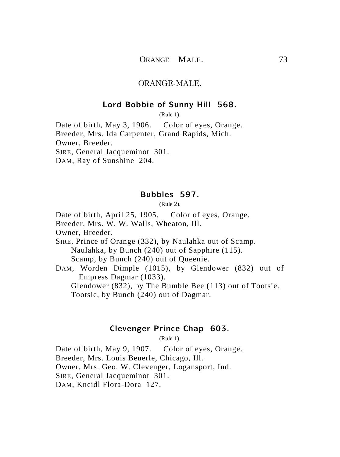#### ORANGE-MALE.

#### **Lord Bobbie of Sunny Hill 568.**

(Rule 1).

Date of birth, May 3, 1906. Color of eyes, Orange. Breeder, Mrs. Ida Carpenter, Grand Rapids, Mich. Owner, Breeder. SIRE, General Jacqueminot 301.

DAM, Ray of Sunshine 204.

#### **Bubbles 597.**

(Rule 2).

Date of birth, April 25, 1905. Color of eyes, Orange.

Breeder, Mrs. W. W. Walls, Wheaton, Ill.

Owner, Breeder.

SIRE, Prince of Orange (332), by Naulahka out of Scamp. Naulahka, by Bunch (240) out of Sapphire (115). Scamp, by Bunch (240) out of Queenie.

DAM, Worden Dimple (1015), by Glendower (832) out of Empress Dagmar (1033).

Glendower (832), by The Bumble Bee (113) out of Tootsie. Tootsie, by Bunch (240) out of Dagmar.

## **Clevenger Prince Chap 603.**

(Rule 1).

Date of birth, May 9, 1907. Color of eyes, Orange. Breeder, Mrs. Louis Beuerle, Chicago, Ill. Owner, Mrs. Geo. W. Clevenger, Logansport, Ind. SIRE, General Jacqueminot 301. DAM, Kneidl Flora-Dora 127.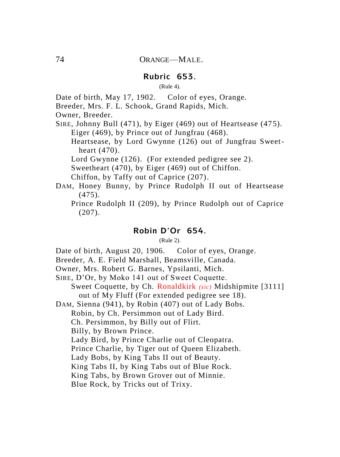#### **Rubric 653.**

(Rule 4).

Date of birth, May 17, 1902. Color of eyes, Orange.

Breeder, Mrs. F. L. Schook, Grand Rapids, Mich.

Owner, Breeder.

SIRE, Johnny Bull (471), by Eiger (469) out of Heartsease (475). Eiger (469), by Prince out of Jungfrau (468).

Heartsease, by Lord Gwynne (126) out of Jungfrau Sweetheart (470).

Lord Gwynne (126). (For extended pedigree see 2).

Sweetheart (470), by Eiger (469) out of Chiffon.

Chiffon, by Taffy out of Caprice (207).

DAM, Honey Bunny, by Prince Rudolph II out of Heartsease (475).

Prince Rudolph II (209), by Prince Rudolph out of Caprice (207).

#### **Robin D'Or 654.**

(Rule 2).

Date of birth, August 20, 1906. Color of eyes, Orange.

Breeder, A. E. Field Marshall, Beamsville, Canada.

Owner, Mrs. Robert G. Barnes, Ypsilanti, Mich.

SIRE, D'Or, by Moko 141 out of Sweet Coquette.

Sweet Coquette, by Ch. Ronaldkirk *(sic)* Midshipmite [3111] out of My Fluff (For extended pedigree see 18).

DAM, Sienna (941), by Robin (407) out of Lady Bobs.

Robin, by Ch. Persimmon out of Lady Bird.

Ch. Persimmon, by Billy out of Flirt.

Billy, by Brown Prince.

Lady Bird, by Prince Charlie out of Cleopatra.

Prince Charlie, by Tiger out of Queen Elizabeth.

Lady Bobs, by King Tabs II out of Beauty.

King Tabs II, by King Tabs out of Blue Rock.

King Tabs, by Brown Grover out of Minnie.

Blue Rock, by Tricks out of Trixy.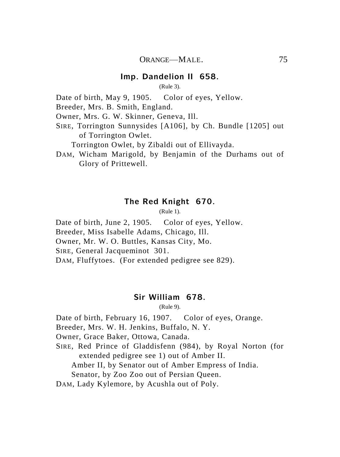#### **Imp. Dandelion II 658.**

(Rule 3).

Date of birth, May 9, 1905. Color of eyes, Yellow.

Breeder, Mrs. B. Smith, England.

Owner, Mrs. G. W. Skinner, Geneva, Ill.

SIRE, Torrington Sunnysides [A106], by Ch. Bundle [1205] out of Torrington Owlet.

Torrington Owlet, by Zibaldi out of Ellivayda.

DAM, Wicham Marigold, by Benjamin of the Durhams out of Glory of Prittewell.

#### **The Red Knight 670.**

(Rule 1).

Date of birth, June 2, 1905. Color of eyes, Yellow. Breeder, Miss Isabelle Adams, Chicago, Ill. Owner, Mr. W. O. Buttles, Kansas City, Mo. SIRE, General Jacqueminot 301. DAM, Fluffytoes. (For extended pedigree see 829).

#### **Sir William 678.**

(Rule 9).

Date of birth, February 16, 1907. Color of eyes, Orange.

Breeder, Mrs. W. H. Jenkins, Buffalo, N. Y.

Owner, Grace Baker, Ottowa, Canada.

SIRE, Red Prince of Gladdisfenn (984), by Royal Norton (for extended pedigree see 1) out of Amber II.

Amber II, by Senator out of Amber Empress of India.

Senator, by Zoo Zoo out of Persian Queen.

DAM, Lady Kylemore, by Acushla out of Poly.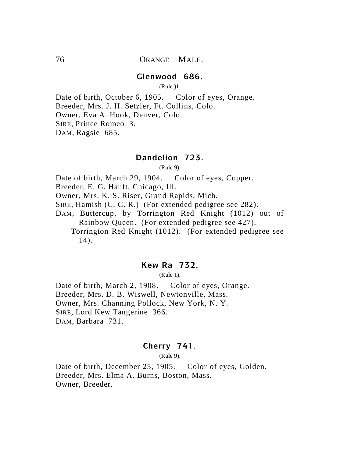#### **Glenwood 686.**

(Rule )1.

Date of birth, October 6, 1905. Color of eyes, Orange. Breeder, Mrs. J. H. Setzler, Ft. Collins, Colo. Owner, Eva A. Hook, Denver, Colo. SIRE, Prince Romeo 3. DAM, Ragsie 685.

#### **Dandelion 723.**

(Rule 9).

Date of birth, March 29, 1904. Color of eyes, Copper.

Breeder, E. G. Hanft, Chicago, Ill.

Owner, Mrs. K. S. Riser, Grand Rapids, Mich.

SIRE, Hamish (C. C. R.) (For extended pedigree see 282).

DAM, Buttercup, by Torrington Red Knight (1012) out of Rainbow Queen. (For extended pedigree see 427).

Torrington Red Knight (1012). (For extended pedigree see 14).

#### **Kew Ra 732.**

(Rule 1).

Date of birth, March 2, 1908. Color of eyes, Orange. Breeder, Mrs. D. B. Wiswell, Newtonville, Mass. Owner, Mrs. Channing Pollock, New York, N. Y. SIRE, Lord Kew Tangerine 366. DAM, Barbara 731.

## **Cherry 741.**

(Rule 9).

Date of birth, December 25, 1905. Color of eyes, Golden. Breeder, Mrs. Elma A. Burns, Boston, Mass. Owner, Breeder.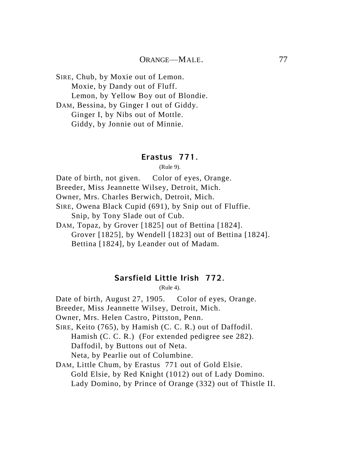SIRE, Chub, by Moxie out of Lemon. Moxie, by Dandy out of Fluff. Lemon, by Yellow Boy out of Blondie. DAM, Bessina, by Ginger I out of Giddy.

Ginger I, by Nibs out of Mottle. Giddy, by Jonnie out of Minnie.

## **Erastus 771.**

(Rule 9).

Date of birth, not given. Color of eyes, Orange.

Breeder, Miss Jeannette Wilsey, Detroit, Mich.

Owner, Mrs. Charles Berwich, Detroit, Mich.

SIRE, Owena Black Cupid (691), by Snip out of Fluffie. Snip, by Tony Slade out of Cub.

DAM, Topaz, by Grover [1825] out of Bettina [1824]. Grover [1825], by Wendell [1823] out of Bettina [1824]. Bettina [1824], by Leander out of Madam.

# **Sarsfield Little Irish 772.**

(Rule 4).

Date of birth, August 27, 1905. Color of eyes, Orange.

Breeder, Miss Jeannette Wilsey, Detroit, Mich.

Owner, Mrs. Helen Castro, Pittston, Penn.

SIRE, Keito (765), by Hamish (C. C. R.) out of Daffodil. Hamish (C. C. R.) (For extended pedigree see 282). Daffodil, by Buttons out of Neta. Neta, by Pearlie out of Columbine.

DAM, Little Chum, by Erastus 771 out of Gold Elsie. Gold Elsie, by Red Knight (1012) out of Lady Domino. Lady Domino, by Prince of Orange (332) out of Thistle II.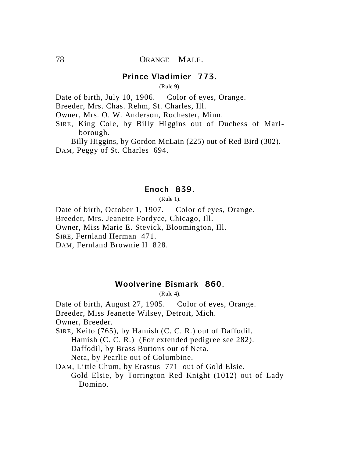## **Prince Vladimier 773.**

(Rule 9).

Date of birth, July 10, 1906. Color of eyes, Orange.

Breeder, Mrs. Chas. Rehm, St. Charles, Ill.

Owner, Mrs. O. W. Anderson, Rochester, Minn.

SIRE, King Cole, by Billy Higgins out of Duchess of Marlborough.

Billy Higgins, by Gordon McLain (225) out of Red Bird (302). DAM, Peggy of St. Charles 694.

#### **Enoch 839.**

(Rule 1).

Date of birth, October 1, 1907. Color of eyes, Orange. Breeder, Mrs. Jeanette Fordyce, Chicago, Ill. Owner, Miss Marie E. Stevick, Bloomington, Ill. SIRE, Fernland Herman 471. DAM, Fernland Brownie II 828.

## **Woolverine Bismark 860.**

(Rule 4).

Date of birth, August 27, 1905. Color of eyes, Orange.

Breeder, Miss Jeanette Wilsey, Detroit, Mich.

Owner, Breeder.

SIRE, Keito (765), by Hamish (C. C. R.) out of Daffodil.

Hamish (C. C. R.) (For extended pedigree see 282).

Daffodil, by Brass Buttons out of Neta.

Neta, by Pearlie out of Columbine.

DAM, Little Chum, by Erastus 771 out of Gold Elsie.

Gold Elsie, by Torrington Red Knight (1012) out of Lady Domino.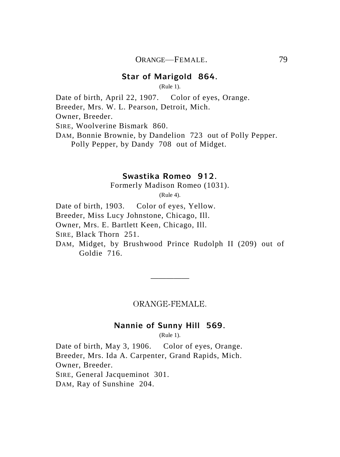#### **Star of Marigold 864.**

(Rule 1).

Date of birth, April 22, 1907. Color of eyes, Orange.

Breeder, Mrs. W. L. Pearson, Detroit, Mich.

Owner, Breeder.

SIRE, Woolverine Bismark 860.

DAM, Bonnie Brownie, by Dandelion 723 out of Polly Pepper. Polly Pepper, by Dandy 708 out of Midget.

## **Swastika Romeo 912.**

Formerly Madison Romeo (1031).

(Rule 4).

Date of birth, 1903. Color of eyes, Yellow. Breeder, Miss Lucy Johnstone, Chicago, Ill. Owner, Mrs. E. Bartlett Keen, Chicago, Ill. SIRE, Black Thorn 251. DAM, Midget, by Brushwood Prince Rudolph II (209) out of Goldie 716.

ORANGE-FEMALE.

—————

#### **Nannie of Sunny Hill 569.**

(Rule 1).

Date of birth, May 3, 1906. Color of eyes, Orange. Breeder, Mrs. Ida A. Carpenter, Grand Rapids, Mich. Owner, Breeder. SIRE, General Jacqueminot 301.

DAM, Ray of Sunshine 204.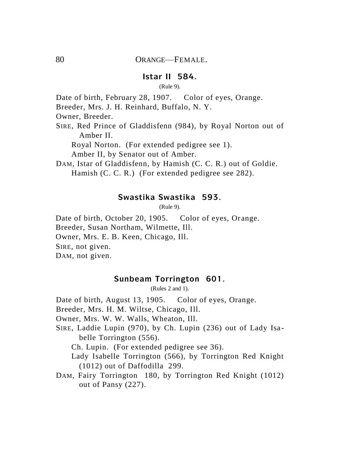## **Istar II 584.**

(Rule 9).

Date of birth, February 28, 1907. Color of eyes, Orange.

Breeder, Mrs. J. H. Reinhard, Buffalo, N. Y.

Owner, Breeder.

SIRE, Red Prince of Gladdisfenn (984), by Royal Norton out of Amber II.

Royal Norton. (For extended pedigree see 1).

Amber II, by Senator out of Amber.

DAM, Istar of Gladdisfenn, by Hamish (C. C. R.) out of Goldie. Hamish (C. C. R.) (For extended pedigree see 282).

#### **Swastika Swastika 593.**

(Rule 9).

Date of birth, October 20, 1905. Color of eyes, Orange. Breeder, Susan Northam, Wilmette, Ill. Owner, Mrs. E. B. Keen, Chicago, Ill. SIRE, not given.

DAM, not given.

## **Sunbeam Torrington 601.**

(Rules 2 and 1).

Date of birth, August 13, 1905. Color of eyes, Orange.

Breeder, Mrs. H. M. Wiltse, Chicago, Ill.

Owner, Mrs. W. W. Walls, Wheaton, Ill.

SIRE, Laddie Lupin (970), by Ch. Lupin (236) out of Lady Isabelle Torrington (556).

Ch. Lupin. (For extended pedigree see 36).

- Lady Isabelle Torrington (566), by Torrington Red Knight (1012) out of Daffodilla 299.
- DAM, Fairy Torrington 180, by Torrington Red Knight (1012) out of Pansy (227).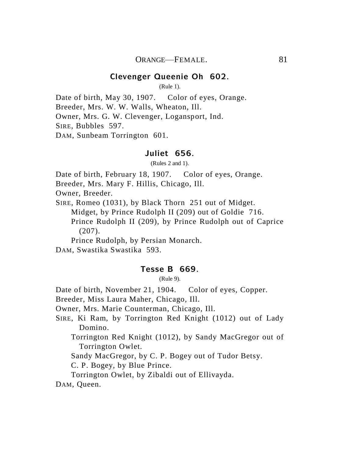#### **Clevenger Queenie Oh 602.**

(Rule 1).

Date of birth, May 30, 1907. Color of eyes, Orange. Breeder, Mrs. W. W. Walls, Wheaton, Ill. Owner, Mrs. G. W. Clevenger, Logansport, Ind. SIRE, Bubbles 597. DAM, Sunbeam Torrington 601.

#### **Juliet 656.**

(Rules 2 and 1).

Date of birth, February 18, 1907. Color of eyes, Orange.

Breeder, Mrs. Mary F. Hillis, Chicago, Ill.

Owner, Breeder.

SIRE, Romeo (1031), by Black Thorn 251 out of Midget.

Midget, by Prince Rudolph II (209) out of Goldie 716.

Prince Rudolph II (209), by Prince Rudolph out of Caprice (207).

Prince Rudolph, by Persian Monarch.

DAM, Swastika Swastika 593.

## **Tesse B 669.**

(Rule 9).

Date of birth, November 21, 1904. Color of eyes, Copper.

Breeder, Miss Laura Maher, Chicago, Ill.

Owner, Mrs. Marie Counterman, Chicago, Ill.

SIRE, Ki Ram, by Torrington Red Knight (1012) out of Lady Domino.

Torrington Red Knight (1012), by Sandy MacGregor out of Torrington Owlet.

Sandy MacGregor, by C. P. Bogey out of Tudor Betsy.

C. P. Bogey, by Blue Prince.

Torrington Owlet, by Zibaldi out of Ellivayda.

DAM, Queen.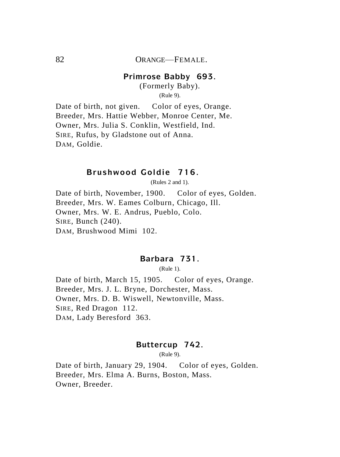#### **Primrose Babby 693.**

(Formerly Baby). (Rule 9).

Date of birth, not given. Color of eyes, Orange. Breeder, Mrs. Hattie Webber, Monroe Center, Me. Owner, Mrs. Julia S. Conklin, Westfield, Ind. SIRE, Rufus, by Gladstone out of Anna. DAM, Goldie.

## **Brushwood Goldie 716.**

(Rules 2 and 1).

Date of birth, November, 1900. Color of eyes, Golden. Breeder, Mrs. W. Eames Colburn, Chicago, Ill. Owner, Mrs. W. E. Andrus, Pueblo, Colo. SIRE, Bunch (240). DAM, Brushwood Mimi 102.

## **Barbara 731.**

(Rule 1).

Date of birth, March 15, 1905. Color of eyes, Orange. Breeder, Mrs. J. L. Bryne, Dorchester, Mass. Owner, Mrs. D. B. Wiswell, Newtonville, Mass. SIRE, Red Dragon 112. DAM, Lady Beresford 363.

#### **Buttercup 742.**

(Rule 9).

Date of birth, January 29, 1904. Color of eyes, Golden. Breeder, Mrs. Elma A. Burns, Boston, Mass. Owner, Breeder.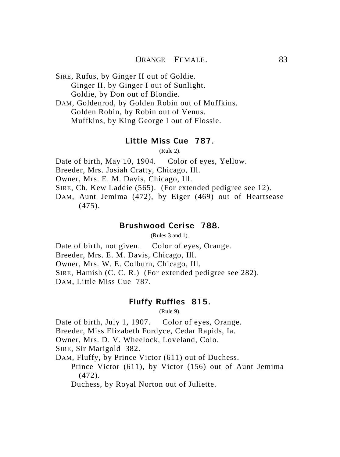SIRE, Rufus, by Ginger II out of Goldie. Ginger II, by Ginger I out of Sunlight. Goldie, by Don out of Blondie. DAM, Goldenrod, by Golden Robin out of Muffkins. Golden Robin, by Robin out of Venus. Muffkins, by King George I out of Flossie.

## **Little Miss Cue 787.**

(Rule 2).

Date of birth, May 10, 1904. Color of eyes, Yellow. Breeder, Mrs. Josiah Cratty, Chicago, Ill.

Owner, Mrs. E. M. Davis, Chicago, Ill.

SIRE, Ch. Kew Laddie (565). (For extended pedigree see 12).

DAM, Aunt Jemima (472), by Eiger (469) out of Heartsease (475).

## **Brushwood Cerise 788.**

(Rules 3 and 1).

Date of birth, not given. Color of eyes, Orange. Breeder, Mrs. E. M. Davis, Chicago, Ill. Owner, Mrs. W. E. Colburn, Chicago, Ill. SIRE, Hamish (C. C. R.) (For extended pedigree see 282). DAM, Little Miss Cue 787.

# **Fluffy Ruffles 815.**

(Rule 9).

Date of birth, July 1, 1907. Color of eyes, Orange.

Breeder, Miss Elizabeth Fordyce, Cedar Rapids, Ia.

Owner, Mrs. D. V. Wheelock, Loveland, Colo.

SIRE, Sir Marigold 382.

DAM, Fluffy, by Prince Victor (611) out of Duchess.

Prince Victor (611), by Victor (156) out of Aunt Jemima (472).

Duchess, by Royal Norton out of Juliette.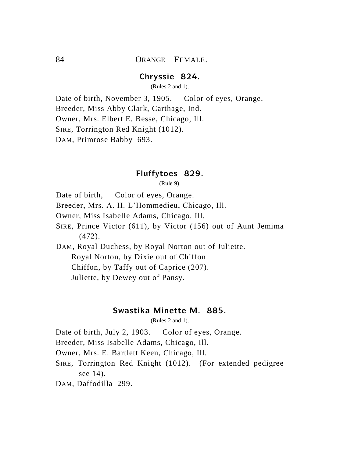# **Chryssie 824.**

(Rules 2 and 1).

Date of birth, November 3, 1905. Color of eyes, Orange. Breeder, Miss Abby Clark, Carthage, Ind. Owner, Mrs. Elbert E. Besse, Chicago, Ill. SIRE, Torrington Red Knight (1012).

DAM, Primrose Babby 693.

#### **Fluffytoes 829.**

(Rule 9).

Date of birth, Color of eyes, Orange.

Breeder, Mrs. A. H. L'Hommedieu, Chicago, Ill.

Owner, Miss Isabelle Adams, Chicago, Ill.

SIRE, Prince Victor (611), by Victor (156) out of Aunt Jemima (472).

DAM, Royal Duchess, by Royal Norton out of Juliette. Royal Norton, by Dixie out of Chiffon. Chiffon, by Taffy out of Caprice (207).

Juliette, by Dewey out of Pansy.

## **Swastika Minette M. 885.**

(Rules 2 and 1).

Date of birth, July 2, 1903. Color of eyes, Orange.

Breeder, Miss Isabelle Adams, Chicago, Ill.

Owner, Mrs. E. Bartlett Keen, Chicago, Ill.

- SIRE, Torrington Red Knight (1012). (For extended pedigree see 14).
- DAM, Daffodilla 299.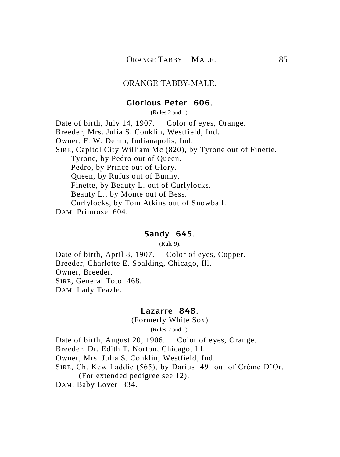#### ORANGE TABBY-MALE.

#### **Glorious Peter 606.**

(Rules 2 and 1).

Date of birth, July 14, 1907. Color of eyes, Orange. Breeder, Mrs. Julia S. Conklin, Westfield, Ind. Owner, F. W. Derno, Indianapolis, Ind. SIRE, Capitol City William Mc (820), by Tyrone out of Finette. Tyrone, by Pedro out of Queen. Pedro, by Prince out of Glory. Queen, by Rufus out of Bunny. Finette, by Beauty L. out of Curlylocks. Beauty L., by Monte out of Bess. Curlylocks, by Tom Atkins out of Snowball. DAM, Primrose 604.

#### **Sandy 645.**

(Rule 9).

Date of birth, April 8, 1907. Color of eyes, Copper. Breeder, Charlotte E. Spalding, Chicago, Ill. Owner, Breeder. SIRE, General Toto 468. DAM, Lady Teazle.

#### **Lazarre 848.**

(Formerly White Sox)

(Rules 2 and 1).

Date of birth, August 20, 1906. Color of eyes, Orange. Breeder, Dr. Edith T. Norton, Chicago, Ill.

Owner, Mrs. Julia S. Conklin, Westfield, Ind.

SIRE, Ch. Kew Laddie (565), by Darius 49 out of Crème D'Or. (For extended pedigree see 12).

DAM, Baby Lover 334.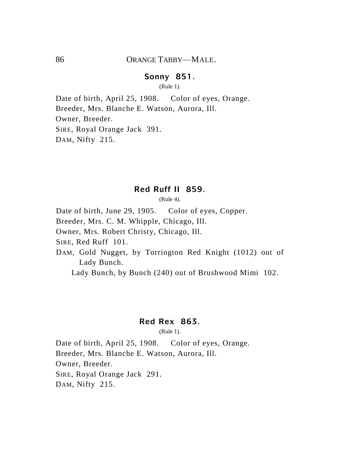## **Sonny 851.**

(Rule 1).

Date of birth, April 25, 1908. Color of eyes, Orange. Breeder, Mrs. Blanche E. Watson, Aurora, Ill. Owner, Breeder. SIRE, Royal Orange Jack 391. DAM, Nifty 215.

#### **Red Ruff II 859.**

(Rule 4).

Date of birth, June 29, 1905. Color of eyes, Copper. Breeder, Mrs. C. M. Whipple, Chicago, Ill. Owner, Mrs. Robert Christy, Chicago, Ill. SIRE, Red Ruff 101. DAM, Gold Nugget, by Torrington Red Knight (1012) out of Lady Bunch. Lady Bunch, by Bunch (240) out of Brushwood Mimi 102.

## **Red Rex 863.**

(Rule 1).

Date of birth, April 25, 1908. Color of eyes, Orange. Breeder, Mrs. Blanche E. Watson, Aurora, Ill. Owner, Breeder. SIRE, Royal Orange Jack 291. DAM, Nifty 215.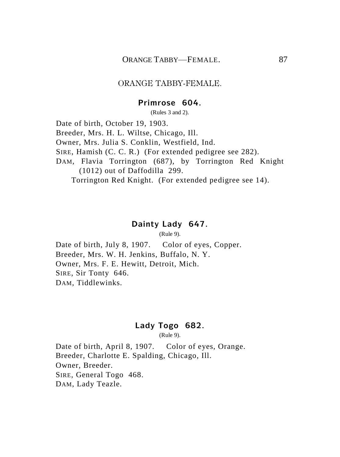#### ORANGE TABBY-FEMALE.

#### **Primrose 604.**

(Rules 3 and 2).

Date of birth, October 19, 1903. Breeder, Mrs. H. L. Wiltse, Chicago, Ill. Owner, Mrs. Julia S. Conklin, Westfield, Ind. SIRE, Hamish (C. C. R.) (For extended pedigree see 282). DAM, Flavia Torrington (687), by Torrington Red Knight (1012) out of Daffodilla 299. Torrington Red Knight. (For extended pedigree see 14).

#### **Dainty Lady 647.**

(Rule 9).

Date of birth, July 8, 1907. Color of eyes, Copper. Breeder, Mrs. W. H. Jenkins, Buffalo, N. Y. Owner, Mrs. F. E. Hewitt, Detroit, Mich. SIRE, Sir Tonty 646. DAM, Tiddlewinks.

## **Lady Togo 682.**

(Rule 9).

Date of birth, April 8, 1907. Color of eyes, Orange. Breeder, Charlotte E. Spalding, Chicago, Ill. Owner, Breeder. SIRE, General Togo 468. DAM, Lady Teazle.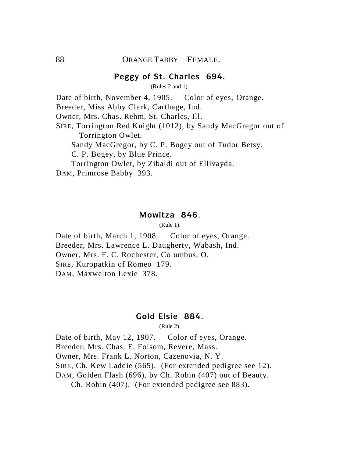## **Peggy of St. Charles 694.**

(Rules 2 and 1).

Date of birth, November 4, 1905. Color of eyes, Orange.

Breeder, Miss Abby Clark, Carthage, Ind.

Owner, Mrs. Chas. Rehm, St. Charles, Ill.

SIRE, Torrington Red Knight (1012), by Sandy MacGregor out of Torrington Owlet.

Sandy MacGregor, by C. P. Bogey out of Tudor Betsy.

C. P. Bogey, by Blue Prince.

Torrington Owlet, by Zibaldi out of Ellivayda.

DAM, Primrose Babby 393.

#### **Mowitza 846.**

(Rule 1).

Date of birth, March 1, 1908. Color of eyes, Orange. Breeder, Mrs. Lawrence L. Daugherty, Wabash, Ind. Owner, Mrs. F. C. Rochester, Columbus, O. SIRE, Kuropatkin of Romeo 179. DAM, Maxwelton Lexie 378.

## **Gold Elsie 884.**

(Rule 2).

Date of birth, May 12, 1907. Color of eyes, Orange. Breeder, Mrs. Chas. E. Folsom, Revere, Mass. Owner, Mrs. Frank L. Norton, Cazenovia, N. Y. SIRE, Ch. Kew Laddie (565). (For extended pedigree see 12). DAM, Golden Flash (696), by Ch. Robin (407) out of Beauty. Ch. Robin (407). (For extended pedigree see 883).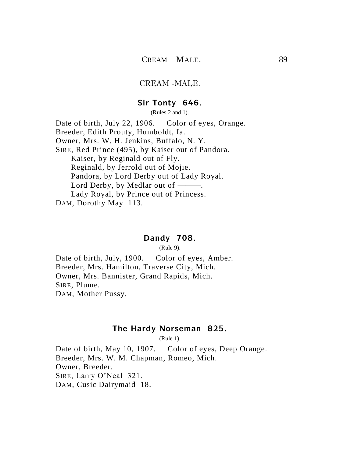#### CREAM -MALE.

#### **Sir Tonty 646.**

(Rules 2 and 1).

Date of birth, July 22, 1906. Color of eyes, Orange. Breeder, Edith Prouty, Humboldt, Ia. Owner, Mrs. W. H. Jenkins, Buffalo, N. Y. SIRE, Red Prince (495), by Kaiser out of Pandora. Kaiser, by Reginald out of Fly. Reginald, by Jerrold out of Mojie. Pandora, by Lord Derby out of Lady Royal. Lord Derby, by Medlar out of ———. Lady Royal, by Prince out of Princess. DAM, Dorothy May 113.

#### **Dandy 708.**

(Rule 9).

Date of birth, July, 1900. Color of eyes, Amber. Breeder, Mrs. Hamilton, Traverse City, Mich. Owner, Mrs. Bannister, Grand Rapids, Mich. SIRE, Plume. DAM, Mother Pussy.

## **The Hardy Norseman 825.**

(Rule 1).

Date of birth, May 10, 1907. Color of eyes, Deep Orange. Breeder, Mrs. W. M. Chapman, Romeo, Mich. Owner, Breeder. SIRE, Larry O'Neal 321. DAM, Cusic Dairymaid 18.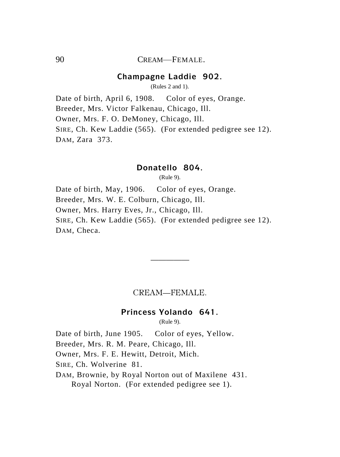## 90 CREAM—FEMALE.

## **Champagne Laddie 902.**

(Rules 2 and 1).

Date of birth, April 6, 1908. Color of eyes, Orange. Breeder, Mrs. Victor Falkenau, Chicago, Ill. Owner, Mrs. F. O. DeMoney, Chicago, Ill. SIRE, Ch. Kew Laddie (565). (For extended pedigree see 12). DAM, Zara 373.

## **Donatello 804.**

(Rule 9).

Date of birth, May, 1906. Color of eyes, Orange. Breeder, Mrs. W. E. Colburn, Chicago, Ill. Owner, Mrs. Harry Eves, Jr., Chicago, Ill. SIRE, Ch. Kew Laddie (565). (For extended pedigree see 12). DAM, Checa.

# CREAM—FEMALE.

—————

## **Princess Yolando 641.**

(Rule 9).

Date of birth, June 1905. Color of eyes, Yellow.

Breeder, Mrs. R. M. Peare, Chicago, Ill.

Owner, Mrs. F. E. Hewitt, Detroit, Mich.

SIRE, Ch. Wolverine 81.

DAM, Brownie, by Royal Norton out of Maxilene 431. Royal Norton. (For extended pedigree see 1).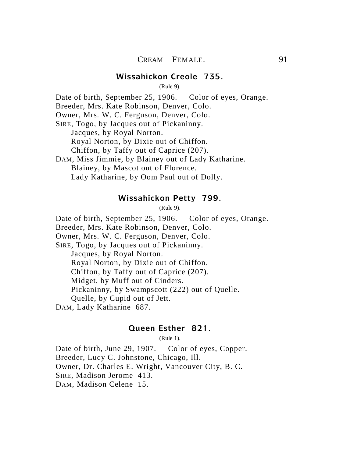## **Wissahickon Creole 735.**

(Rule 9).

Date of birth, September 25, 1906. Color of eyes, Orange.

Breeder, Mrs. Kate Robinson, Denver, Colo.

Owner, Mrs. W. C. Ferguson, Denver, Colo.

SIRE, Togo, by Jacques out of Pickaninny.

Jacques, by Royal Norton.

Royal Norton, by Dixie out of Chiffon.

Chiffon, by Taffy out of Caprice (207).

DAM, Miss Jimmie, by Blainey out of Lady Katharine. Blainey, by Mascot out of Florence. Lady Katharine, by Oom Paul out of Dolly.

#### **Wissahickon Petty 799.**

(Rule 9).

Date of birth, September 25, 1906. Color of eyes, Orange.

Breeder, Mrs. Kate Robinson, Denver, Colo.

Owner, Mrs. W. C. Ferguson, Denver, Colo.

SIRE, Togo, by Jacques out of Pickaninny.

Jacques, by Royal Norton.

Royal Norton, by Dixie out of Chiffon.

Chiffon, by Taffy out of Caprice (207).

Midget, by Muff out of Cinders.

Pickaninny, by Swampscott (222) out of Quelle.

Quelle, by Cupid out of Jett.

DAM, Lady Katharine 687.

## **Queen Esther 821.**

(Rule 1).

Date of birth, June 29, 1907. Color of eyes, Copper. Breeder, Lucy C. Johnstone, Chicago, Ill. Owner, Dr. Charles E. Wright, Vancouver City, B. C. SIRE, Madison Jerome 413. DAM, Madison Celene 15.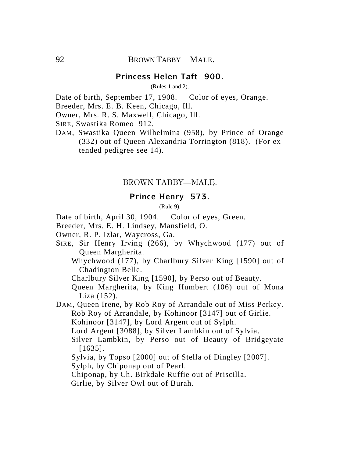## **Princess Helen Taft 900.**

(Rules 1 and 2).

Date of birth, September 17, 1908. Color of eyes, Orange.

Breeder, Mrs. E. B. Keen, Chicago, Ill.

Owner, Mrs. R. S. Maxwell, Chicago, Ill.

SIRE, Swastika Romeo 912.

DAM, Swastika Queen Wilhelmina (958), by Prince of Orange (332) out of Queen Alexandria Torrington (818). (For extended pedigree see 14).

# ————— BROWN TABBY—MALE.

## **Prince Henry 573.**

(Rule 9).

Date of birth, April 30, 1904. Color of eyes, Green.

Breeder, Mrs. E. H. Lindsey, Mansfield, O.

Owner, R. P. Izlar, Waycross, Ga.

- SIRE, Sir Henry Irving (266), by Whychwood (177) out of Queen Margherita.
	- Whychwood (177), by Charlbury Silver King [1590] out of Chadington Belle.

Charlbury Silver King [1590], by Perso out of Beauty.

Queen Margherita, by King Humbert (106) out of Mona Liza (152).

DAM, Queen Irene, by Rob Roy of Arrandale out of Miss Perkey. Rob Roy of Arrandale, by Kohinoor [3147] out of Girlie. Kohinoor [3147], by Lord Argent out of Sylph. Lord Argent [3088], by Silver Lambkin out of Sylvia.

Silver Lambkin, by Perso out of Beauty of Bridgeyate [1635].

Sylvia, by Topso [2000] out of Stella of Dingley [2007].

Sylph, by Chiponap out of Pearl.

Chiponap, by Ch. Birkdale Ruffie out of Priscilla.

Girlie, by Silver Owl out of Burah.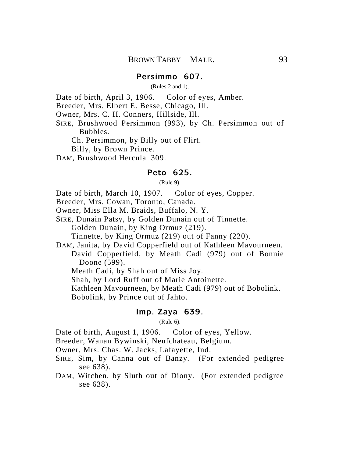(Rules 2 and 1).

Date of birth, April 3, 1906. Color of eyes, Amber.

Breeder, Mrs. Elbert E. Besse, Chicago, Ill.

Owner, Mrs. C. H. Conners, Hillside, Ill.

SIRE, Brushwood Persimmon (993), by Ch. Persimmon out of Bubbles.

Ch. Persimmon, by Billy out of Flirt.

Billy, by Brown Prince.

DAM, Brushwood Hercula 309.

#### **Peto 625.**

(Rule 9).

Date of birth, March 10, 1907. Color of eyes, Copper.

Breeder, Mrs. Cowan, Toronto, Canada.

Owner, Miss Ella M. Braids, Buffalo, N. Y.

SIRE, Dunain Patsy, by Golden Dunain out of Tinnette. Golden Dunain, by King Ormuz (219).

Tinnette, by King Ormuz (219) out of Fanny (220).

DAM, Janita, by David Copperfield out of Kathleen Mavourneen. David Copperfield, by Meath Cadi (979) out of Bonnie Doone (599).

Meath Cadi, by Shah out of Miss Joy.

Shah, by Lord Ruff out of Marie Antoinette.

Kathleen Mavourneen, by Meath Cadi (979) out of Bobolink.

Bobolink, by Prince out of Jahto.

#### **Imp. Zaya 639.**

(Rule 6).

Date of birth, August 1, 1906. Color of eyes, Yellow.

Breeder, Wanan Bywinski, Neufchateau, Belgium.

Owner, Mrs. Chas. W. Jacks, Lafayette, Ind.

- SIRE, Sim, by Canna out of Banzy. (For extended pedigree see 638).
- DAM, Witchen, by Sluth out of Diony. (For extended pedigree see 638).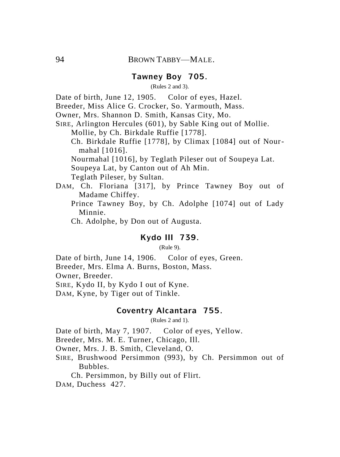## **Tawney Boy 705.**

#### (Rules 2 and 3).

Date of birth, June 12, 1905. Color of eyes, Hazel.

Breeder, Miss Alice G. Crocker, So. Yarmouth, Mass.

Owner, Mrs. Shannon D. Smith, Kansas City, Mo.

SIRE, Arlington Hercules (601), by Sable King out of Mollie.

Mollie, by Ch. Birkdale Ruffie [1778].

Ch. Birkdale Ruffie [1778], by Climax [1084] out of Nourmahal [1016].

Nourmahal [1016], by Teglath Pileser out of Soupeya Lat. Soupeya Lat, by Canton out of Ah Min.

Teglath Pileser, by Sultan.

- DAM, Ch. Floriana [317], by Prince Tawney Boy out of Madame Chiffey.
	- Prince Tawney Boy, by Ch. Adolphe [1074] out of Lady Minnie.

Ch. Adolphe, by Don out of Augusta.

# **Kydo III 739.**

(Rule 9).

Date of birth, June 14, 1906. Color of eyes, Green. Breeder, Mrs. Elma A. Burns, Boston, Mass. Owner, Breeder. SIRE, Kydo II, by Kydo I out of Kyne. DAM, Kyne, by Tiger out of Tinkle.

#### **Coventry Alcantara 755.**

(Rules 2 and 1).

Date of birth, May 7, 1907. Color of eyes, Yellow.

Breeder, Mrs. M. E. Turner, Chicago, Ill.

Owner, Mrs. J. B. Smith, Cleveland, O.

SIRE, Brushwood Persimmon (993), by Ch. Persimmon out of Bubbles.

Ch. Persimmon, by Billy out of Flirt.

DAM, Duchess 427.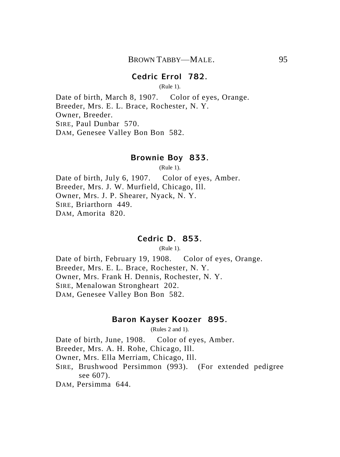## **Cedric Errol 782.**

(Rule 1).

Date of birth, March 8, 1907. Color of eyes, Orange. Breeder, Mrs. E. L. Brace, Rochester, N. Y. Owner, Breeder. SIRE, Paul Dunbar 570. DAM, Genesee Valley Bon Bon 582.

#### **Brownie Boy 833.**

(Rule 1).

Date of birth, July 6, 1907. Color of eyes, Amber. Breeder, Mrs. J. W. Murfield, Chicago, Ill. Owner, Mrs. J. P. Shearer, Nyack, N. Y. SIRE, Briarthorn 449. DAM, Amorita 820.

#### **Cedric D. 853.**

(Rule 1).

Date of birth, February 19, 1908. Color of eyes, Orange. Breeder, Mrs. E. L. Brace, Rochester, N. Y. Owner, Mrs. Frank H. Dennis, Rochester, N. Y. SIRE, Menalowan Strongheart 202. DAM, Genesee Valley Bon Bon 582.

## **Baron Kayser Koozer 895.**

(Rules 2 and 1).

Date of birth, June, 1908. Color of eyes, Amber.

Breeder, Mrs. A. H. Rohe, Chicago, Ill.

Owner, Mrs. Ella Merriam, Chicago, Ill.

SIRE, Brushwood Persimmon (993). (For extended pedigree see 607).

DAM, Persimma 644.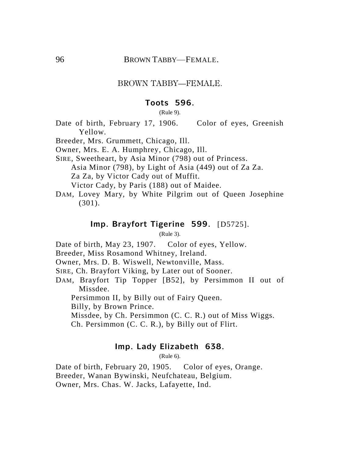#### BROWN TABBY—FEMALE.

#### **Toots 596.**

(Rule 9).

Date of birth, February 17, 1906. Color of eyes, Greenish Yellow.

Breeder, Mrs. Grummett, Chicago, Ill.

Owner, Mrs. E. A. Humphrey, Chicago, Ill.

SIRE, Sweetheart, by Asia Minor (798) out of Princess. Asia Minor (798), by Light of Asia (449) out of Za Za. Za Za, by Victor Cady out of Muffit.

Victor Cady, by Paris (188) out of Maidee.

DAM, Lovey Mary, by White Pilgrim out of Queen Josephine (301).

#### **Imp. Brayfort Tigerine 599.** [D5725].

(Rule 3).

Date of birth, May 23, 1907. Color of eyes, Yellow.

Breeder, Miss Rosamond Whitney, Ireland.

Owner, Mrs. D. B. Wiswell, Newtonville, Mass.

SIRE, Ch. Brayfort Viking, by Later out of Sooner.

DAM, Brayfort Tip Topper [B52], by Persimmon II out of Missdee.

Persimmon II, by Billy out of Fairy Queen.

Billy, by Brown Prince.

Missdee, by Ch. Persimmon (C. C. R.) out of Miss Wiggs.

Ch. Persimmon (C. C. R.), by Billy out of Flirt.

## **Imp. Lady Elizabeth 638.**

(Rule 6).

Date of birth, February 20, 1905. Color of eyes, Orange. Breeder, Wanan Bywinski, Neufchateau, Belgium. Owner, Mrs. Chas. W. Jacks, Lafayette, Ind.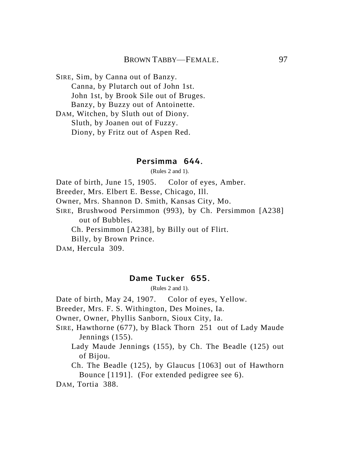SIRE, Sim, by Canna out of Banzy. Canna, by Plutarch out of John 1st. John 1st, by Brook Sile out of Bruges. Banzy, by Buzzy out of Antoinette.

DAM, Witchen, by Sluth out of Diony. Sluth, by Joanen out of Fuzzy. Diony, by Fritz out of Aspen Red.

## **Persimma 644.**

(Rules 2 and 1).

Date of birth, June 15, 1905. Color of eyes, Amber. Breeder, Mrs. Elbert E. Besse, Chicago, Ill.

Owner, Mrs. Shannon D. Smith, Kansas City, Mo.

SIRE, Brushwood Persimmon (993), by Ch. Persimmon [A238] out of Bubbles.

Ch. Persimmon [A238], by Billy out of Flirt.

Billy, by Brown Prince.

DAM, Hercula 309.

## **Dame Tucker 655.**

(Rules 2 and 1).

Date of birth, May 24, 1907. Color of eyes, Yellow.

Breeder, Mrs. F. S. Withington, Des Moines, Ia.

Owner, Owner, Phyllis Sanborn, Sioux City, Ia.

SIRE, Hawthorne (677), by Black Thorn 251 out of Lady Maude Jennings (155).

Lady Maude Jennings (155), by Ch. The Beadle (125) out of Bijou.

Ch. The Beadle (125), by Glaucus [1063] out of Hawthorn Bounce [1191]. (For extended pedigree see 6).

DAM, Tortia 388.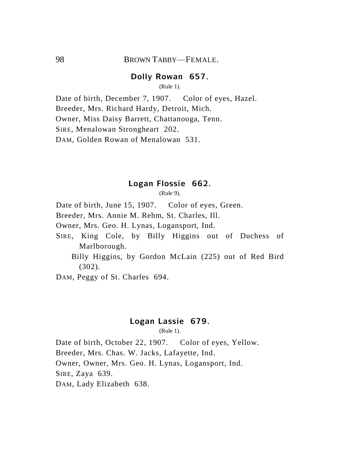## **Dolly Rowan 657.**

(Rule 1).

Date of birth, December 7, 1907. Color of eyes, Hazel. Breeder, Mrs. Richard Hardy, Detroit, Mich. Owner, Miss Daisy Barrett, Chattanooga, Tenn. SIRE, Menalowan Strongheart 202. DAM, Golden Rowan of Menalowan 531.

## **Logan Flossie 662.**

(Rule 9).

Date of birth, June 15, 1907. Color of eyes, Green.

Breeder, Mrs. Annie M. Rehm, St. Charles, Ill.

Owner, Mrs. Geo. H. Lynas, Logansport, Ind.

SIRE, King Cole, by Billy Higgins out of Duchess of Marlborough.

Billy Higgins, by Gordon McLain (225) out of Red Bird (302).

DAM, Peggy of St. Charles 694.

# **Logan Lassie 679.**

(Rule 1).

Date of birth, October 22, 1907. Color of eyes, Yellow. Breeder, Mrs. Chas. W. Jacks, Lafayette, Ind. Owner, Owner, Mrs. Geo. H. Lynas, Logansport, Ind. SIRE, Zaya 639. DAM, Lady Elizabeth 638.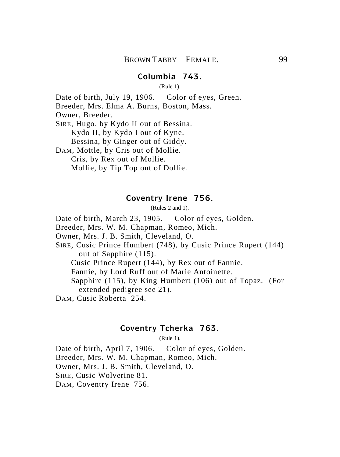## **Columbia 743.**

(Rule 1).

Date of birth, July 19, 1906. Color of eyes, Green. Breeder, Mrs. Elma A. Burns, Boston, Mass. Owner, Breeder. SIRE, Hugo, by Kydo II out of Bessina. Kydo II, by Kydo I out of Kyne. Bessina, by Ginger out of Giddy. DAM, Mottle, by Cris out of Mollie. Cris, by Rex out of Mollie. Mollie, by Tip Top out of Dollie.

#### **Coventry Irene 756.**

(Rules 2 and 1).

Date of birth, March 23, 1905. Color of eyes, Golden.

Breeder, Mrs. W. M. Chapman, Romeo, Mich.

Owner, Mrs. J. B. Smith, Cleveland, O.

SIRE, Cusic Prince Humbert (748), by Cusic Prince Rupert (144) out of Sapphire (115).

Cusic Prince Rupert (144), by Rex out of Fannie.

Fannie, by Lord Ruff out of Marie Antoinette.

Sapphire (115), by King Humbert (106) out of Topaz. (For extended pedigree see 21).

DAM, Cusic Roberta 254.

## **Coventry Tcherka 763.**

(Rule 1).

Date of birth, April 7, 1906. Color of eyes, Golden. Breeder, Mrs. W. M. Chapman, Romeo, Mich. Owner, Mrs. J. B. Smith, Cleveland, O. SIRE, Cusic Wolverine 81. DAM, Coventry Irene 756.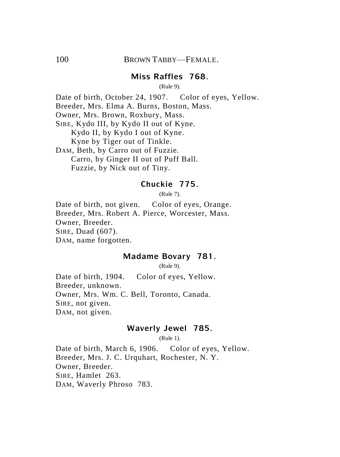## **Miss Raffles 768.**

(Rule 9).

Date of birth, October 24, 1907. Color of eyes, Yellow. Breeder, Mrs. Elma A. Burns, Boston, Mass. Owner, Mrs. Brown, Roxbury, Mass. SIRE, Kydo III, by Kydo II out of Kyne. Kydo II, by Kydo I out of Kyne. Kyne by Tiger out of Tinkle. DAM, Beth, by Carro out of Fuzzie. Carro, by Ginger II out of Puff Ball. Fuzzie, by Nick out of Tiny.

#### **Chuckie 775.**

(Rule 7).

Date of birth, not given. Color of eyes, Orange. Breeder, Mrs. Robert A. Pierce, Worcester, Mass. Owner, Breeder. SIRE, Duad (607). DAM, name forgotten.

#### **Madame Bovary 781.**

(Rule 9).

Date of birth, 1904. Color of eyes, Yellow. Breeder, unknown. Owner, Mrs. Wm. C. Bell, Toronto, Canada. SIRE, not given. DAM, not given.

#### **Waverly Jewel 785.**

(Rule 1).

Date of birth, March 6, 1906. Color of eyes, Yellow. Breeder, Mrs. J. C. Urquhart, Rochester, N. Y. Owner, Breeder. SIRE, Hamlet 263. DAM, Waverly Phroso 783.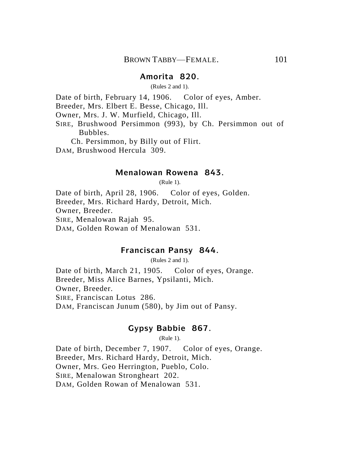## **Amorita 820.**

(Rules 2 and 1).

Date of birth, February 14, 1906. Color of eyes, Amber.

Breeder, Mrs. Elbert E. Besse, Chicago, Ill.

Owner, Mrs. J. W. Murfield, Chicago, Ill.

SIRE, Brushwood Persimmon (993), by Ch. Persimmon out of Bubbles.

Ch. Persimmon, by Billy out of Flirt.

DAM, Brushwood Hercula 309.

#### **Menalowan Rowena 843.**

(Rule 1).

Date of birth, April 28, 1906. Color of eyes, Golden. Breeder, Mrs. Richard Hardy, Detroit, Mich. Owner, Breeder. SIRE, Menalowan Rajah 95. DAM, Golden Rowan of Menalowan 531.

#### **Franciscan Pansy 844.**

(Rules 2 and 1).

Date of birth, March 21, 1905. Color of eyes, Orange. Breeder, Miss Alice Barnes, Ypsilanti, Mich. Owner, Breeder. SIRE, Franciscan Lotus 286. DAM, Franciscan Junum (580), by Jim out of Pansy.

## **Gypsy Babbie 867.**

(Rule 1).

Date of birth, December 7, 1907. Color of eyes, Orange. Breeder, Mrs. Richard Hardy, Detroit, Mich. Owner, Mrs. Geo Herrington, Pueblo, Colo. SIRE, Menalowan Strongheart 202. DAM, Golden Rowan of Menalowan 531.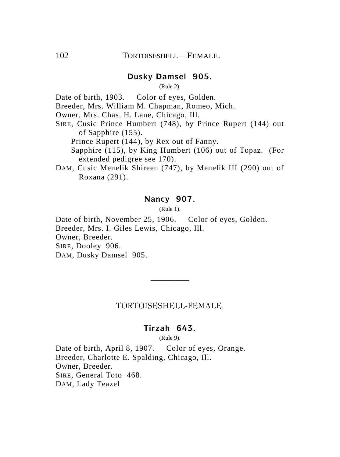## **Dusky Damsel 905.**

(Rule 2).

Date of birth, 1903. Color of eyes, Golden.

Breeder, Mrs. William M. Chapman, Romeo, Mich.

Owner, Mrs. Chas. H. Lane, Chicago, Ill.

- SIRE, Cusic Prince Humbert (748), by Prince Rupert (144) out of Sapphire (155).
	- Prince Rupert (144), by Rex out of Fanny.

Sapphire (115), by King Humbert (106) out of Topaz. (For extended pedigree see 170).

DAM, Cusic Menelik Shireen (747), by Menelik III (290) out of Roxana (291).

# **Nancy 907.**

(Rule 1).

Date of birth, November 25, 1906. Color of eyes, Golden. Breeder, Mrs. I. Giles Lewis, Chicago, Ill. Owner, Breeder. SIRE, Dooley 906. DAM, Dusky Damsel 905.

#### TORTOISESHELL-FEMALE.

—————

## **Tirzah 643.**

(Rule 9).

Date of birth, April 8, 1907. Color of eyes, Orange. Breeder, Charlotte E. Spalding, Chicago, Ill. Owner, Breeder. SIRE, General Toto 468. DAM, Lady Teazel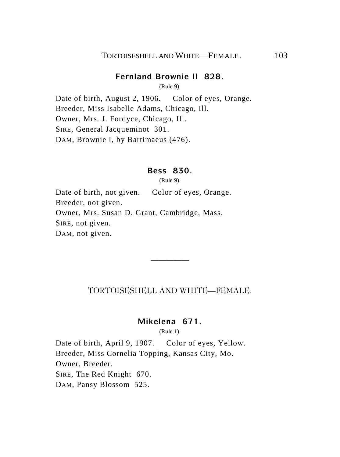#### **Fernland Brownie II 828.**

(Rule 9).

Date of birth, August 2, 1906. Color of eyes, Orange. Breeder, Miss Isabelle Adams, Chicago, Ill. Owner, Mrs. J. Fordyce, Chicago, Ill. SIRE, General Jacqueminot 301. DAM, Brownie I, by Bartimaeus (476).

#### **Bess 830.**

(Rule 9).

Date of birth, not given. Color of eyes, Orange. Breeder, not given. Owner, Mrs. Susan D. Grant, Cambridge, Mass. SIRE, not given. DAM, not given.

## TORTOISESHELL AND WHITE—FEMALE.

—————

# **Mikelena 671.**

(Rule 1).

Date of birth, April 9, 1907. Color of eyes, Yellow. Breeder, Miss Cornelia Topping, Kansas City, Mo. Owner, Breeder. SIRE, The Red Knight 670. DAM, Pansy Blossom 525.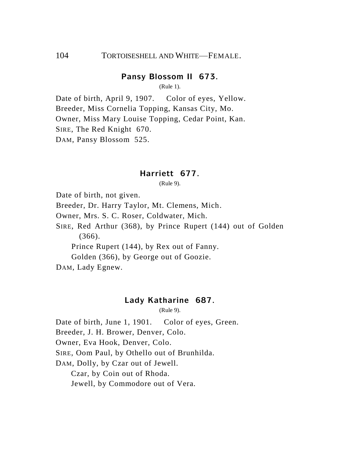## 104 TORTOISESHELL AND WHITE—FEMALE.

#### **Pansy Blossom II 673.**

(Rule 1).

Date of birth, April 9, 1907. Color of eyes, Yellow. Breeder, Miss Cornelia Topping, Kansas City, Mo. Owner, Miss Mary Louise Topping, Cedar Point, Kan. SIRE, The Red Knight 670. DAM, Pansy Blossom 525.

#### **Harriett 677.**

(Rule 9).

Date of birth, not given.

Breeder, Dr. Harry Taylor, Mt. Clemens, Mich.

Owner, Mrs. S. C. Roser, Coldwater, Mich.

SIRE, Red Arthur (368), by Prince Rupert (144) out of Golden (366).

Prince Rupert (144), by Rex out of Fanny.

Golden (366), by George out of Goozie.

DAM, Lady Egnew.

#### **Lady Katharine 687.**

(Rule 9).

Date of birth, June 1, 1901. Color of eyes, Green.

Breeder, J. H. Brower, Denver, Colo.

Owner, Eva Hook, Denver, Colo.

SIRE, Oom Paul, by Othello out of Brunhilda.

DAM, Dolly, by Czar out of Jewell.

Czar, by Coin out of Rhoda.

Jewell, by Commodore out of Vera.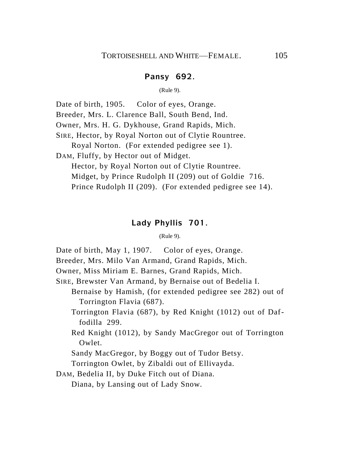## **Pansy 692.**

(Rule 9).

Date of birth, 1905. Color of eyes, Orange.

Breeder, Mrs. L. Clarence Ball, South Bend, Ind.

Owner, Mrs. H. G. Dykhouse, Grand Rapids, Mich.

SIRE, Hector, by Royal Norton out of Clytie Rountree.

Royal Norton. (For extended pedigree see 1).

DAM, Fluffy, by Hector out of Midget.

Hector, by Royal Norton out of Clytie Rountree. Midget, by Prince Rudolph II (209) out of Goldie 716. Prince Rudolph II (209). (For extended pedigree see 14).

#### **Lady Phyllis 701.**

(Rule 9).

Date of birth, May 1, 1907. Color of eyes, Orange.

Breeder, Mrs. Milo Van Armand, Grand Rapids, Mich.

Owner, Miss Miriam E. Barnes, Grand Rapids, Mich.

SIRE, Brewster Van Armand, by Bernaise out of Bedelia I.

Bernaise by Hamish, (for extended pedigree see 282) out of Torrington Flavia (687).

Torrington Flavia (687), by Red Knight (1012) out of Daffodilla 299.

Red Knight (1012), by Sandy MacGregor out of Torrington Owlet.

Sandy MacGregor, by Boggy out of Tudor Betsy.

Torrington Owlet, by Zibaldi out of Ellivayda.

DAM, Bedelia II, by Duke Fitch out of Diana.

Diana, by Lansing out of Lady Snow.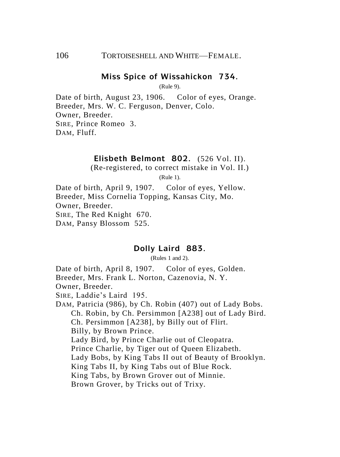### **Miss Spice of Wissahickon 734.**

(Rule 9).

Date of birth, August 23, 1906. Color of eyes, Orange. Breeder, Mrs. W. C. Ferguson, Denver, Colo. Owner, Breeder. SIRE, Prince Romeo 3. DAM, Fluff.

## **Elisbeth Belmont 802.** (526 Vol. II).

(Re-registered, to correct mistake in Vol. II.)

(Rule 1).

Date of birth, April 9, 1907. Color of eyes, Yellow. Breeder, Miss Cornelia Topping, Kansas City, Mo. Owner, Breeder. SIRE, The Red Knight 670. DAM, Pansy Blossom 525.

#### **Dolly Laird 883.**

(Rules 1 and 2).

Date of birth, April 8, 1907. Color of eyes, Golden. Breeder, Mrs. Frank L. Norton, Cazenovia, N. Y. Owner, Breeder. SIRE, Laddie's Laird 195. DAM, Patricia (986), by Ch. Robin (407) out of Lady Bobs. Ch. Robin, by Ch. Persimmon [A238] out of Lady Bird. Ch. Persimmon [A238], by Billy out of Flirt. Billy, by Brown Prince. Lady Bird, by Prince Charlie out of Cleopatra. Prince Charlie, by Tiger out of Queen Elizabeth. Lady Bobs, by King Tabs II out of Beauty of Brooklyn. King Tabs II, by King Tabs out of Blue Rock. King Tabs, by Brown Grover out of Minnie. Brown Grover, by Tricks out of Trixy.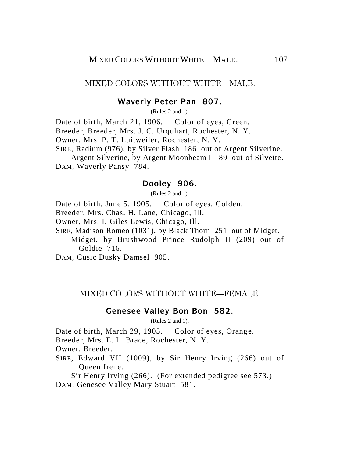MIXED COLORS WITHOUT WHITE—MALE.

## **Waverly Peter Pan 807.**

(Rules 2 and 1).

Date of birth, March 21, 1906. Color of eyes, Green. Breeder, Breeder, Mrs. J. C. Urquhart, Rochester, N. Y. Owner, Mrs. P. T. Luitweiler, Rochester, N. Y. SIRE, Radium (976), by Silver Flash 186 out of Argent Silverine.

Argent Silverine, by Argent Moonbeam II 89 out of Silvette. DAM, Waverly Pansy 784.

#### **Dooley 906.**

(Rules 2 and 1).

Date of birth, June 5, 1905. Color of eyes, Golden.

Breeder, Mrs. Chas. H. Lane, Chicago, Ill.

Owner, Mrs. I. Giles Lewis, Chicago, Ill.

SIRE, Madison Romeo (1031), by Black Thorn 251 out of Midget.

Midget, by Brushwood Prince Rudolph II (209) out of Goldie 716.

DAM, Cusic Dusky Damsel 905.

MIXED COLORS WITHOUT WHITE—FEMALE.

—————

#### **Genesee Valley Bon Bon 582.**

(Rules 2 and 1).

Date of birth, March 29, 1905. Color of eyes, Orange.

Breeder, Mrs. E. L. Brace, Rochester, N. Y.

Owner, Breeder.

SIRE, Edward VII (1009), by Sir Henry Irving (266) out of Queen Irene.

Sir Henry Irving (266). (For extended pedigree see 573.) DAM, Genesee Valley Mary Stuart 581.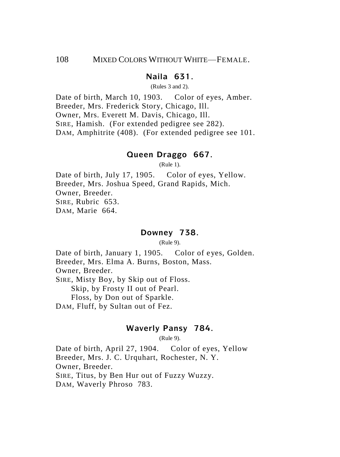## **Naila 631.**

(Rules 3 and 2).

Date of birth, March 10, 1903. Color of eyes, Amber. Breeder, Mrs. Frederick Story, Chicago, Ill. Owner, Mrs. Everett M. Davis, Chicago, Ill. SIRE, Hamish. (For extended pedigree see 282). DAM, Amphitrite (408). (For extended pedigree see 101.

#### **Queen Draggo 667.**

(Rule 1).

Date of birth, July 17, 1905. Color of eyes, Yellow. Breeder, Mrs. Joshua Speed, Grand Rapids, Mich. Owner, Breeder. SIRE, Rubric 653. DAM, Marie 664.

## **Downey 738.**

(Rule 9).

Date of birth, January 1, 1905. Color of eyes, Golden. Breeder, Mrs. Elma A. Burns, Boston, Mass. Owner, Breeder.

SIRE, Misty Boy, by Skip out of Floss.

Skip, by Frosty II out of Pearl.

Floss, by Don out of Sparkle.

DAM, Fluff, by Sultan out of Fez.

## **Waverly Pansy 784.**

(Rule 9).

Date of birth, April 27, 1904. Color of eyes, Yellow Breeder, Mrs. J. C. Urquhart, Rochester, N. Y. Owner, Breeder. SIRE, Titus, by Ben Hur out of Fuzzy Wuzzy. DAM, Waverly Phroso 783.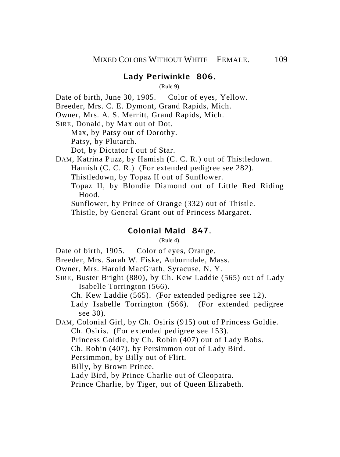## **Lady Periwinkle 806.**

(Rule 9).

Date of birth, June 30, 1905. Color of eyes, Yellow.

Breeder, Mrs. C. E. Dymont, Grand Rapids, Mich.

Owner, Mrs. A. S. Merritt, Grand Rapids, Mich.

SIRE, Donald, by Max out of Dot.

Max, by Patsy out of Dorothy.

Patsy, by Plutarch.

Dot, by Dictator I out of Star.

DAM, Katrina Puzz, by Hamish (C. C. R.) out of Thistledown.

Hamish (C. C. R.) (For extended pedigree see 282).

Thistledown, by Topaz II out of Sunflower.

Topaz II, by Blondie Diamond out of Little Red Riding Hood.

Sunflower, by Prince of Orange (332) out of Thistle.

Thistle, by General Grant out of Princess Margaret.

#### **Colonial Maid 847.**

(Rule 4).

Date of birth, 1905. Color of eyes, Orange.

Breeder, Mrs. Sarah W. Fiske, Auburndale, Mass.

Owner, Mrs. Harold MacGrath, Syracuse, N. Y.

SIRE, Buster Bright (880), by Ch. Kew Laddie (565) out of Lady Isabelle Torrington (566).

Ch. Kew Laddie (565). (For extended pedigree see 12).

Lady Isabelle Torrington (566). (For extended pedigree see 30).

DAM, Colonial Girl, by Ch. Osiris (915) out of Princess Goldie. Ch. Osiris. (For extended pedigree see 153).

Princess Goldie, by Ch. Robin (407) out of Lady Bobs.

Ch. Robin (407), by Persimmon out of Lady Bird.

Persimmon, by Billy out of Flirt.

Billy, by Brown Prince.

Lady Bird, by Prince Charlie out of Cleopatra.

Prince Charlie, by Tiger, out of Queen Elizabeth.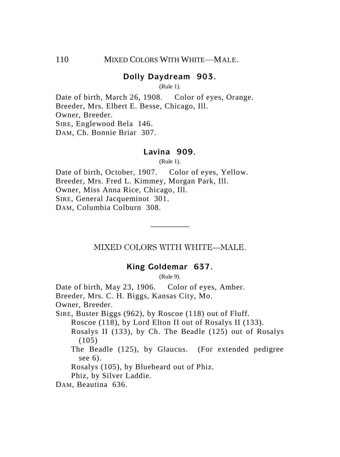## **Dolly Daydream 903.**

(Rule 1).

Date of birth, March 26, 1908. Color of eyes, Orange. Breeder, Mrs. Elbert E. Besse, Chicago, Ill. Owner, Breeder. SIRE, Englewood Bela 146. DAM, Ch. Bonnie Briar 307.

## **Lavina 909.**

(Rule 1).

Date of birth, October, 1907. Color of eyes, Yellow. Breeder, Mrs. Fred L. Kimmey, Morgan Park, Ill. Owner, Miss Anna Rice, Chicago, Ill. SIRE, General Jacqueminot 301. DAM, Columbia Colburn 308.

MIXED COLORS WITH WHITE—MALE.

—————

#### **King Goldemar 637.**

(Rule 9).

Date of birth, May 23, 1906. Color of eyes, Amber. Breeder, Mrs. C. H. Biggs, Kansas City, Mo. Owner, Breeder. SIRE, Buster Biggs (962), by Roscoe (118) out of Fluff. Roscoe (118), by Lord Elton II out of Rosalys II (133). Rosalys II (133), by Ch. The Beadle (125) out of Rosalys  $(105)$ The Beadle (125), by Glaucus. (For extended pedigree see 6). Rosalys (105), by Bluebeard out of Phiz. Phiz, by Silver Laddie. DAM, Beautina 636.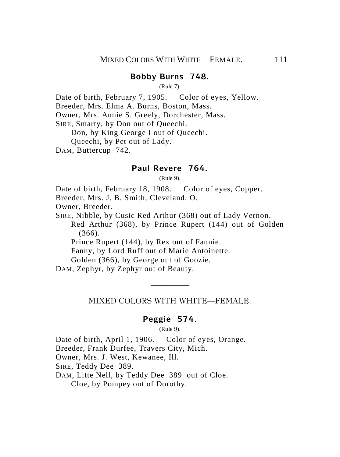## **Bobby Burns 748.**

(Rule 7).

Date of birth, February 7, 1905. Color of eyes, Yellow.

Breeder, Mrs. Elma A. Burns, Boston, Mass.

Owner, Mrs. Annie S. Greely, Dorchester, Mass.

SIRE, Smarty, by Don out of Queechi.

Don, by King George I out of Queechi.

Queechi, by Pet out of Lady.

DAM, Buttercup 742.

#### **Paul Revere 764.**

(Rule 9).

Date of birth, February 18, 1908. Color of eyes, Copper.

Breeder, Mrs. J. B. Smith, Cleveland, O.

Owner, Breeder.

SIRE, Nibble, by Cusic Red Arthur (368) out of Lady Vernon. Red Arthur (368), by Prince Rupert (144) out of Golden (366).

Prince Rupert (144), by Rex out of Fannie.

Fanny, by Lord Ruff out of Marie Antoinette.

Golden (366), by George out of Goozie.

DAM, Zephyr, by Zephyr out of Beauty.

————— MIXED COLORS WITH WHITE—FEMALE.

#### **Peggie 574.**

(Rule 9).

Date of birth, April 1, 1906. Color of eyes, Orange.

Breeder, Frank Durfee, Travers City, Mich.

Owner, Mrs. J. West, Kewanee, Ill.

SIRE, Teddy Dee 389.

DAM, Litte Nell, by Teddy Dee 389 out of Cloe.

Cloe, by Pompey out of Dorothy.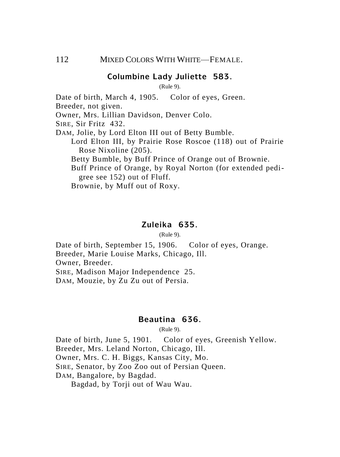#### **Columbine Lady Juliette 583.**

(Rule 9).

Date of birth, March 4, 1905. Color of eyes, Green.

Breeder, not given.

Owner, Mrs. Lillian Davidson, Denver Colo.

SIRE, Sir Fritz 432.

DAM, Jolie, by Lord Elton III out of Betty Bumble.

Lord Elton III, by Prairie Rose Roscoe (118) out of Prairie Rose Nixoline (205).

Betty Bumble, by Buff Prince of Orange out of Brownie.

Buff Prince of Orange, by Royal Norton (for extended pedigree see 152) out of Fluff.

Brownie, by Muff out of Roxy.

## **Zuleika 635.**

(Rule 9).

Date of birth, September 15, 1906. Color of eyes, Orange. Breeder, Marie Louise Marks, Chicago, Ill. Owner, Breeder.

SIRE, Madison Major Independence 25.

DAM, Mouzie, by Zu Zu out of Persia.

## **Beautina 636.**

(Rule 9).

Date of birth, June 5, 1901. Color of eyes, Greenish Yellow. Breeder, Mrs. Leland Norton, Chicago, Ill. Owner, Mrs. C. H. Biggs, Kansas City, Mo.

SIRE, Senator, by Zoo Zoo out of Persian Queen.

DAM, Bangalore, by Bagdad.

Bagdad, by Torji out of Wau Wau.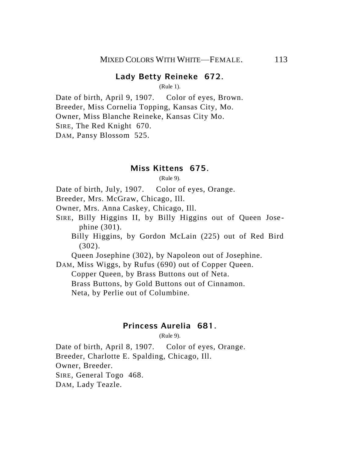## **Lady Betty Reineke 672.**

(Rule 1).

Date of birth, April 9, 1907. Color of eyes, Brown. Breeder, Miss Cornelia Topping, Kansas City, Mo. Owner, Miss Blanche Reineke, Kansas City Mo. SIRE, The Red Knight 670. DAM, Pansy Blossom 525.

#### **Miss Kittens 675.**

(Rule 9).

Date of birth, July, 1907. Color of eyes, Orange.

Breeder, Mrs. McGraw, Chicago, Ill.

Owner, Mrs. Anna Caskey, Chicago, Ill.

SIRE, Billy Higgins II, by Billy Higgins out of Queen Jose phine (301).

Billy Higgins, by Gordon McLain (225) out of Red Bird (302).

Queen Josephine (302), by Napoleon out of Josephine.

DAM, Miss Wiggs, by Rufus (690) out of Copper Queen.

Copper Queen, by Brass Buttons out of Neta.

Brass Buttons, by Gold Buttons out of Cinnamon.

Neta, by Perlie out of Columbine.

### **Princess Aurelia 681.**

 $(Rul_2 9)$ .

Date of birth, April 8, 1907. Color of eyes, Orange. Breeder, Charlotte E. Spalding, Chicago, Ill. Owner, Breeder. SIRE, General Togo 468. DAM, Lady Teazle.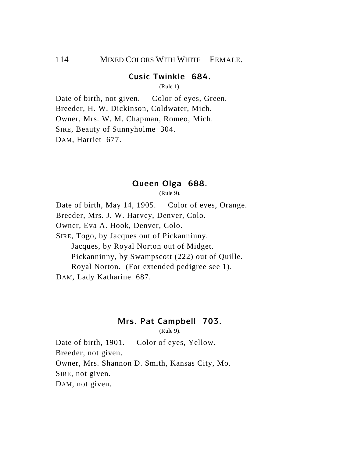## 114 MIXED COLORS WITH WHITE—FEMALE.

## **Cusic Twinkle 684.**

(Rule 1).

Date of birth, not given. Color of eyes, Green. Breeder, H. W. Dickinson, Coldwater, Mich. Owner, Mrs. W. M. Chapman, Romeo, Mich. SIRE, Beauty of Sunnyholme 304. DAM, Harriet 677.

#### **Queen Olga 688.**

(Rule 9).

Date of birth, May 14, 1905. Color of eyes, Orange. Breeder, Mrs. J. W. Harvey, Denver, Colo. Owner, Eva A. Hook, Denver, Colo. SIRE, Togo, by Jacques out of Pickanninny. Jacques, by Royal Norton out of Midget. Pickanninny, by Swampscott (222) out of Quille. Royal Norton. (For extended pedigree see 1). DAM, Lady Katharine 687.

#### **Mrs. Pat Campbell 703.**

(Rule 9).

Date of birth, 1901. Color of eyes, Yellow. Breeder, not given. Owner, Mrs. Shannon D. Smith, Kansas City, Mo. SIRE, not given. DAM, not given.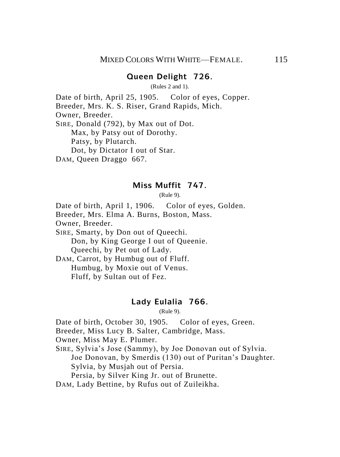#### **Queen Delight 726.**

(Rules 2 and 1).

Date of birth, April 25, 1905. Color of eyes, Copper. Breeder, Mrs. K. S. Riser, Grand Rapids, Mich. Owner, Breeder. SIRE, Donald (792), by Max out of Dot. Max, by Patsy out of Dorothy. Patsy, by Plutarch. Dot, by Dictator I out of Star. DAM, Queen Draggo 667.

#### **Miss Muffit 747.**

(Rule 9).

Date of birth, April 1, 1906. Color of eyes, Golden. Breeder, Mrs. Elma A. Burns, Boston, Mass. Owner, Breeder. SIRE, Smarty, by Don out of Queechi.

Don, by King George I out of Queenie. Queechi, by Pet out of Lady.

DAM, Carrot, by Humbug out of Fluff. Humbug, by Moxie out of Venus. Fluff, by Sultan out of Fez.

#### **Lady Eulalia 766.**

(Rule 9).

Date of birth, October 30, 1905. Color of eyes, Green.

Breeder, Miss Lucy B. Salter, Cambridge, Mass.

Owner, Miss May E. Plumer.

SIRE, Sylvia's Jose (Sammy), by Joe Donovan out of Sylvia.

Joe Donovan, by Smerdis (130) out of Puritan's Daughter. Sylvia, by Musjah out of Persia.

Persia, by Silver King Jr. out of Brunette.

DAM, Lady Bettine, by Rufus out of Zuileikha.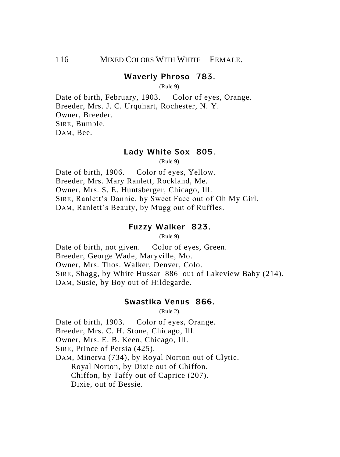## **Waverly Phroso 783.**

(Rule 9).

Date of birth, February, 1903. Color of eyes, Orange. Breeder, Mrs. J. C. Urquhart, Rochester, N. Y. Owner, Breeder. SIRE, Bumble. DAM, Bee.

#### **Lady White Sox 805.**

(Rule 9).

Date of birth, 1906. Color of eyes, Yellow. Breeder, Mrs. Mary Ranlett, Rockland, Me. Owner, Mrs. S. E. Huntsberger, Chicago, Ill. SIRE, Ranlett's Dannie, by Sweet Face out of Oh My Girl. DAM, Ranlett's Beauty, by Mugg out of Ruffles.

#### **Fuzzy Walker 823.**

(Rule 9).

Date of birth, not given. Color of eyes, Green. Breeder, George Wade, Maryville, Mo. Owner, Mrs. Thos. Walker, Denver, Colo. SIRE, Shagg, by White Hussar 886 out of Lakeview Baby (214). DAM, Susie, by Boy out of Hildegarde.

#### **Swastika Venus 866.**

(Rule 2).

Date of birth, 1903. Color of eyes, Orange.

Breeder, Mrs. C. H. Stone, Chicago, Ill.

Owner, Mrs. E. B. Keen, Chicago, Ill.

SIRE, Prince of Persia (425).

DAM, Minerva (734), by Royal Norton out of Clytie. Royal Norton, by Dixie out of Chiffon. Chiffon, by Taffy out of Caprice (207). Dixie, out of Bessie.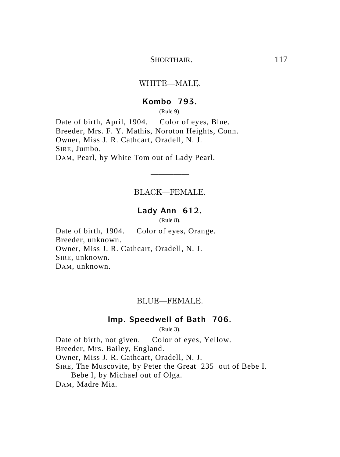SHORTHAIR
117

#### WHITE—MALE.

### **Kombo 793.**

(Rule 9).

Date of birth, April, 1904. Color of eyes, Blue. Breeder, Mrs. F. Y. Mathis, Noroton Heights, Conn. Owner, Miss J. R. Cathcart, Oradell, N. J. SIRE, Jumbo. DAM, Pearl, by White Tom out of Lady Pearl.

BLACK—FEMALE.

—————

## **Lady Ann 612.**

(Rule 8).

Date of birth, 1904. Color of eyes, Orange. Breeder, unknown. Owner, Miss J. R. Cathcart, Oradell, N. J. SIRE, unknown. DAM, unknown.

BLUE—FEMALE.

—————

## **Imp. Speedwell of Bath 706.**

(Rule 3).

Date of birth, not given. Color of eyes, Yellow. Breeder, Mrs. Bailey, England. Owner, Miss J. R. Cathcart, Oradell, N. J. SIRE, The Muscovite, by Peter the Great 235 out of Bebe I. Bebe I, by Michael out of Olga. DAM, Madre Mia.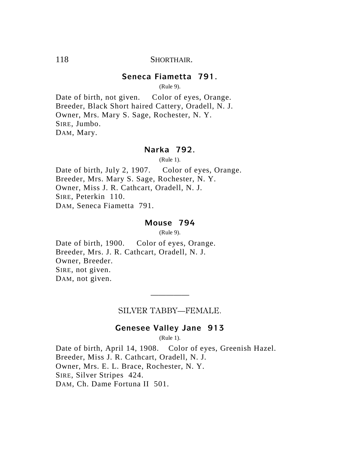## 118 SHORTHAIR

## **Seneca Fiametta 791.**

(Rule 9).

Date of birth, not given. Color of eyes, Orange. Breeder, Black Short haired Cattery, Oradell, N. J. Owner, Mrs. Mary S. Sage, Rochester, N. Y. SIRE, Jumbo. DAM, Mary.

## **Narka 792.**

(Rule 1).

Date of birth, July 2, 1907. Color of eyes, Orange. Breeder, Mrs. Mary S. Sage, Rochester, N. Y. Owner, Miss J. R. Cathcart, Oradell, N. J. SIRE, Peterkin 110. DAM, Seneca Fiametta 791.

## **Mouse 794**

(Rule 9).

Date of birth, 1900. Color of eyes, Orange. Breeder, Mrs. J. R. Cathcart, Oradell, N. J. Owner, Breeder. SIRE, not given. DAM, not given.

> ————— SILVER TABBY—FEMALE.

## **Genesee Valley Jane 913**

(Rule 1).

Date of birth, April 14, 1908. Color of eyes, Greenish Hazel. Breeder, Miss J. R. Cathcart, Oradell, N. J. Owner, Mrs. E. L. Brace, Rochester, N. Y. SIRE, Silver Stripes 424. DAM, Ch. Dame Fortuna II 501.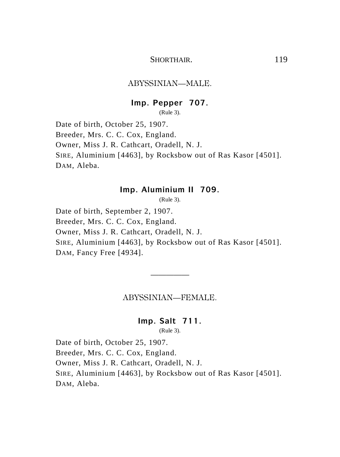## SHORTHAIR. 119

#### ABYSSINIAN—MALE.

#### **Imp. Pepper 707.**

(Rule 3).

Date of birth, October 25, 1907. Breeder, Mrs. C. C. Cox, England. Owner, Miss J. R. Cathcart, Oradell, N. J. SIRE, Aluminium [4463], by Rocksbow out of Ras Kasor [4501]. DAM, Aleba.

## **Imp. Aluminium II 709.**

(Rule 3).

Date of birth, September 2, 1907. Breeder, Mrs. C. C. Cox, England. Owner, Miss J. R. Cathcart, Oradell, N. J. SIRE, Aluminium [4463], by Rocksbow out of Ras Kasor [4501]. DAM, Fancy Free [4934].

#### ABYSSINIAN—FEMALE.

—————

#### **Imp. Salt 711.**

(Rule 3).

Date of birth, October 25, 1907. Breeder, Mrs. C. C. Cox, England. Owner, Miss J. R. Cathcart, Oradell, N. J. SIRE, Aluminium [4463], by Rocksbow out of Ras Kasor [4501]. DAM, Aleba.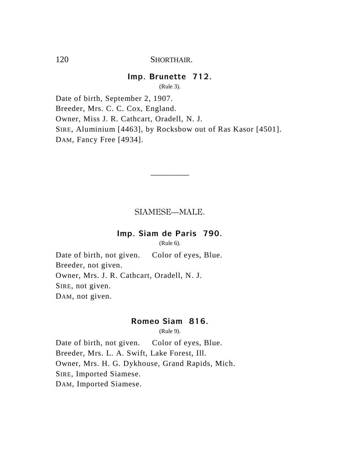## 120 SHORTHAIR

## **Imp. Brunette 712.**

(Rule 3).

Date of birth, September 2, 1907. Breeder, Mrs. C. C. Cox, England. Owner, Miss J. R. Cathcart, Oradell, N. J. SIRE, Aluminium [4463], by Rocksbow out of Ras Kasor [4501]. DAM, Fancy Free [4934].

SIAMESE—MALE.

—————

## **Imp. Siam de Paris 790.**

(Rule 6).

Date of birth, not given. Color of eyes, Blue. Breeder, not given. Owner, Mrs. J. R. Cathcart, Oradell, N. J. SIRE, not given. DAM, not given.

## **Romeo Siam 816.**

(Rule 9).

Date of birth, not given. Color of eyes, Blue. Breeder, Mrs. L. A. Swift, Lake Forest, Ill. Owner, Mrs. H. G. Dykhouse, Grand Rapids, Mich. SIRE, Imported Siamese. DAM, Imported Siamese.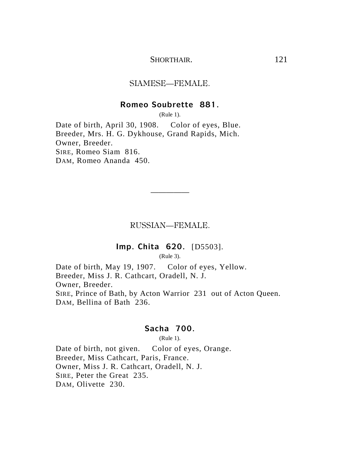### SHORTHAIR
121

#### SIAMESE—FEMALE.

#### **Romeo Soubrette 881.**

(Rule 1).

Date of birth, April 30, 1908. Color of eyes, Blue. Breeder, Mrs. H. G. Dykhouse, Grand Rapids, Mich. Owner, Breeder. SIRE, Romeo Siam 816. DAM, Romeo Ananda 450.

RUSSIAN—FEMALE.

—————

## **Imp. Chita 620.** [D5503].

(Rule 3).

Date of birth, May 19, 1907. Color of eyes, Yellow. Breeder, Miss J. R. Cathcart, Oradell, N. J. Owner, Breeder. SIRE, Prince of Bath, by Acton Warrior 231 out of Acton Queen. DAM, Bellina of Bath 236.

## **Sacha 700.**

(Rule 1).

Date of birth, not given. Color of eyes, Orange. Breeder, Miss Cathcart, Paris, France. Owner, Miss J. R. Cathcart, Oradell, N. J. SIRE, Peter the Great 235. DAM, Olivette 230.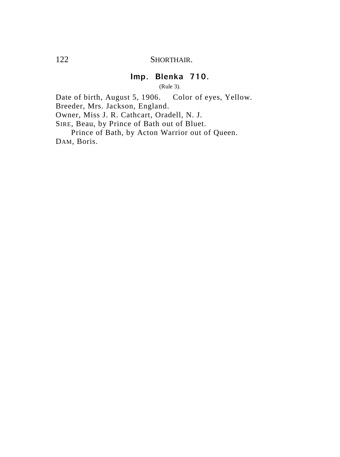## 122 SHORTHAIR.

# **Imp. Blenka 710.**

(Rule 3).

Date of birth, August 5, 1906. Color of eyes, Yellow. Breeder, Mrs. Jackson, England.

Owner, Miss J. R. Cathcart, Oradell, N. J.

SIRE, Beau, by Prince of Bath out of Bluet.

Prince of Bath, by Acton Warrior out of Queen. DAM, Boris.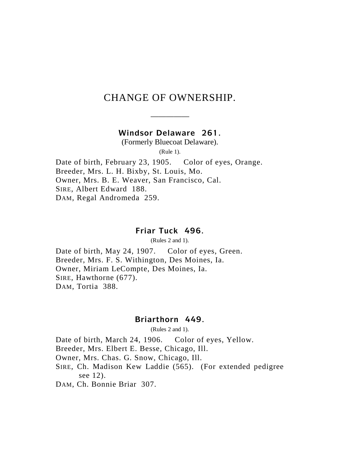# CHANGE OF OWNERSHIP.

————— **Windsor Delaware 261.**

(Formerly Bluecoat Delaware).

(Rule 1).

Date of birth, February 23, 1905. Color of eyes, Orange. Breeder, Mrs. L. H. Bixby, St. Louis, Mo. Owner, Mrs. B. E. Weaver, San Francisco, Cal. SIRE, Albert Edward 188. DAM, Regal Andromeda 259.

#### **Friar Tuck 496.**

(Rules 2 and 1).

Date of birth, May 24, 1907. Color of eyes, Green. Breeder, Mrs. F. S. Withington, Des Moines, Ia. Owner, Miriam LeCompte, Des Moines, Ia. SIRE, Hawthorne (677). DAM, Tortia 388.

## **Briarthorn 449.**

(Rules 2 and 1).

Date of birth, March 24, 1906. Color of eyes, Yellow.

Breeder, Mrs. Elbert E. Besse, Chicago, Ill.

Owner, Mrs. Chas. G. Snow, Chicago, Ill.

SIRE, Ch. Madison Kew Laddie (565). (For extended pedigree see 12).

DAM, Ch. Bonnie Briar 307.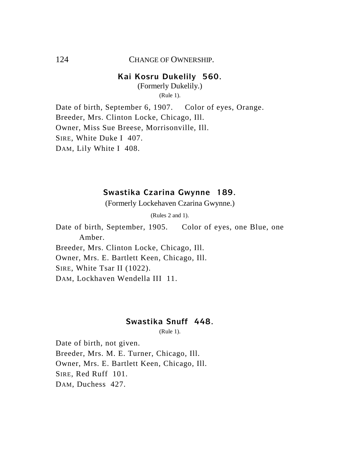#### 124 CHANGE OF OWNERSHIP

#### **Kai Kosru Dukelily 560.**

(Formerly Dukelily.) (Rule 1).

Date of birth, September 6, 1907. Color of eyes, Orange. Breeder, Mrs. Clinton Locke, Chicago, Ill. Owner, Miss Sue Breese, Morrisonville, Ill. SIRE, White Duke I 407. DAM, Lily White I 408.

## **Swastika Czarina Gwynne 189.**

(Formerly Lockehaven Czarina Gwynne.)

(Rules 2 and 1).

Date of birth, September, 1905. Color of eyes, one Blue, one Amber. Breeder, Mrs. Clinton Locke, Chicago, Ill.

Owner, Mrs. E. Bartlett Keen, Chicago, Ill.

SIRE, White Tsar II (1022).

DAM, Lockhaven Wendella III 11.

## **Swastika Snuff 448.**

(Rule 1).

Date of birth, not given. Breeder, Mrs. M. E. Turner, Chicago, Ill. Owner, Mrs. E. Bartlett Keen, Chicago, Ill. SIRE, Red Ruff 101. DAM, Duchess 427.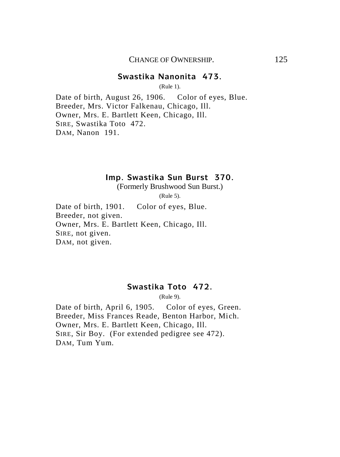## **Swastika Nanonita 473.**

(Rule 1).

Date of birth, August 26, 1906. Color of eyes, Blue. Breeder, Mrs. Victor Falkenau, Chicago, Ill. Owner, Mrs. E. Bartlett Keen, Chicago, Ill. SIRE, Swastika Toto 472. DAM, Nanon 191.

## **Imp. Swastika Sun Burst 370.**

(Formerly Brushwood Sun Burst.)

(Rule 5).

Date of birth, 1901. Color of eyes, Blue. Breeder, not given. Owner, Mrs. E. Bartlett Keen, Chicago, Ill. SIRE, not given. DAM, not given.

## **Swastika Toto 472.**

(Rule 9).

Date of birth, April 6, 1905. Color of eyes, Green. Breeder, Miss Frances Reade, Benton Harbor, Mich. Owner, Mrs. E. Bartlett Keen, Chicago, Ill. SIRE, Sir Boy. (For extended pedigree see 472). DAM, Tum Yum.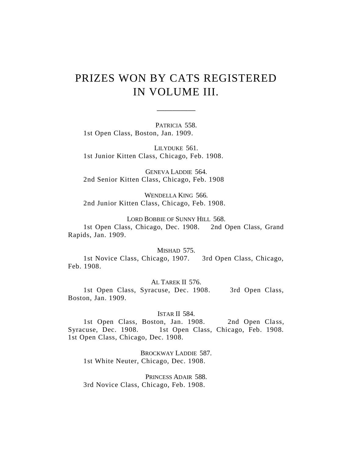# PRIZES WON BY CATS REGISTERED IN VOLUME III.

—————

PATRICIA 558. 1st Open Class, Boston, Jan. 1909.

LILYDUKE 561. 1st Junior Kitten Class, Chicago, Feb. 1908.

GENEVA LADDIE 564. 2nd Senior Kitten Class, Chicago, Feb. 1908

WENDELLA KING 566. 2nd Junior Kitten Class, Chicago, Feb. 1908.

LORD BOBBIE OF SUNNY HILL 568.

1st Open Class, Chicago, Dec. 1908. 2nd Open Class, Grand Rapids, Jan. 1909.

MISHAD 575.

1st Novice Class, Chicago, 1907. 3rd Open Class, Chicago, Feb. 1908.

AL TAREK II 576.

1st Open Class, Syracuse, Dec. 1908. 3rd Open Class, Boston, Jan. 1909.

#### ISTAR II 584.

1st Open Class, Boston, Jan. 1908. 2nd Open Class, Syracuse, Dec. 1908. 1st Open Class, Chicago, Feb. 1908. 1st Open Class, Chicago, Dec. 1908.

BROCKWAY LADDIE 587. 1st White Neuter, Chicago, Dec. 1908.

PRINCESS ADAIR 588. 3rd Novice Class, Chicago, Feb. 1908.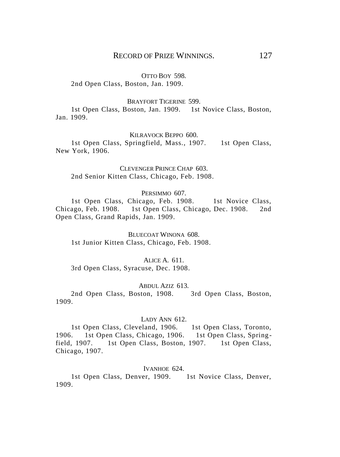#### OTTO BOY 598.

2nd Open Class, Boston, Jan. 1909.

#### BRAYFORT TIGERINE 599.

1st Open Class, Boston, Jan. 1909. 1st Novice Class, Boston, Jan. 1909.

#### KILRAVOCK BEPPO 600.

1st Open Class, Springfield, Mass., 1907. 1st Open Class, New York, 1906.

CLEVENGER PRINCE CHAP 603. 2nd Senior Kitten Class, Chicago, Feb. 1908.

#### PERSIMMO 607.

1st Open Class, Chicago, Feb. 1908. 1st Novice Class, Chicago, Feb. 1908. 1st Open Class, Chicago, Dec. 1908. 2nd Open Class, Grand Rapids, Jan. 1909.

BLUECOAT WINONA 608. 1st Junior Kitten Class, Chicago, Feb. 1908.

#### ALICE A. 611.

3rd Open Class, Syracuse, Dec. 1908.

#### ABDUL AZIZ 613.

2nd Open Class, Boston, 1908. 3rd Open Class, Boston, 1909.

#### LADY ANN 612.

1st Open Class, Cleveland, 1906. 1st Open Class, Toronto, 1906. 1st Open Class, Chicago, 1906. 1st Open Class, Springfield, 1907. 1st Open Class, Boston, 1907. 1st Open Class, Chicago, 1907.

#### IVANHOE 624.

1st Open Class, Denver, 1909. 1st Novice Class, Denver, 1909.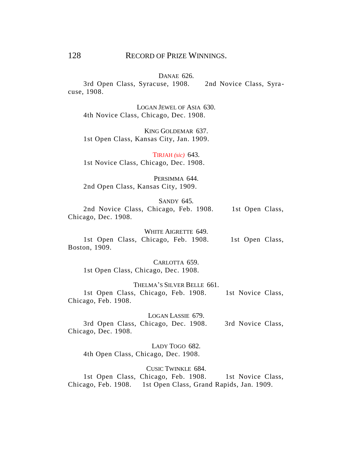#### DANAE 626.

3rd Open Class, Syracuse, 1908. 2nd Novice Class, Syracuse, 1908.

LOGAN JEWEL OF ASIA 630. 4th Novice Class, Chicago, Dec. 1908.

KING GOLDEMAR 637. 1st Open Class, Kansas City, Jan. 1909.

TIRJAH *(sic)* 643. 1st Novice Class, Chicago, Dec. 1908.

PERSIMMA 644. 2nd Open Class, Kansas City, 1909.

SANDY 645.

2nd Novice Class, Chicago, Feb. 1908. 1st Open Class, Chicago, Dec. 1908.

WHITE AIGRETTE 649. 1st Open Class, Chicago, Feb. 1908. 1st Open Class, Boston, 1909.

CARLOTTA 659. 1st Open Class, Chicago, Dec. 1908.

THELMA'S SILVER BELLE 661. 1st Open Class, Chicago, Feb. 1908. 1st Novice Class, Chicago, Feb. 1908.

LOGAN LASSIE 679.

3rd Open Class, Chicago, Dec. 1908. 3rd Novice Class, Chicago, Dec. 1908.

LADY TOGO 682. 4th Open Class, Chicago, Dec. 1908.

CUSIC TWINKLE 684.

1st Open Class, Chicago, Feb. 1908. 1st Novice Class, Chicago, Feb. 1908. 1st Open Class, Grand Rapids, Jan. 1909.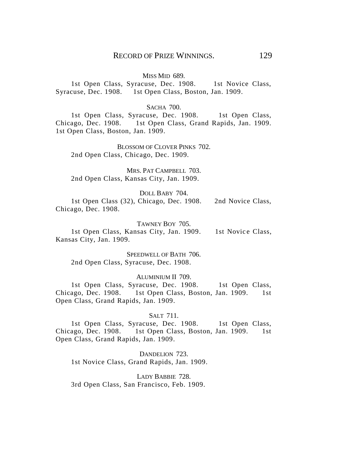#### MISS MID 689.

1st Open Class, Syracuse, Dec. 1908. 1st Novice Class, Syracuse, Dec. 1908. 1st Open Class, Boston, Jan. 1909.

#### SACHA 700.

1st Open Class, Syracuse, Dec. 1908. 1st Open Class, Chicago, Dec. 1908. 1st Open Class, Grand Rapids, Jan. 1909. 1st Open Class, Boston, Jan. 1909.

BLOSSOM OF CLOVER PINKS 702. 2nd Open Class, Chicago, Dec. 1909.

MRS. PAT CAMPBELL 703. 2nd Open Class, Kansas City, Jan. 1909.

#### DOLL BABY 704.

1st Open Class (32), Chicago, Dec. 1908. 2nd Novice Class, Chicago, Dec. 1908.

#### TAWNEY BOY 705.

1st Open Class, Kansas City, Jan. 1909. 1st Novice Class, Kansas City, Jan. 1909.

SPEEDWELL OF BATH 706. 2nd Open Class, Syracuse, Dec. 1908.

#### ALUMINIUM II 709.

1st Open Class, Syracuse, Dec. 1908. 1st Open Class, Chicago, Dec. 1908. 1st Open Class, Boston, Jan. 1909. 1st Open Class, Grand Rapids, Jan. 1909.

#### SALT 711.

1st Open Class, Syracuse, Dec. 1908. 1st Open Class, Chicago, Dec. 1908. 1st Open Class, Boston, Jan. 1909. 1st Open Class, Grand Rapids, Jan. 1909.

DANDELION 723 1st Novice Class, Grand Rapids, Jan. 1909.

LADY BABBIE 728. 3rd Open Class, San Francisco, Feb. 1909.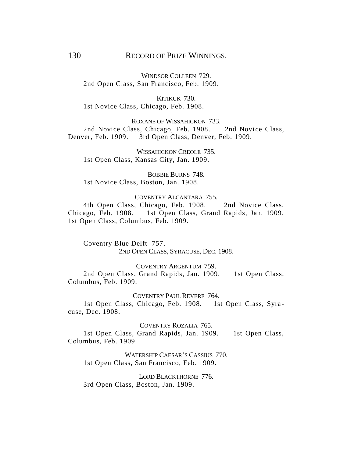## 130 RECORD OF PRIZE WINNINGS.

WINDSOR COLLEEN 729 2nd Open Class, San Francisco, Feb. 1909.

KITIKUK 730. 1st Novice Class, Chicago, Feb. 1908.

ROXANE OF WISSAHICKON 733. 2nd Novice Class, Chicago, Feb. 1908. 2nd Novice Class, Denver, Feb. 1909. 3rd Open Class, Denver, Feb. 1909.

WISSAHICKON CREOLE 735. 1st Open Class, Kansas City, Jan. 1909.

BOBBIE BURNS 748. 1st Novice Class, Boston, Jan. 1908.

#### COVENTRY ALCANTARA 755.

4th Open Class, Chicago, Feb. 1908. 2nd Novice Class, Chicago, Feb. 1908. 1st Open Class, Grand Rapids, Jan. 1909. 1st Open Class, Columbus, Feb. 1909.

Coventry Blue Delft 757. 2ND OPEN CLASS, SYRACUSE, DEC. 1908.

#### COVENTRY ARGENTUM 759.

2nd Open Class, Grand Rapids, Jan. 1909. 1st Open Class, Columbus, Feb. 1909.

COVENTRY PAUL REVERE 764.

1st Open Class, Chicago, Feb. 1908. 1st Open Class, Syracuse, Dec. 1908.

COVENTRY ROZALIA 765.

1st Open Class, Grand Rapids, Jan. 1909. 1st Open Class, Columbus, Feb. 1909.

WATERSHIP CAESAR'S CASSIUS 770. 1st Open Class, San Francisco, Feb. 1909.

LORD BLACKTHORNE 776. 3rd Open Class, Boston, Jan. 1909.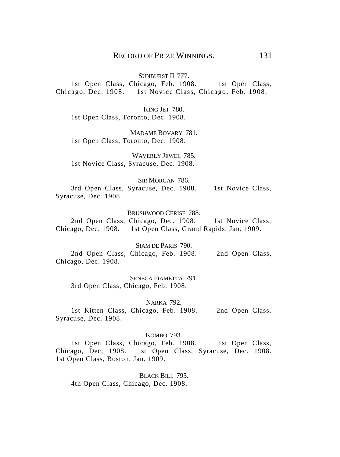SUNBURST II 777.

1st Open Class, Chicago, Feb. 1908. 1st Open Class, Chicago, Dec. 1908. 1st Novice Class, Chicago, Feb. 1908.

KING JET 780. 1st Open Class, Toronto, Dec. 1908.

MADAME BOVARY 781. 1st Open Class, Toronto, Dec. 1908.

WAVERLY JEWEL 785. 1st Novice Class, Syracuse, Dec. 1908.

SIR MORGAN 786. 3rd Open Class, Syracuse, Dec. 1908. 1st Novice Class, Syracuse, Dec. 1908.

BRUSHWOOD CERISE 788.

2nd Open Class, Chicago, Dec. 1908. 1st Novice Class, Chicago, Dec. 1908. 1st Open Class, Grand Rapids. Jan. 1909.

SIAM DE PARIS 790. 2nd Open Class, Chicago, Feb. 1908. 2nd Open Class, Chicago, Dec. 1908.

SENECA FIAMETTA 791. 3rd Open Class, Chicago, Feb. 1908.

NARKA 792.

1st Kitten Class, Chicago, Feb. 1908. 2nd Open Class, Syracuse, Dec. 1908.

KOMBO 793.

1st Open Class, Chicago, Feb. 1908. 1st Open Class, Chicago, Dec, 1908. 1st Open Class, Syracuse, Dec. 1908. 1st Open Class, Boston, Jan. 1909.

BLACK BILL 795. 4th Open Class, Chicago, Dec. 1908.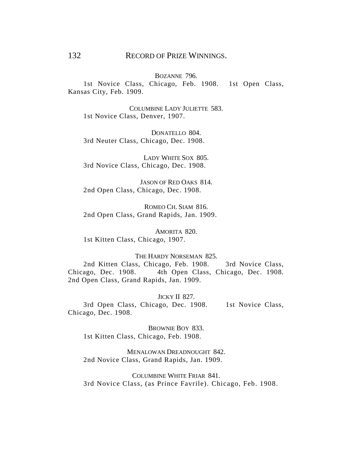## 132 RECORD OF PRIZE WINNINGS.

BOZANNE 796.

1st Novice Class, Chicago, Feb. 1908. 1st Open Class, Kansas City, Feb. 1909.

COLUMBINE LADY JULIETTE 583. 1st Novice Class, Denver, 1907.

DONATELLO 804 3rd Neuter Class, Chicago, Dec. 1908.

LADY WHITE SOX 805. 3rd Novice Class, Chicago, Dec. 1908.

JASON OF RED OAKS 814. 2nd Open Class, Chicago, Dec. 1908.

ROMEO CH. SIAM 816. 2nd Open Class, Grand Rapids, Jan. 1909.

AMORITA 820. 1st Kitten Class, Chicago, 1907.

#### THE HARDY NORSEMAN 825

2nd Kitten Class, Chicago, Feb. 1908. 3rd Novice Class, Chicago, Dec. 1908. 4th Open Class, Chicago, Dec. 1908. 2nd Open Class, Grand Rapids, Jan. 1909.

#### JICKY II 827.

3rd Open Class, Chicago, Dec. 1908. 1st Novice Class, Chicago, Dec. 1908.

BROWNIE BOY 833. 1st Kitten Class, Chicago, Feb. 1908.

MENALOWAN DREADNOUGHT 842. 2nd Novice Class, Grand Rapids, Jan. 1909.

COLUMBINE WHITE FRIAR 841. 3rd Novice Class, (as Prince Favrile). Chicago, Feb. 1908.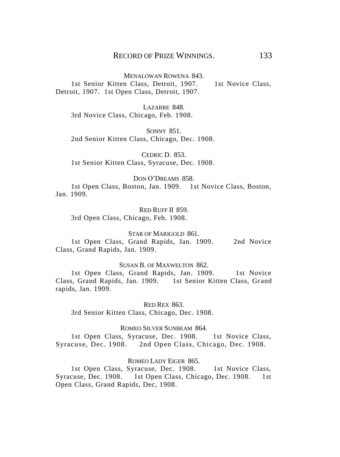MENALOWAN ROWENA 843. 1st Senior Kitten Class, Detroit, 1907. 1st Novice Class, Detroit, 1907. 1st Open Class, Detroit, 1907.

LAZARRE 848. 3rd Novice Class, Chicago, Feb. 1908.

SONNY 851. 2nd Senior Kitten Class, Chicago, Dec. 1908.

CEDRIC D. 853. 1st Senior Kitten Class, Syracuse, Dec. 1908.

#### DON O'DREAMS 858.

1st Open Class, Boston, Jan. 1909. 1st Novice Class, Boston, Jan. 1909.

RED RUFF II 859. 3rd Open Class, Chicago, Feb. 1908.

STAR OF MARIGOLD 861

1st Open Class, Grand Rapids, Jan. 1909. 2nd Novice Class, Grand Rapids, Jan. 1909.

SUSAN B. OF MAXWELTON 862.

1st Open Class, Grand Rapids, Jan. 1909. 1st Novice Class, Grand Rapids, Jan. 1909. 1st Senior Kitten Class, Grand rapids, Jan. 1909.

RED REX 863.

3rd Senior Kitten Class, Chicago, Dec. 1908.

ROMEO SILVER SUNBEAM 864.

1st Open Class, Syracuse, Dec. 1908. 1st Novice Class, Syracuse, Dec. 1908. 2nd Open Class, Chicago, Dec. 1908.

#### ROMEO LADY EIGER 865.

1st Open Class, Syracuse, Dec. 1908. 1st Novice Class, Syracuse, Dec. 1908. 1st Open Class, Chicago, Dec. 1908. 1st Open Class, Grand Rapids, Dec, 1908.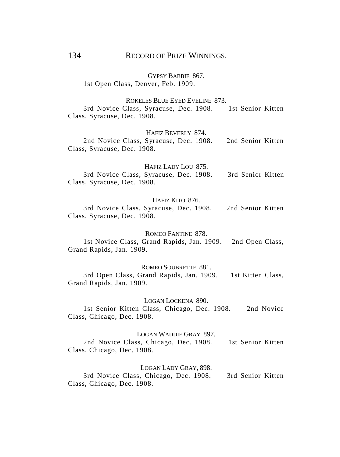## 134 RECORD OF PRIZE WINNINGS.

GYPSY BABBIE 867. 1st Open Class, Denver, Feb. 1909.

#### ROKELES BLUE EYED EVELINE 873.

3rd Novice Class, Syracuse, Dec. 1908. 1st Senior Kitten Class, Syracuse, Dec. 1908.

#### HAFIZ BEVERLY 874.

2nd Novice Class, Syracuse, Dec. 1908. 2nd Senior Kitten Class, Syracuse, Dec. 1908.

#### HAFIZ LADY LOU 875.

3rd Novice Class, Syracuse, Dec. 1908. 3rd Senior Kitten Class, Syracuse, Dec. 1908.

#### HAFIZ KITO 876.

3rd Novice Class, Syracuse, Dec. 1908. 2nd Senior Kitten Class, Syracuse, Dec. 1908.

#### ROMEO FANTINE 878.

1st Novice Class, Grand Rapids, Jan. 1909. 2nd Open Class, Grand Rapids, Jan. 1909.

#### ROMEO SOUBRETTE 881.

3rd Open Class, Grand Rapids, Jan. 1909. 1st Kitten Class, Grand Rapids, Jan. 1909.

#### LOGAN LOCKENA 890.

1st Senior Kitten Class, Chicago, Dec. 1908. 2nd Novice Class, Chicago, Dec. 1908.

#### LOGAN WADDIE GRAY 897.

2nd Novice Class, Chicago, Dec. 1908. 1st Senior Kitten Class, Chicago, Dec. 1908.

#### LOGAN LADY GRAY, 898.

3rd Novice Class, Chicago, Dec. 1908. 3rd Senior Kitten Class, Chicago, Dec. 1908.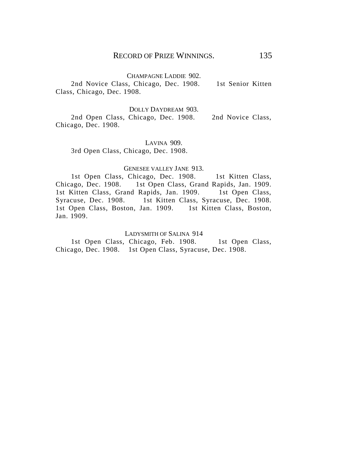## CHAMPAGNE LADDIE 902.

2nd Novice Class, Chicago, Dec. 1908. 1st Senior Kitten Class, Chicago, Dec. 1908.

#### DOLLY DAYDREAM 903.

2nd Open Class, Chicago, Dec. 1908. 2nd Novice Class, Chicago, Dec. 1908.

LAVINA 909. 3rd Open Class, Chicago, Dec. 1908.

#### GENESEE VALLEY JANE 913.

1st Open Class, Chicago, Dec. 1908. 1st Kitten Class, Chicago, Dec. 1908. 1st Open Class, Grand Rapids, Jan. 1909. 1st Kitten Class, Grand Rapids, Jan. 1909. 1st Open Class, Syracuse, Dec. 1908. 1st Kitten Class, Syracuse, Dec. 1908. 1st Open Class, Boston, Jan. 1909. 1st Kitten Class, Boston, Jan. 1909.

#### LADYSMITH OF SALINA 914

1st Open Class, Chicago, Feb. 1908. 1st Open Class, Chicago, Dec. 1908. 1st Open Class, Syracuse, Dec. 1908.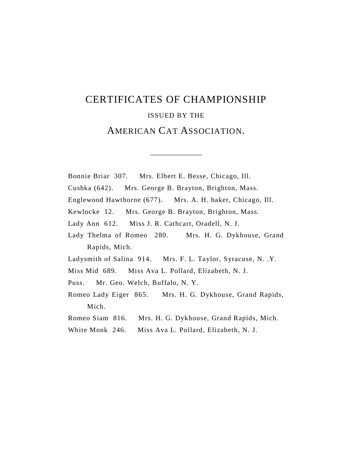# CERTIFICATES OF CHAMPIONSHIP ISSUED BY THE AMERICAN CAT ASSOCIATION.

—————

Bonnie Briar 307. Mrs. Elbert E. Besse, Chicago, Ill. Cushka (642). Mrs. George B. Brayton, Brighton, Mass. Englewood Hawthorne (677). Mrs. A. H. baker, Chicago, Ill. Kewlocke 12. Mrs. George B. Brayton, Brighton, Mass. Lady Ann 612. Miss J. R. Cathcart, Oradell, N. J. Lady Thelma of Romeo 280. Mrs. H. G. Dykhouse, Grand Rapids, Mich. Ladysmith of Salina 914. Mrs. F. L. Taylor, Syracuse, N. .Y. Miss Mid 689. Miss Ava L. Pollard, Elizabeth, N. J. Puss. Mr. Geo. Welch, Buffalo, N. Y. Romeo Lady Eiger 865. Mrs. H. G. Dykhouse, Grand Rapids, Mich. Romeo Siam 816. Mrs. H. G. Dykhouse, Grand Rapids, Mich.

White Monk 246. Miss Ava L. Pollard, Elizabeth, N. J.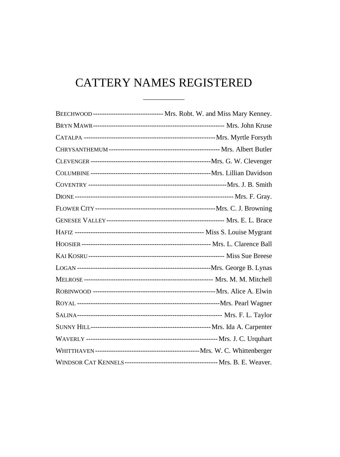# CATTERY NAMES REGISTERED

| BEECHWOOD--------------------------------- Mrs. Robt. W. and Miss Mary Kenney. |
|--------------------------------------------------------------------------------|
|                                                                                |
|                                                                                |
|                                                                                |
|                                                                                |
|                                                                                |
|                                                                                |
|                                                                                |
|                                                                                |
|                                                                                |
|                                                                                |
|                                                                                |
|                                                                                |
|                                                                                |
|                                                                                |
|                                                                                |
|                                                                                |
|                                                                                |
|                                                                                |
|                                                                                |
|                                                                                |
|                                                                                |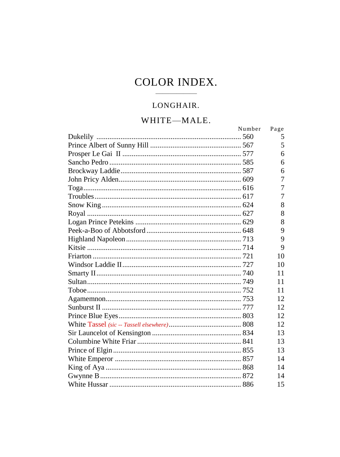# **COLOR INDEX.**

## LONGHAIR.

# WHITE-MALE.

| Number | Page |
|--------|------|
|        | 5    |
|        | 5    |
|        | 6    |
|        | 6    |
|        | 6    |
|        | 7    |
|        | 7    |
|        | 7    |
|        | 8    |
|        | 8    |
|        | 8    |
|        | 9    |
|        | 9    |
|        | 9    |
|        | 10   |
|        | 10   |
|        | 11   |
|        | 11   |
|        | 11   |
|        | 12   |
|        | 12   |
|        | 12   |
|        | 12   |
|        | 13   |
|        | 13   |
|        | 13   |
|        | 14   |
|        | 14   |
|        | 14   |
|        | 15   |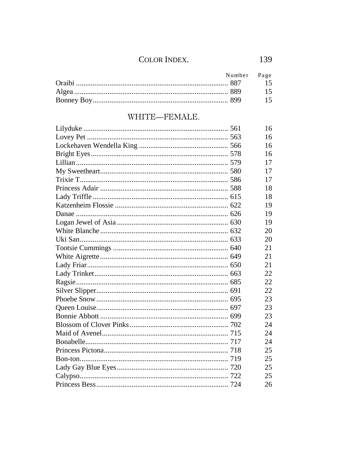## COLOR INDEX.

| Number Page |  |
|-------------|--|
|             |  |
|             |  |
|             |  |

# WHITE-FEMALE.

|  | 16 |
|--|----|
|  | 16 |
|  | 16 |
|  | 16 |
|  | 17 |
|  | 17 |
|  | 17 |
|  | 18 |
|  | 18 |
|  | 19 |
|  | 19 |
|  | 19 |
|  | 20 |
|  | 20 |
|  | 21 |
|  | 21 |
|  | 21 |
|  | 22 |
|  | 22 |
|  | 22 |
|  | 23 |
|  | 23 |
|  | 23 |
|  | 24 |
|  | 24 |
|  | 24 |
|  | 25 |
|  | 25 |
|  | 25 |
|  | 25 |
|  | 26 |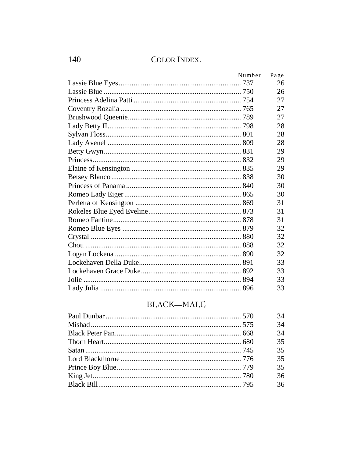## COLOR INDEX.

| Number | Page |
|--------|------|
|        | 26   |
|        | 26   |
|        | 27   |
|        | 27   |
|        | 27   |
|        | 28   |
|        | 28   |
|        | 28   |
|        | 29   |
|        | 29   |
|        | 29   |
|        | 30   |
|        | 30   |
|        | 30   |
|        | 31   |
|        | 31   |
|        | 31   |
|        | 32   |
|        | 32   |
|        | 32   |
|        | 32   |
|        | 33   |
|        | 33   |
|        | 33   |
|        | 33   |
|        |      |

## BLACK-MALE

| 34 |
|----|
| 34 |
| 34 |
| 35 |
| 35 |
| 35 |
| 35 |
| 36 |
| 36 |

140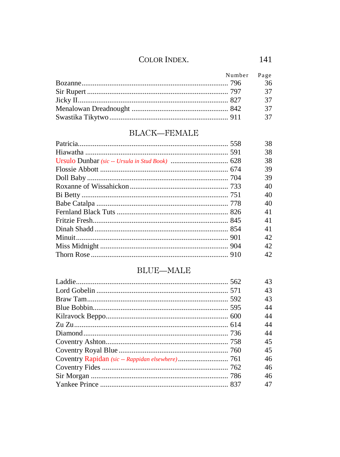| Number Page |      |
|-------------|------|
|             | 36   |
|             | 37   |
|             | - 37 |
|             | - 37 |
|             | - 37 |

# BLACK-FEMALE

|  | 38  |
|--|-----|
|  | 38  |
|  | 38  |
|  | 39  |
|  | 39  |
|  | 40  |
|  | 40  |
|  | 40  |
|  | 41  |
|  | 41  |
|  | 41  |
|  | 42. |
|  | 42. |
|  | 42  |
|  |     |

# $\rm{BLUE-MALE}$

|  | 43 |
|--|----|
|  | 43 |
|  | 43 |
|  | 44 |
|  | 44 |
|  | 44 |
|  | 44 |
|  | 45 |
|  | 45 |
|  | 46 |
|  | 46 |
|  | 46 |
|  | 47 |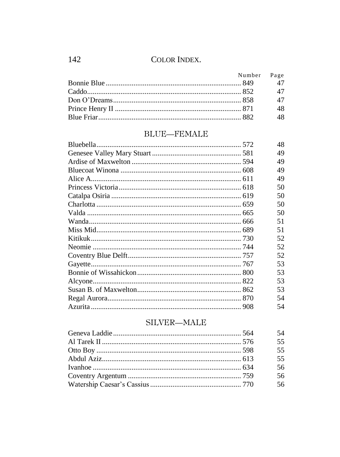| Number Page |    |
|-------------|----|
|             |    |
|             |    |
|             | 47 |
|             | 48 |
|             | 48 |

# **BLUE**-FEMALE

|  | 48 |
|--|----|
|  | 49 |
|  | 49 |
|  | 49 |
|  | 49 |
|  | 50 |
|  | 50 |
|  | 50 |
|  | 50 |
|  | 51 |
|  | 51 |
|  | 52 |
|  | 52 |
|  | 52 |
|  | 53 |
|  | 53 |
|  | 53 |
|  | 53 |
|  | 54 |
|  | 54 |

# SILVER-MALE

|  | 54 |
|--|----|
|  | 55 |
|  | 55 |
|  | 55 |
|  | 56 |
|  | 56 |
|  | 56 |
|  |    |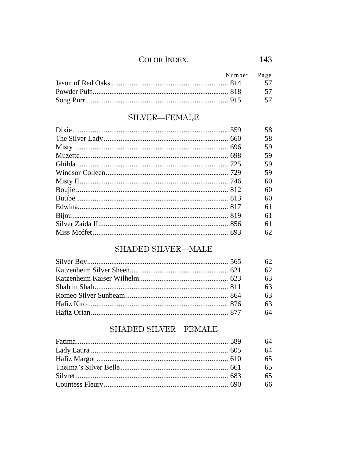| Number Page |    |
|-------------|----|
|             |    |
|             | 57 |
|             | 57 |

# SILVER-FEMALE

|  | 58 |
|--|----|
|  | 58 |
|  | 59 |
|  | 59 |
|  | 59 |
|  | 59 |
|  | 60 |
|  | 60 |
|  | 60 |
|  | 61 |
|  | 61 |
|  | 61 |
|  | 62 |

# SHADED SILVER-MALE

|  | 62 |
|--|----|
|  | 62 |
|  | 63 |
|  | 63 |
|  | 63 |
|  | 63 |
|  | 64 |

# SHADED SILVER-FEMALE

|  | 64 |
|--|----|
|  | 64 |
|  | 65 |
|  | 65 |
|  | 65 |
|  | 66 |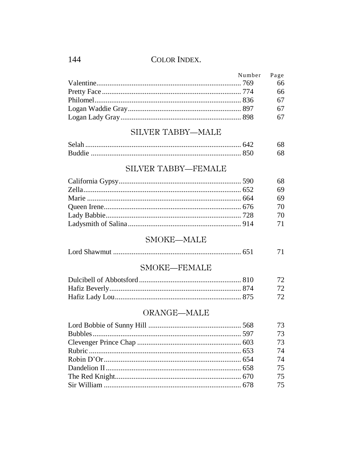| Number Page |      |
|-------------|------|
|             | 66   |
|             | 66   |
|             | 67   |
|             | -67  |
|             | - 67 |

#### SILVER TABBY-MALE

| <b>Buddie</b> |  |
|---------------|--|

# SILVER TABBY-FEMALE

| 68 |
|----|
| 69 |
| 69 |
| 70 |
| 70 |
| 71 |

# SMOKE-MALE

|--|--|--|

#### SMOKE-FEMALE

|  | <u>72</u> |
|--|-----------|
|  |           |
|  |           |

# ORANGE-MALE

| 73 |
|----|
| 73 |
| 73 |
| 74 |
| 74 |
| 75 |
| 75 |
| 75 |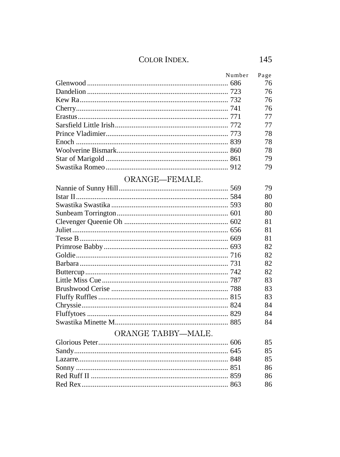| Number | Page |
|--------|------|
|        | 76   |
|        | 76   |
|        | 76   |
|        | 76   |
|        | 77   |
|        | 77   |
|        | 78   |
|        | 78   |
|        | 78   |
|        | 79   |
|        | 79   |

# ORANGE-FEMALE.

|  | 79 |
|--|----|
|  | 80 |
|  | 80 |
|  | 80 |
|  | 81 |
|  | 81 |
|  | 81 |
|  | 82 |
|  | 82 |
|  | 82 |
|  | 82 |
|  | 83 |
|  | 83 |
|  | 83 |
|  | 84 |
|  | 84 |
|  | 84 |

# ORANGE TABBY-MALE.

|  | 85 |
|--|----|
|  | 85 |
|  | 85 |
|  | 86 |
|  | 86 |
|  | 86 |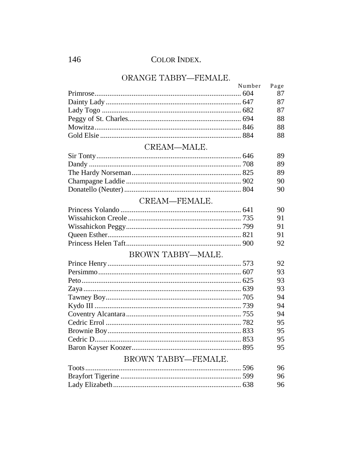# ORANGE TABBY—FEMALE.

| Number Page |    |
|-------------|----|
|             | 87 |
|             | 87 |
|             | 87 |
|             | 88 |
|             | 88 |
|             | 88 |
|             |    |

#### CREAM-MALE.

| 89 |
|----|
| 89 |
| 89 |
| 90 |
| 90 |
|    |

# CREAM-FEMALE.

| - 91 |
|------|
| 91   |
| 91   |
| 92   |

#### BROWN TABBY-MALE.

|  | 92 |
|--|----|
|  | 93 |
|  | 93 |
|  | 93 |
|  | 94 |
|  | 94 |
|  | 94 |
|  | 95 |
|  | 95 |
|  | 95 |
|  | 95 |
|  |    |

#### BROWN TABBY-FEMALE.

as a company

|  | 96 |
|--|----|
|  | 96 |
|  | 96 |

 $\overline{\phantom{a}}$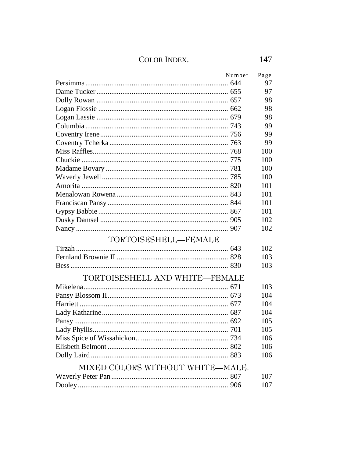|                                  | Number | Page |
|----------------------------------|--------|------|
|                                  |        | 97   |
|                                  |        | 97   |
|                                  |        | 98   |
|                                  |        | 98   |
|                                  |        | 98   |
|                                  |        | 99   |
|                                  |        | 99   |
|                                  |        | 99   |
|                                  |        | 100  |
|                                  |        | 100  |
|                                  |        | 100  |
|                                  |        | 100  |
|                                  |        | 101  |
|                                  |        | 101  |
|                                  |        | 101  |
|                                  |        | 101  |
|                                  |        | 102  |
|                                  |        | 102  |
| TORTOISESHELL-FEMALE             |        |      |
|                                  |        | 102  |
|                                  |        | 103  |
|                                  |        | 103  |
| TORTOISESHELL AND WHITE-FEMALE   |        |      |
|                                  |        | 103  |
|                                  |        | 104  |
|                                  |        | 104  |
|                                  |        | 104  |
|                                  |        | 105  |
|                                  |        | 105  |
|                                  |        | 106  |
|                                  |        | 106  |
|                                  |        | 106  |
| MIXED COLORS WITHOUT WHITE-MALE. |        |      |
|                                  |        | 107  |
|                                  |        | 107  |
|                                  |        |      |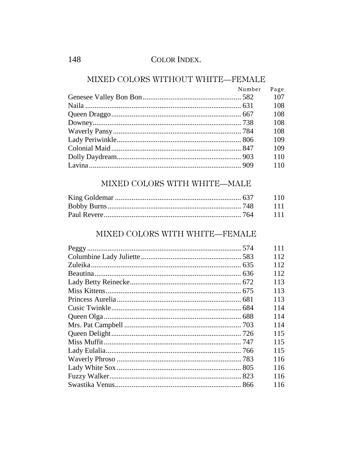148

# MIXED COLORS WITHOUT WHITE-FEMALE

| Number Page |     |
|-------------|-----|
|             | 107 |
|             | 108 |
|             | 108 |
|             | 108 |
|             | 108 |
|             | 109 |
|             | 109 |
|             | 110 |
|             | 110 |

#### MIXED COLORS WITH WHITE-MALE

# MIXED COLORS WITH WHITE-FEMALE

|  | 111 |
|--|-----|
|  | 112 |
|  | 112 |
|  | 112 |
|  | 113 |
|  | 113 |
|  | 113 |
|  | 114 |
|  | 114 |
|  | 114 |
|  | 115 |
|  | 115 |
|  | 115 |
|  | 116 |
|  | 116 |
|  | 116 |
|  | 116 |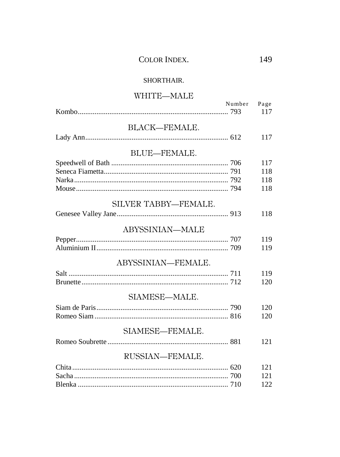| <b>COLOR INDEX.</b> |
|---------------------|
|---------------------|

#### SHORTHAIR.

### WHITE-MALE

|                      | Number Page |     |
|----------------------|-------------|-----|
|                      |             | 117 |
| BLACK-FEMALE.        |             |     |
|                      |             | 117 |
|                      |             |     |
| BLUE-FEMALE.         |             |     |
|                      |             | 117 |
|                      |             | 118 |
|                      |             | 118 |
|                      |             | 118 |
|                      |             |     |
| SILVER TABBY—FEMALE. |             |     |
|                      |             | 118 |
| ABYSSINIAN-MALE      |             |     |
|                      |             |     |
|                      |             | 119 |
|                      |             | 119 |
| ABYSSINIAN-FEMALE.   |             |     |
|                      |             | 119 |
|                      |             | 120 |
|                      |             |     |
| SIAMESE-MALE.        |             |     |
|                      |             | 120 |
|                      |             | 120 |
|                      |             |     |
| SIAMESE-FEMALE.      |             |     |
|                      |             | 121 |
| RUSSIAN-FEMALE.      |             |     |
|                      |             | 121 |
|                      |             | 121 |
|                      |             | 122 |
|                      |             |     |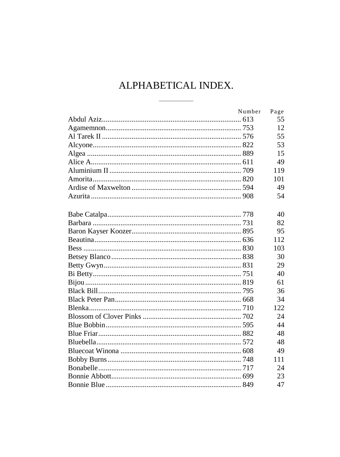| Number | Page |
|--------|------|
|        | 55   |
|        | 12   |
|        | 55   |
|        | 53   |
|        | 15   |
|        | 49   |
|        | 119  |
|        | 101  |
|        | 49   |
|        | 54   |
|        |      |
|        | 40   |
|        | 82   |
|        | 95   |
|        | 112  |
|        | 103  |
|        | 30   |
|        | 29   |
|        | 40   |
|        | 61   |
|        | 36   |
|        | 34   |
|        | 122  |
|        | 24   |
|        | 44   |
|        | 48   |
|        | 48   |
|        | 49   |
|        | 111  |
|        | 24   |
|        | 23   |
|        | 47   |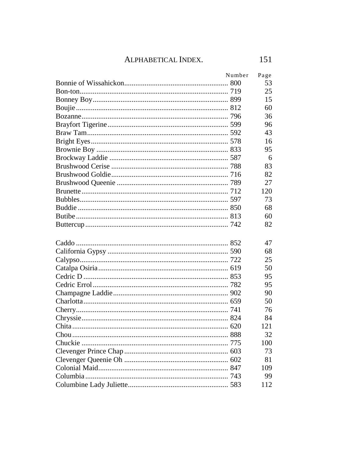| Number<br>Page |
|----------------|
| 53             |
| 25             |
| 15             |
| 60             |
| 36             |
| 96             |
| 43             |
| 16             |
| 95             |
| 6              |
| 83             |
| 82             |
| 27             |
| 120            |
| 73             |
| 68             |
| 60             |
| 82             |
|                |
| 47             |
| 68             |
| 25             |
| 50             |
| 95             |
| 95             |
| 90             |
| 50             |
| 76             |
| 84             |
| 121            |
| 32             |
| 100            |
| 73             |
| 81             |
| 109            |
| 99             |
| 112            |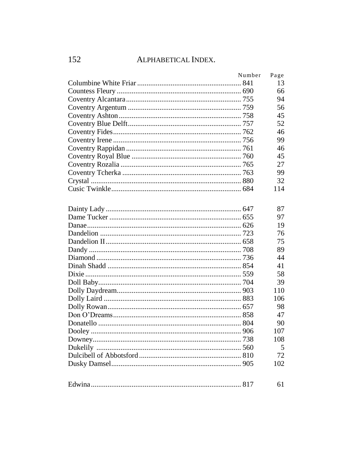| Number | Page |
|--------|------|
|        | 13   |
|        | 66   |
|        | 94   |
|        | 56   |
|        | 45   |
|        | 52   |
|        | 46   |
|        | 99   |
|        | 46   |
|        | 45   |
|        | 27   |
|        | 99   |
|        | 32   |
|        | 114  |
|        |      |
|        | 87   |
|        | 97   |
|        | 19   |
|        | 76   |
|        | 75   |
|        | 89   |
|        | 44   |
|        | 41   |
|        | 58   |
|        | 39   |
|        | 110  |
|        | 106  |
|        | 98   |
|        | 47   |
|        | 90   |
|        | 107  |
|        | 108  |
|        | 5    |
|        | 72   |
|        | 102  |
|        |      |
|        | 61   |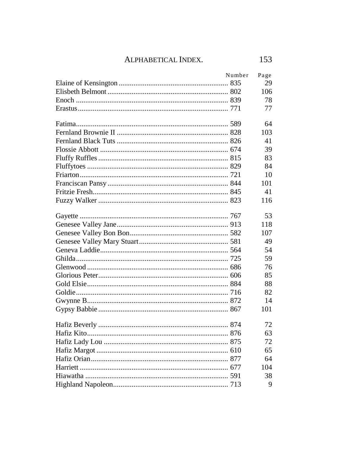| Number | Page |
|--------|------|
|        | 29   |
|        | 106  |
|        | 78   |
|        | 77   |
|        | 64   |
|        | 103  |
|        | 41   |
|        | 39   |
|        | 83   |
|        | 84   |
|        | 10   |
|        | 101  |
|        | 41   |
|        | 116  |
|        | 53   |
|        | 118  |
|        | 107  |
|        | 49   |
|        | 54   |
|        | 59   |
|        | 76   |
|        | 85   |
|        | 88   |
|        | 82   |
|        | 14   |
|        | 101  |
|        | 72   |
|        | 63   |
|        | 72   |
|        | 65   |
|        | 64   |
|        | 104  |
|        | 38   |
|        | 9    |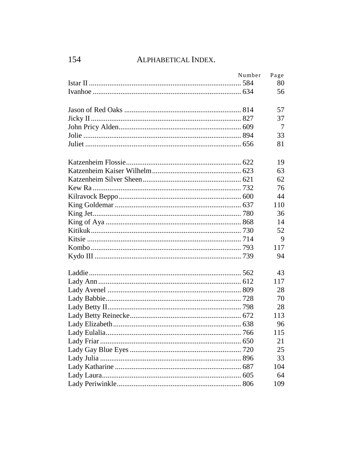| Number | Page |
|--------|------|
|        | 80   |
|        | 56   |
|        |      |
|        | 57   |
|        | 37   |
|        | 7    |
|        | 33   |
|        | 81   |
|        | 19   |
|        | 63   |
|        | 62   |
|        | 76   |
|        | 44   |
|        | 110  |
|        | 36   |
|        | 14   |
|        | 52   |
|        | 9    |
|        | 117  |
|        | 94   |
|        | 43   |
|        | 117  |
|        | 28   |
|        | 70   |
|        | 28   |
|        | 113  |
|        | 96   |
|        | 115  |
|        | 21   |
|        | 25   |
|        | 33   |
|        | 104  |
|        | 64   |
|        | 109  |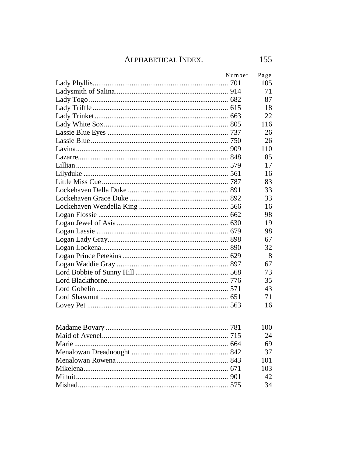| Number | Page |
|--------|------|
|        | 105  |
|        | 71   |
|        | 87   |
|        | 18   |
|        | 22   |
|        | 116  |
|        | 26   |
|        | 26   |
|        | 110  |
|        | 85   |
|        | 17   |
|        | 16   |
|        | 83   |
|        | 33   |
|        | 33   |
|        | 16   |
|        | 98   |
|        | 19   |
|        | 98   |
|        | 67   |
|        | 32   |
|        | 8    |
|        | 67   |
|        | 73   |
|        | 35   |
|        | 43   |
|        | 71   |
|        | 16   |
|        | 100  |
|        | 24   |
|        | 69   |
|        | 37   |
|        | 101  |
|        | 103  |
|        | 42   |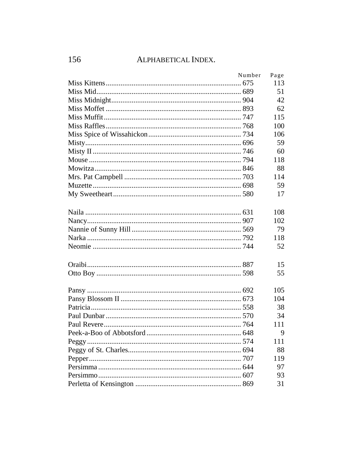| Number | Page |
|--------|------|
|        | 113  |
|        | 51   |
|        | 42   |
|        | 62   |
|        | 115  |
|        | 100  |
|        | 106  |
|        | 59   |
|        | 60   |
|        | 118  |
|        | 88   |
|        | 114  |
|        | 59   |
|        | 17   |
|        | 108  |
|        | 102  |
|        | 79   |
|        | 118  |
|        | 52   |
|        | 15   |
|        | 55   |
|        | 105  |
|        | 104  |
|        | 38   |
|        | 34   |
|        | 111  |
|        | 9    |
|        | 111  |
|        | 88   |
|        | 119  |
|        | 97   |
|        | 93   |
|        | 31   |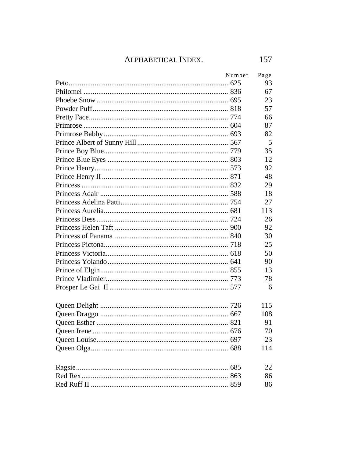| Number | Page |
|--------|------|
|        | 93   |
|        | 67   |
|        | 23   |
|        | 57   |
|        | 66   |
|        | 87   |
|        | 82   |
|        | 5    |
|        | 35   |
|        | 12   |
|        | 92   |
|        | 48   |
|        | 29   |
|        | 18   |
|        | 27   |
|        | 113  |
|        | 26   |
|        | 92   |
|        | 30   |
|        | 25   |
|        | 50   |
|        | 90   |
|        | 13   |
|        | 78   |
|        | 6    |
|        | 115  |
|        | 108  |
|        | 91   |
|        | 70   |
|        | 23   |
|        | 114  |
|        | 22.  |
|        | 86   |
|        | 86   |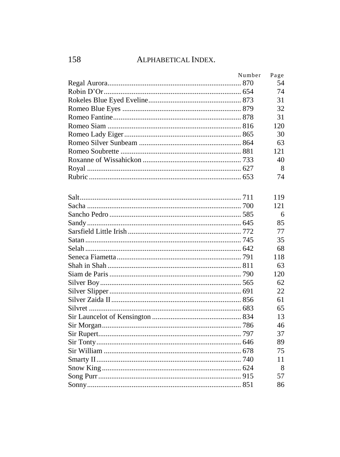| Number | Page |
|--------|------|
|        | 54   |
|        | 74   |
|        | 31   |
|        | 32   |
|        | 31   |
|        | 120  |
|        | 30   |
|        | 63   |
|        | 121  |
|        | 40   |
|        | 8    |
|        | 74   |
|        | 119  |
|        | 121  |
|        | 6    |
|        | 85   |
|        | 77   |
|        | 35   |
|        | 68   |
|        | 118  |
|        | 63   |
|        | 120  |
|        | 62   |
|        | 22   |
|        | 61   |
|        | 65   |
|        | 13   |
|        | 46   |
|        | 37   |
|        | 89   |
|        | 75   |
|        | 11   |
|        | 8    |
|        | 57   |
|        | 86   |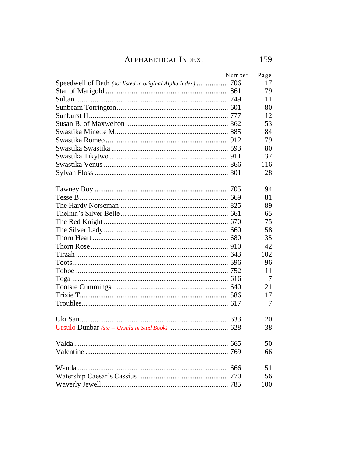| Number | Page |
|--------|------|
|        | 117  |
|        | 79   |
|        | 11   |
|        | 80   |
|        | 12.  |
|        | 53   |
|        | 84   |
|        | 79   |
|        | 80   |
|        | 37   |
|        | 116  |
|        | 28   |
|        | 94   |
|        | 81   |
|        | 89   |
|        | 65   |
|        | 75   |
|        | 58   |
|        | 35   |
|        | 42.  |
|        | 102  |
|        | 96   |
|        | 11   |
|        | 7    |
|        | 21   |
|        | 17   |
|        | 7    |
|        | 20   |
|        | 38   |
|        | 50   |
|        | 66   |
|        | 51   |
|        | 56   |
|        | 100  |
|        |      |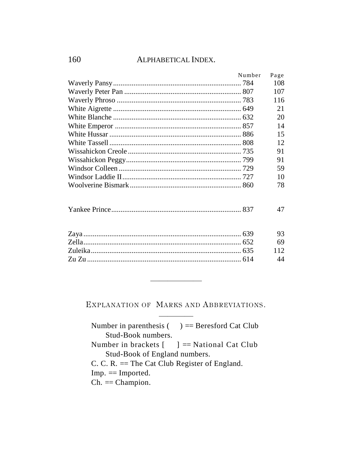| Number | Page |
|--------|------|
|        | 108  |
|        | 107  |
|        | 116  |
|        | 21   |
|        | 20   |
|        | 14   |
|        | 15   |
|        | 12   |
|        | 91   |
|        | 91   |
|        | 59   |
|        | 10   |
|        | 78   |
|        | 47   |
|        | 93   |
|        | 69   |
|        | 112  |
|        | 44   |

EXPLANATION OF MARKS AND ABBREVIATIONS.

Number in parenthesis  $($  =  $)$  = Beresford Cat Club Stud-Book numbers. Number in brackets  $\begin{bmatrix} \quad \end{bmatrix}$  == National Cat Club Stud-Book of England numbers.

C. C. R.  $=$  The Cat Club Register of England.

 $Imp. = Imported.$ 

 $Ch. = Champion.$